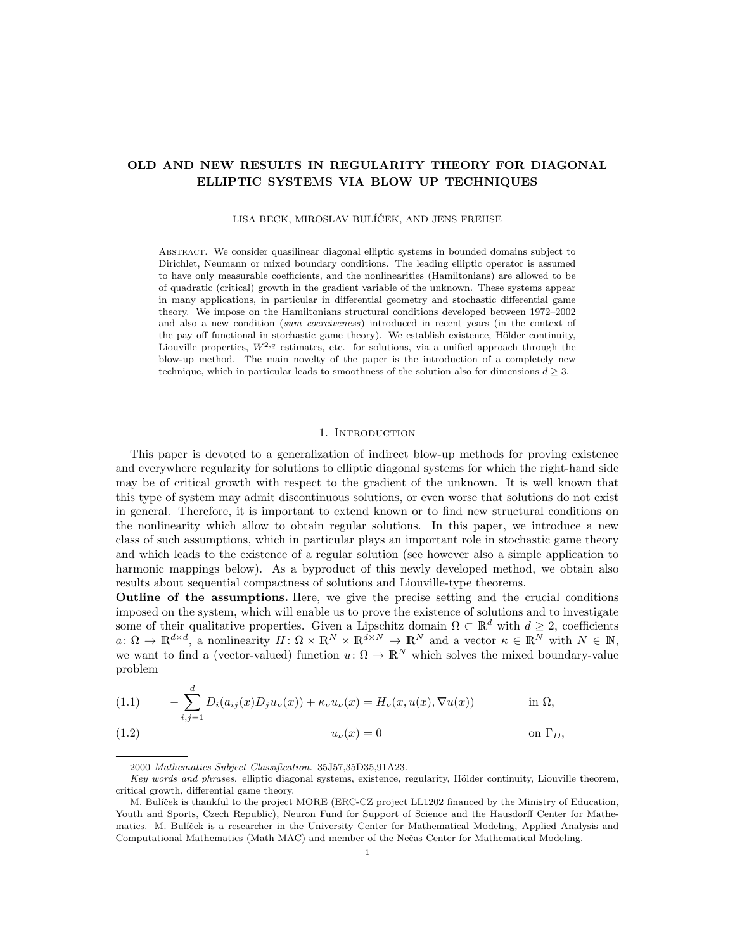# OLD AND NEW RESULTS IN REGULARITY THEORY FOR DIAGONAL ELLIPTIC SYSTEMS VIA BLOW UP TECHNIQUES

LISA BECK, MIROSLAV BULÍČEK, AND JENS FREHSE

Abstract. We consider quasilinear diagonal elliptic systems in bounded domains subject to Dirichlet, Neumann or mixed boundary conditions. The leading elliptic operator is assumed to have only measurable coefficients, and the nonlinearities (Hamiltonians) are allowed to be of quadratic (critical) growth in the gradient variable of the unknown. These systems appear in many applications, in particular in differential geometry and stochastic differential game theory. We impose on the Hamiltonians structural conditions developed between 1972–2002 and also a new condition (sum coerciveness) introduced in recent years (in the context of the pay off functional in stochastic game theory). We establish existence, Hölder continuity, Liouville properties,  $W^{2,q}$  estimates, etc. for solutions, via a unified approach through the blow-up method. The main novelty of the paper is the introduction of a completely new technique, which in particular leads to smoothness of the solution also for dimensions  $d \geq 3$ .

#### 1. INTRODUCTION

This paper is devoted to a generalization of indirect blow-up methods for proving existence and everywhere regularity for solutions to elliptic diagonal systems for which the right-hand side may be of critical growth with respect to the gradient of the unknown. It is well known that this type of system may admit discontinuous solutions, or even worse that solutions do not exist in general. Therefore, it is important to extend known or to find new structural conditions on the nonlinearity which allow to obtain regular solutions. In this paper, we introduce a new class of such assumptions, which in particular plays an important role in stochastic game theory and which leads to the existence of a regular solution (see however also a simple application to harmonic mappings below). As a byproduct of this newly developed method, we obtain also results about sequential compactness of solutions and Liouville-type theorems.

Outline of the assumptions. Here, we give the precise setting and the crucial conditions imposed on the system, which will enable us to prove the existence of solutions and to investigate some of their qualitative properties. Given a Lipschitz domain  $\Omega \subset \mathbb{R}^d$  with  $d \geq 2$ , coefficients  $a: \Omega \to \mathbb{R}^{d \times d}$ , a nonlinearity  $H: \Omega \times \mathbb{R}^N \times \mathbb{R}^{d \times N} \to \mathbb{R}^N$  and a vector  $\kappa \in \mathbb{R}^N$  with  $N \in \mathbb{N}$ , we want to find a (vector-valued) function  $u: \Omega \to \mathbb{R}^N$  which solves the mixed boundary-value problem

<span id="page-0-0"></span>(1.1) 
$$
- \sum_{i,j=1}^{d} D_i(a_{ij}(x)D_j u_{\nu}(x)) + \kappa_{\nu} u_{\nu}(x) = H_{\nu}(x, u(x), \nabla u(x)) \qquad \text{in } \Omega,
$$

(1.2) uν(x) = 0 on ΓD,

<sup>2000</sup> Mathematics Subject Classification. 35J57,35D35,91A23.

Key words and phrases. elliptic diagonal systems, existence, regularity, Hölder continuity, Liouville theorem, critical growth, differential game theory.

M. Bulíček is thankful to the project MORE (ERC-CZ project LL1202 financed by the Ministry of Education, Youth and Sports, Czech Republic), Neuron Fund for Support of Science and the Hausdorff Center for Mathematics. M. Bulíček is a researcher in the University Center for Mathematical Modeling, Applied Analysis and Computational Mathematics (Math MAC) and member of the Nečas Center for Mathematical Modeling.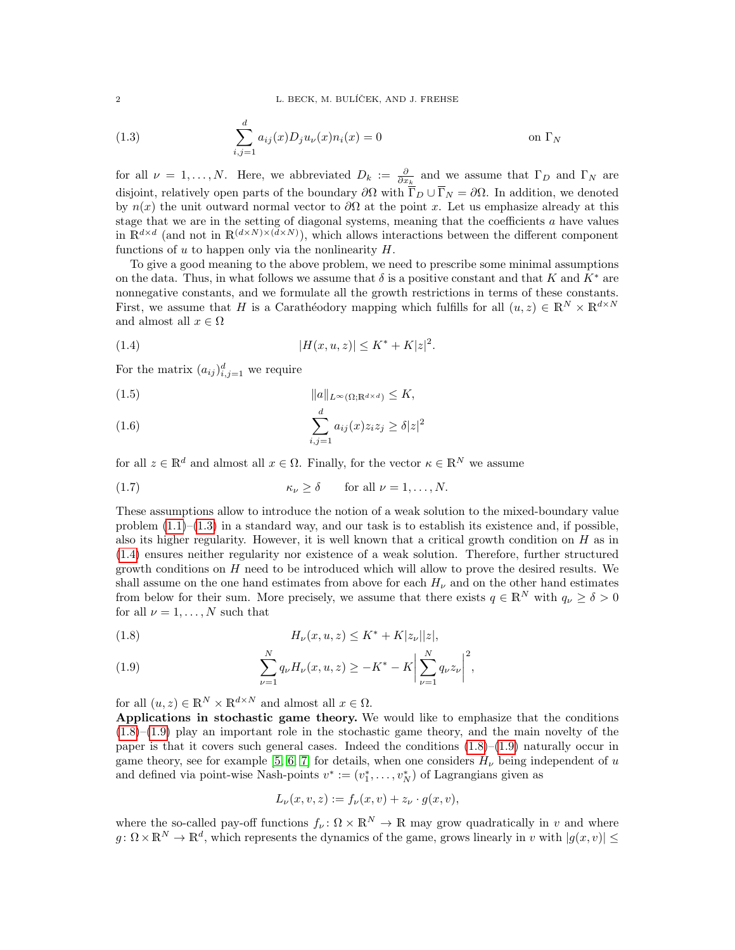$1. BECK, M. BULÍČEK, AND J. FREHSE$ 

<span id="page-1-0"></span>(1.3) 
$$
\sum_{i,j=1}^{d} a_{ij}(x) D_j u_{\nu}(x) n_i(x) = 0 \qquad \text{on } \Gamma_N
$$

for all  $\nu = 1, \ldots, N$ . Here, we abbreviated  $D_k := \frac{\partial}{\partial x_k}$  and we assume that  $\Gamma_D$  and  $\Gamma_N$  are disjoint, relatively open parts of the boundary  $\partial\Omega$  with  $\overline{\Gamma}_D \cup \overline{\Gamma}_N = \partial\Omega$ . In addition, we denoted by  $n(x)$  the unit outward normal vector to  $\partial\Omega$  at the point x. Let us emphasize already at this stage that we are in the setting of diagonal systems, meaning that the coefficients  $a$  have values in  $\mathbb{R}^{d \times d}$  (and not in  $\mathbb{R}^{(d \times N) \times (d \times N)}$ ), which allows interactions between the different component functions of  $u$  to happen only via the nonlinearity  $H$ .

To give a good meaning to the above problem, we need to prescribe some minimal assumptions on the data. Thus, in what follows we assume that  $\delta$  is a positive constant and that K and K<sup>\*</sup> are nonnegative constants, and we formulate all the growth restrictions in terms of these constants. First, we assume that H is a Carathéodory mapping which fulfills for all  $(u, z) \in \mathbb{R}^N \times \mathbb{R}^{d \times N}$ and almost all  $x \in \Omega$ 

<span id="page-1-1"></span>(1.4) 
$$
|H(x, u, z)| \le K^* + K|z|^2.
$$

For the matrix  $(a_{ij})_{i,j=1}^d$  we require

<span id="page-1-4"></span>
$$
(1.5) \t\t\t ||a||_{L^{\infty}(\Omega; \mathbb{R}^{d \times d})} \leq K,
$$

<span id="page-1-5"></span>(1.6) 
$$
\sum_{i,j=1}^d a_{ij}(x)z_iz_j \ge \delta |z|^2
$$

for all  $z \in \mathbb{R}^d$  and almost all  $x \in \Omega$ . Finally, for the vector  $\kappa \in \mathbb{R}^N$  we assume

<span id="page-1-6"></span>(1.7) 
$$
\kappa_{\nu} \geq \delta \quad \text{for all } \nu = 1, ..., N.
$$

These assumptions allow to introduce the notion of a weak solution to the mixed-boundary value problem  $(1.1)$ – $(1.3)$  in a standard way, and our task is to establish its existence and, if possible, also its higher regularity. However, it is well known that a critical growth condition on  $H$  as in [\(1.4\)](#page-1-1) ensures neither regularity nor existence of a weak solution. Therefore, further structured growth conditions on H need to be introduced which will allow to prove the desired results. We shall assume on the one hand estimates from above for each  $H_{\nu}$  and on the other hand estimates from below for their sum. More precisely, we assume that there exists  $q \in \mathbb{R}^N$  with  $q_{\nu} \geq \delta > 0$ for all  $\nu = 1, \ldots, N$  such that

<span id="page-1-2"></span>(1.8) 
$$
H_{\nu}(x, u, z) \le K^* + K|z_{\nu}||z|,
$$

<span id="page-1-3"></span>(1.9) 
$$
\sum_{\nu=1}^{N} q_{\nu} H_{\nu}(x, u, z) \ge -K^* - K \bigg| \sum_{\nu=1}^{N} q_{\nu} z_{\nu} \bigg|^{2},
$$

for all  $(u, z) \in \mathbb{R}^N \times \mathbb{R}^{d \times N}$  and almost all  $x \in \Omega$ .

Applications in stochastic game theory. We would like to emphasize that the conditions  $(1.8)$ – $(1.9)$  play an important role in the stochastic game theory, and the main novelty of the paper is that it covers such general cases. Indeed the conditions  $(1.8)$ – $(1.9)$  naturally occur in game theory, see for example [\[5,](#page-34-0) [6,](#page-34-1) [7\]](#page-34-2) for details, when one considers  $H_{\nu}$  being independent of u and defined via point-wise Nash-points  $v^* := (v_1^*, \ldots, v_N^*)$  of Lagrangians given as

$$
L_{\nu}(x,v,z) := f_{\nu}(x,v) + z_{\nu} \cdot g(x,v),
$$

where the so-called pay-off functions  $f_{\nu} : \Omega \times \mathbb{R}^N \to \mathbb{R}$  may grow quadratically in v and where  $g: \Omega \times \mathbb{R}^N \to \mathbb{R}^d$ , which represents the dynamics of the game, grows linearly in v with  $|g(x, v)| \le$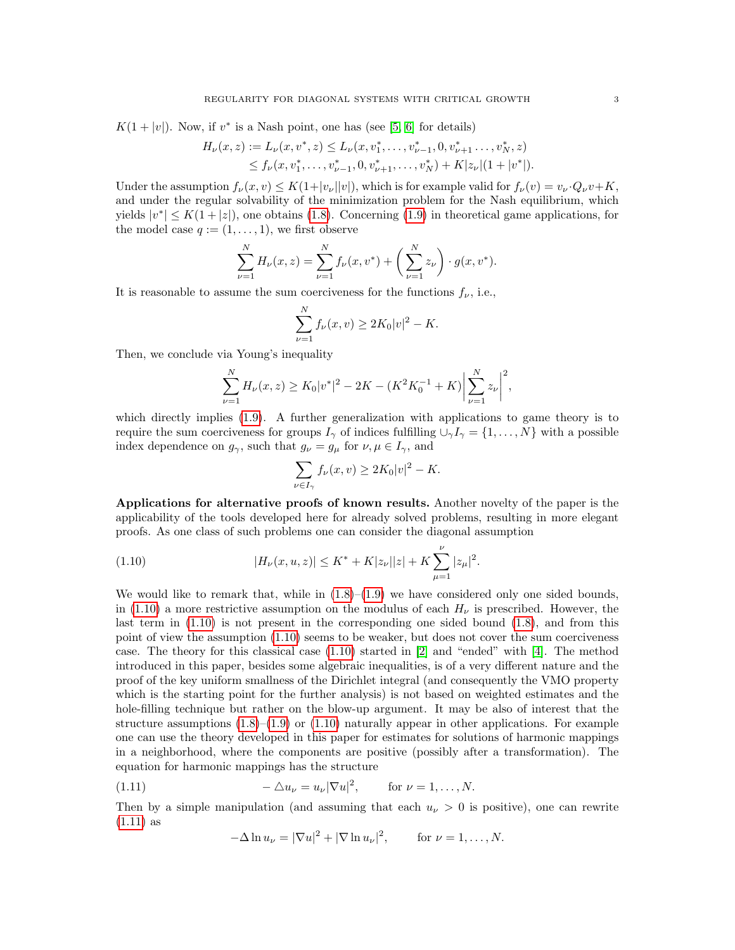$K(1+|v|)$ . Now, if  $v^*$  is a Nash point, one has (see [\[5,](#page-34-0) [6\]](#page-34-1) for details)

$$
H_{\nu}(x, z) := L_{\nu}(x, v^*, z) \le L_{\nu}(x, v_1^*, \dots, v_{\nu-1}^*, 0, v_{\nu+1}^*, \dots, v_N^*, z)
$$
  
\n
$$
\le f_{\nu}(x, v_1^*, \dots, v_{\nu-1}^*, 0, v_{\nu+1}^*, \dots, v_N^*) + K|z_{\nu}|(1 + |v^*|).
$$

Under the assumption  $f_{\nu}(x, v) \leq K(1+|v_{\nu}||v|)$ , which is for example valid for  $f_{\nu}(v) = v_{\nu} \cdot Q_{\nu} v + K$ , and under the regular solvability of the minimization problem for the Nash equilibrium, which yields  $|v^*| \le K(1+|z|)$ , one obtains [\(1.8\)](#page-1-2). Concerning [\(1.9\)](#page-1-3) in theoretical game applications, for the model case  $q := (1, \ldots, 1)$ , we first observe

$$
\sum_{\nu=1}^{N} H_{\nu}(x, z) = \sum_{\nu=1}^{N} f_{\nu}(x, v^*) + \left(\sum_{\nu=1}^{N} z_{\nu}\right) \cdot g(x, v^*).
$$

It is reasonable to assume the sum coerciveness for the functions  $f_{\nu}$ , i.e.,

$$
\sum_{\nu=1}^{N} f_{\nu}(x, v) \ge 2K_0|v|^2 - K.
$$

Then, we conclude via Young's inequality

$$
\sum_{\nu=1}^{N} H_{\nu}(x, z) \ge K_0 |v^*|^2 - 2K - (K^2 K_0^{-1} + K) \bigg| \sum_{\nu=1}^{N} z_{\nu} \bigg|^2,
$$

which directly implies [\(1.9\)](#page-1-3). A further generalization with applications to game theory is to require the sum coerciveness for groups  $I_{\gamma}$  of indices fulfilling  $\cup_{\gamma} I_{\gamma} = \{1, \ldots, N\}$  with a possible index dependence on  $g_{\gamma}$ , such that  $g_{\nu} = g_{\mu}$  for  $\nu, \mu \in I_{\gamma}$ , and

<span id="page-2-0"></span>
$$
\sum_{\nu\in I_\gamma}f_\nu(x,v)\geq 2K_0|v|^2-K.
$$

Applications for alternative proofs of known results. Another novelty of the paper is the applicability of the tools developed here for already solved problems, resulting in more elegant proofs. As one class of such problems one can consider the diagonal assumption

(1.10) 
$$
|H_{\nu}(x,u,z)| \le K^* + K|z_{\nu}||z| + K \sum_{\mu=1}^{\nu} |z_{\mu}|^2.
$$

We would like to remark that, while in  $(1.8)$ – $(1.9)$  we have considered only one sided bounds, in [\(1.10\)](#page-2-0) a more restrictive assumption on the modulus of each  $H_{\nu}$  is prescribed. However, the last term in [\(1.10\)](#page-2-0) is not present in the corresponding one sided bound [\(1.8\)](#page-1-2), and from this point of view the assumption [\(1.10\)](#page-2-0) seems to be weaker, but does not cover the sum coerciveness case. The theory for this classical case [\(1.10\)](#page-2-0) started in [\[2\]](#page-33-0) and "ended" with [\[4\]](#page-34-3). The method introduced in this paper, besides some algebraic inequalities, is of a very different nature and the proof of the key uniform smallness of the Dirichlet integral (and consequently the VMO property which is the starting point for the further analysis) is not based on weighted estimates and the hole-filling technique but rather on the blow-up argument. It may be also of interest that the structure assumptions  $(1.8)$ – $(1.9)$  or  $(1.10)$  naturally appear in other applications. For example one can use the theory developed in this paper for estimates for solutions of harmonic mappings in a neighborhood, where the components are positive (possibly after a transformation). The equation for harmonic mappings has the structure

(1.11) 
$$
-\Delta u_{\nu} = u_{\nu} |\nabla u|^2, \quad \text{for } \nu = 1, ..., N.
$$

Then by a simple manipulation (and assuming that each  $u_{\nu} > 0$  is positive), one can rewrite [\(1.11\)](#page-2-1) as

<span id="page-2-1"></span>
$$
-\Delta \ln u_{\nu} = |\nabla u|^2 + |\nabla \ln u_{\nu}|^2, \quad \text{for } \nu = 1, ..., N.
$$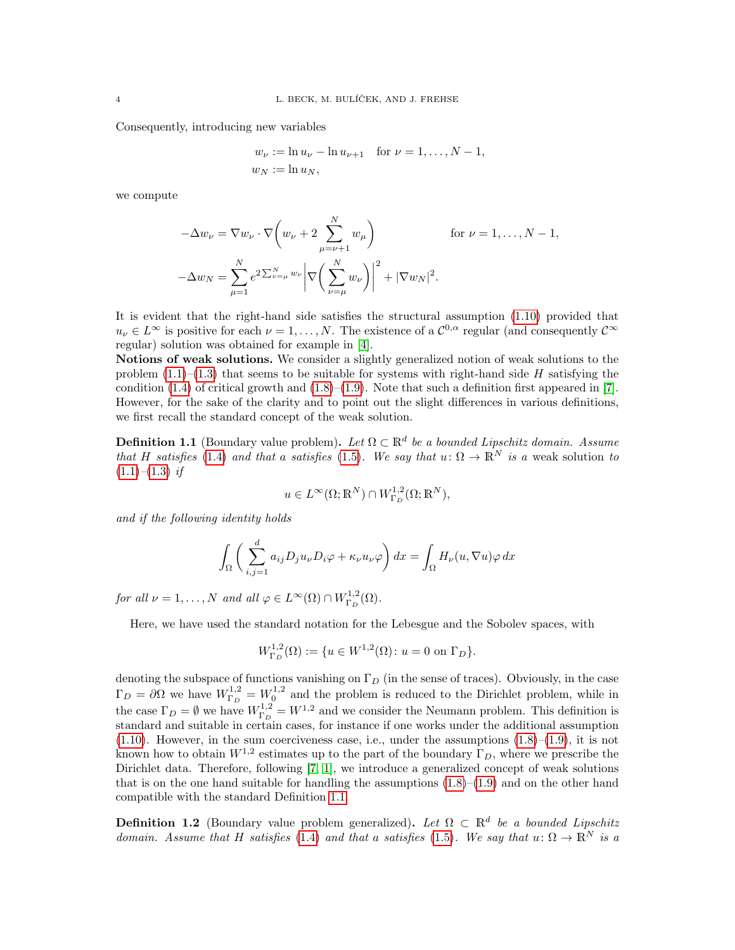Consequently, introducing new variables

$$
w_{\nu} := \ln u_{\nu} - \ln u_{\nu+1}
$$
 for  $\nu = 1, ..., N - 1$ ,  
 $w_N := \ln u_N$ ,

we compute

$$
-\Delta w_{\nu} = \nabla w_{\nu} \cdot \nabla \left(w_{\nu} + 2 \sum_{\mu=\nu+1}^{N} w_{\mu}\right) \qquad \text{for } \nu = 1, \dots, N-1,
$$
  

$$
-\Delta w_{N} = \sum_{\mu=1}^{N} e^{2 \sum_{\nu=\mu}^{N} w_{\nu}} \left| \nabla \left(\sum_{\nu=\mu}^{N} w_{\nu}\right) \right|^{2} + |\nabla w_{N}|^{2}.
$$

It is evident that the right-hand side satisfies the structural assumption [\(1.10\)](#page-2-0) provided that  $u_{\nu} \in L^{\infty}$  is positive for each  $\nu = 1, \ldots, N$ . The existence of a  $\mathcal{C}^{0,\alpha}$  regular (and consequently  $\mathcal{C}^{\infty}$ regular) solution was obtained for example in [\[4\]](#page-34-3).

Notions of weak solutions. We consider a slightly generalized notion of weak solutions to the problem  $(1.1)$ – $(1.3)$  that seems to be suitable for systems with right-hand side H satisfying the condition [\(1.4\)](#page-1-1) of critical growth and  $(1.8)$ –[\(1.9\)](#page-1-3). Note that such a definition first appeared in [\[7\]](#page-34-2). However, for the sake of the clarity and to point out the slight differences in various definitions, we first recall the standard concept of the weak solution.

<span id="page-3-0"></span>**Definition 1.1** (Boundary value problem). Let  $\Omega \subset \mathbb{R}^d$  be a bounded Lipschitz domain. Assume that H satisfies [\(1.4\)](#page-1-1) and that a satisfies [\(1.5\)](#page-1-4). We say that  $u: \Omega \to \mathbb{R}^N$  is a weak solution to  $(1.1)–(1.3)$  $(1.1)–(1.3)$  $(1.1)–(1.3)$  if

$$
u \in L^{\infty}(\Omega; \mathbb{R}^N) \cap W^{1,2}_{\Gamma_D}(\Omega; \mathbb{R}^N),
$$

and if the following identity holds

$$
\int_{\Omega} \bigg( \sum_{i,j=1}^{d} a_{ij} D_j u_{\nu} D_i \varphi + \kappa_{\nu} u_{\nu} \varphi \bigg) dx = \int_{\Omega} H_{\nu}(u, \nabla u) \varphi dx
$$

for all  $\nu = 1, ..., N$  and all  $\varphi \in L^{\infty}(\Omega) \cap W^{1,2}_{\Gamma_D}(\Omega)$ .

Here, we have used the standard notation for the Lebesgue and the Sobolev spaces, with

$$
W^{1,2}_{\Gamma_D}(\Omega) := \{ u \in W^{1,2}(\Omega) : u = 0 \text{ on } \Gamma_D \}.
$$

denoting the subspace of functions vanishing on  $\Gamma_D$  (in the sense of traces). Obviously, in the case  $\Gamma_D = \partial \Omega$  we have  $W_{\Gamma_D}^{1,2} = W_0^{1,2}$  and the problem is reduced to the Dirichlet problem, while in the case  $\Gamma_D = \emptyset$  we have  $W_{\Gamma_D}^{1,2} = W^{1,2}$  and we consider the Neumann problem. This definition is standard and suitable in certain cases, for instance if one works under the additional assumption  $(1.10)$ . However, in the sum coerciveness case, i.e., under the assumptions  $(1.8)$ – $(1.9)$ , it is not known how to obtain  $W^{1,2}$  estimates up to the part of the boundary  $\Gamma_D$ , where we prescribe the Dirichlet data. Therefore, following [\[7,](#page-34-2) [1\]](#page-33-1), we introduce a generalized concept of weak solutions that is on the one hand suitable for handling the assumptions  $(1.8)$ – $(1.9)$  and on the other hand compatible with the standard Definition [1.1.](#page-3-0)

<span id="page-3-1"></span>**Definition 1.2** (Boundary value problem generalized). Let  $\Omega \subset \mathbb{R}^d$  be a bounded Lipschitz domain. Assume that H satisfies [\(1.4\)](#page-1-1) and that a satisfies [\(1.5\)](#page-1-4). We say that  $u: \Omega \to \mathbb{R}^N$  is a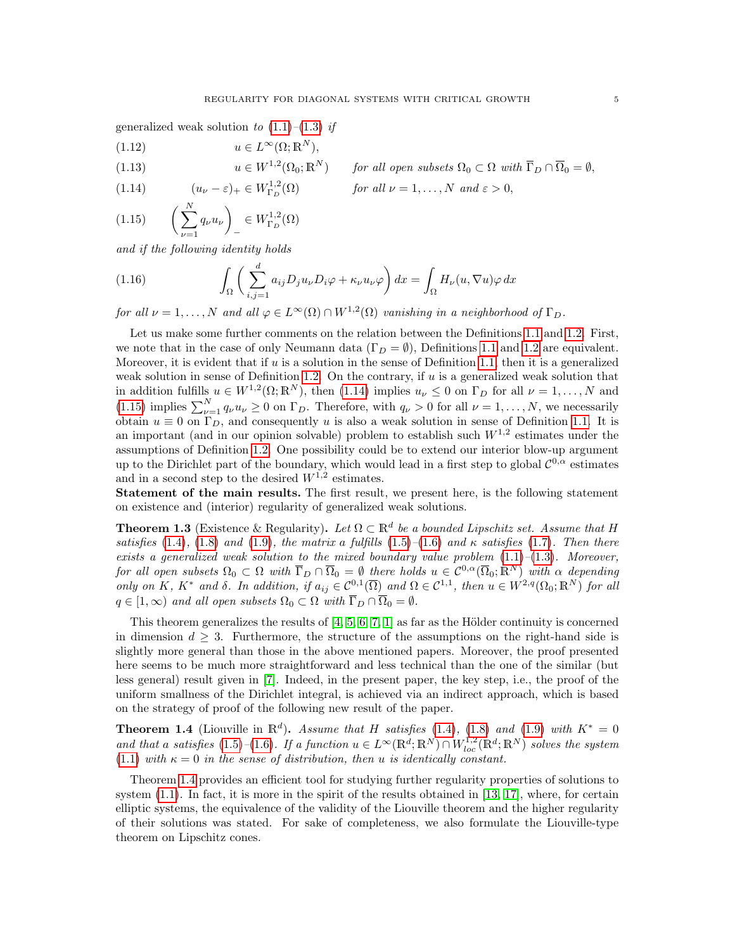generalized weak solution to  $(1.1)$ – $(1.3)$  if

(1.12) 
$$
u \in L^{\infty}(\Omega; \mathbb{R}^{N}),
$$

$$
(1.13) \t u \in W^{1,2}(\Omega_0; \mathbb{R}^N)
$$

<span id="page-4-0"></span>(1.14) 
$$
(u_{\nu}-\varepsilon)_{+} \in W^{1,2}_{\Gamma_D}(\Omega) \qquad \text{for all } \nu=1,\ldots,N \text{ and } \varepsilon>0,
$$

(1.13) 
$$
u \in W^{1,2}(\Omega_0; \mathbb{R}^N) \quad \text{for all open subsets } \Omega_0 \subset \Omega \text{ with } \overline{\Gamma}_D \cap \overline{\Omega}_0 = \emptyset,
$$
  
(1.14) 
$$
(u_{\nu} - \varepsilon)_{+} \in W^{1,2}_{\Gamma_D}(\Omega) \quad \text{for all } \nu = 1, ..., N \text{ and } \varepsilon > 0,
$$

<span id="page-4-1"></span>(1.15) 
$$
\left(\sum_{\nu=1}^{N} q_{\nu} u_{\nu}\right)_{-} \in W^{1,2}_{\Gamma_D}(\Omega)
$$

and if the following identity holds

<span id="page-4-4"></span>(1.16) 
$$
\int_{\Omega} \left( \sum_{i,j=1}^{d} a_{ij} D_j u_{\nu} D_i \varphi + \kappa_{\nu} u_{\nu} \varphi \right) dx = \int_{\Omega} H_{\nu}(u, \nabla u) \varphi dx
$$

for all  $\nu = 1, ..., N$  and all  $\varphi \in L^{\infty}(\Omega) \cap W^{1,2}(\Omega)$  vanishing in a neighborhood of  $\Gamma_D$ .

Let us make some further comments on the relation between the Definitions [1.1](#page-3-0) and [1.2.](#page-3-1) First, we note that in the case of only Neumann data  $(\Gamma_D = \emptyset)$ , Definitions [1.1](#page-3-0) and [1.2](#page-3-1) are equivalent. Moreover, it is evident that if  $u$  is a solution in the sense of Definition [1.1,](#page-3-0) then it is a generalized weak solution in sense of Definition [1.2.](#page-3-1) On the contrary, if  $u$  is a generalized weak solution that in addition fulfills  $u \in W^{1,2}(\Omega;\mathbb{R}^N)$ , then  $(1.14)$  implies  $u_{\nu} \leq 0$  on  $\Gamma_D$  for all  $\nu = 1,\ldots,N$  and [\(1.15\)](#page-4-1) implies  $\sum_{\nu=1}^{N} q_{\nu} u_{\nu} \ge 0$  on  $\Gamma_D$ . Therefore, with  $q_{\nu} > 0$  for all  $\nu = 1, ..., N$ , we necessarily obtain  $u \equiv 0$  on  $\Gamma_D$ , and consequently u is also a weak solution in sense of Definition [1.1.](#page-3-0) It is an important (and in our opinion solvable) problem to establish such  $W^{1,2}$  estimates under the assumptions of Definition [1.2.](#page-3-1) One possibility could be to extend our interior blow-up argument up to the Dirichlet part of the boundary, which would lead in a first step to global  $\mathcal{C}^{0,\alpha}$  estimates and in a second step to the desired  $W^{1,2}$  estimates.

Statement of the main results. The first result, we present here, is the following statement on existence and (interior) regularity of generalized weak solutions.

<span id="page-4-3"></span>**Theorem 1.3** (Existence & Regularity). Let  $\Omega \subset \mathbb{R}^d$  be a bounded Lipschitz set. Assume that H satisfies [\(1.4\)](#page-1-1), [\(1.8\)](#page-1-2) and [\(1.9\)](#page-1-3), the matrix a fulfills [\(1.5\)](#page-1-4)–[\(1.6\)](#page-1-5) and  $\kappa$  satisfies [\(1.7\)](#page-1-6). Then there exists a generalized weak solution to the mixed boundary value problem  $(1.1)$ – $(1.3)$ . Moreover, for all open subsets  $\Omega_0 \subset \Omega$  with  $\overline{\Gamma}_D \cap \overline{\Omega}_0 = \emptyset$  there holds  $u \in C^{0,\alpha}(\overline{\Omega}_0; \mathbb{R}^N)$  with  $\alpha$  depending only on K, K<sup>\*</sup> and  $\delta$ . In addition, if  $a_{ij} \in C^{0,1}(\overline{\Omega})$  and  $\Omega \in C^{1,1}$ , then  $u \in W^{2,q}(\Omega_0; \mathbb{R}^N)$  for all  $q \in [1,\infty)$  and all open subsets  $\Omega_0 \subset \Omega$  with  $\overline{\Gamma}_D \cap \overline{\Omega}_0 = \emptyset$ .

This theorem generalizes the results of  $[4, 5, 6, 7, 1]$  $[4, 5, 6, 7, 1]$  $[4, 5, 6, 7, 1]$  $[4, 5, 6, 7, 1]$  $[4, 5, 6, 7, 1]$  as far as the Hölder continuity is concerned in dimension  $d \geq 3$ . Furthermore, the structure of the assumptions on the right-hand side is slightly more general than those in the above mentioned papers. Moreover, the proof presented here seems to be much more straightforward and less technical than the one of the similar (but less general) result given in [\[7\]](#page-34-2). Indeed, in the present paper, the key step, i.e., the proof of the uniform smallness of the Dirichlet integral, is achieved via an indirect approach, which is based on the strategy of proof of the following new result of the paper.

<span id="page-4-2"></span>**Theorem 1.4** (Liouville in  $\mathbb{R}^d$ ). Assume that H satisfies [\(1.4\)](#page-1-1), [\(1.8\)](#page-1-2) and [\(1.9\)](#page-1-3) with  $K^* = 0$ and that a satisfies [\(1.5\)](#page-1-4)–[\(1.6\)](#page-1-5). If a function  $u \in L^{\infty}(\mathbb{R}^d; \mathbb{R}^N) \cap W_{loc}^{1,2}(\mathbb{R}^d; \mathbb{R}^N)$  solves the system [\(1.1\)](#page-0-0) with  $\kappa = 0$  in the sense of distribution, then u is identically constant.

Theorem [1.4](#page-4-2) provides an efficient tool for studying further regularity properties of solutions to system  $(1.1)$ . In fact, it is more in the spirit of the results obtained in [\[13,](#page-34-4) [17\]](#page-34-5), where, for certain elliptic systems, the equivalence of the validity of the Liouville theorem and the higher regularity of their solutions was stated. For sake of completeness, we also formulate the Liouville-type theorem on Lipschitz cones.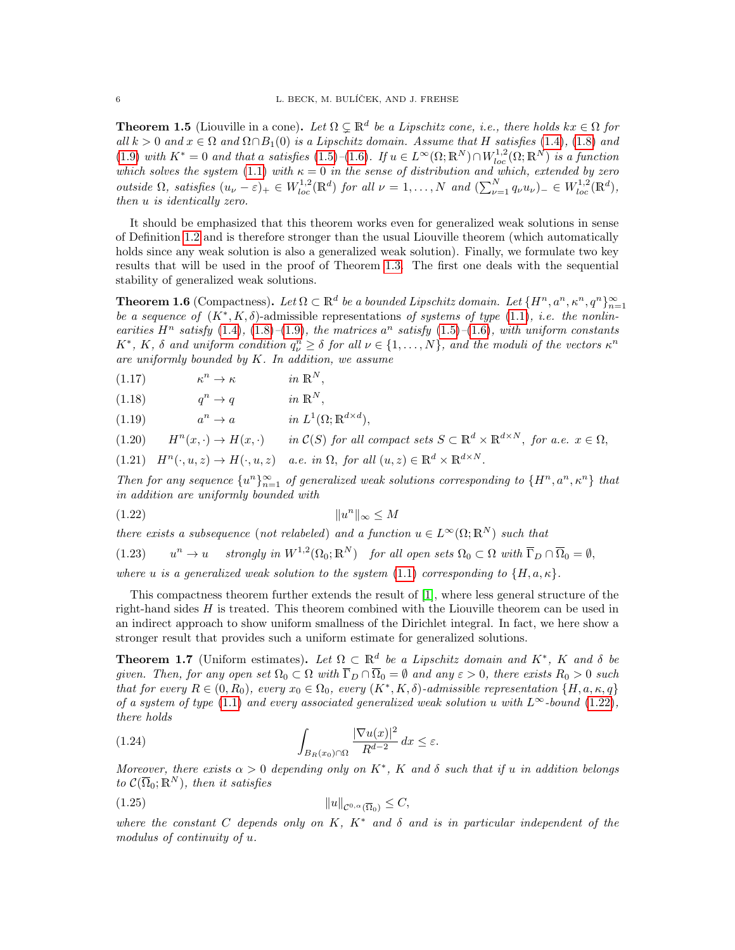<span id="page-5-4"></span>**Theorem 1.5** (Liouville in a cone). Let  $\Omega \subsetneq \mathbb{R}^d$  be a Lipschitz cone, i.e., there holds  $kx \in \Omega$  for all  $k > 0$  and  $x \in \Omega$  and  $\Omega \cap B_1(0)$  is a Lipschitz domain. Assume that H satisfies [\(1.4\)](#page-1-1), [\(1.8\)](#page-1-2) and [\(1.9\)](#page-1-3) with  $K^* = 0$  and that a satisfies [\(1.5\)](#page-1-4)–[\(1.6\)](#page-1-5). If  $u \in L^{\infty}(\Omega; \mathbb{R}^N) \cap W_{loc}^{1,2}(\Omega; \mathbb{R}^N)$  is a function which solves the system [\(1.1\)](#page-0-0) with  $\kappa = 0$  in the sense of distribution and which, extended by zero outside Ω, satisfies  $(u_\nu - \varepsilon)_+ \in W^{1,2}_{loc}(\mathbb{R}^d)$  for all  $\nu = 1,...,N$  and  $(\sum_{\nu=1}^N q_\nu u_\nu)_- \in W^{1,2}_{loc}(\mathbb{R}^d)$ , then u is identically zero.

It should be emphasized that this theorem works even for generalized weak solutions in sense of Definition [1.2](#page-3-1) and is therefore stronger than the usual Liouville theorem (which automatically holds since any weak solution is also a generalized weak solution). Finally, we formulate two key results that will be used in the proof of Theorem [1.3.](#page-4-3) The first one deals with the sequential stability of generalized weak solutions.

<span id="page-5-3"></span>**Theorem 1.6** (Compactness). Let  $\Omega \subset \mathbb{R}^d$  be a bounded Lipschitz domain. Let  $\{H^n, a^n, \kappa^n, q^n\}_{n=1}^{\infty}$ be a sequence of  $(K^*, K, \delta)$ -admissible representations of systems of type [\(1.1\)](#page-0-0), i.e. the nonlinearities  $H^n$  satisfy [\(1.4\)](#page-1-1), [\(1.8\)](#page-1-2)–[\(1.9\)](#page-1-3), the matrices  $a^n$  satisfy [\(1.5\)](#page-1-4)–[\(1.6\)](#page-1-5), with uniform constants  $K^*, K, \delta$  and uniform condition  $q_\nu^n \geq \delta$  for all  $\nu \in \{1, ..., N\}$ , and the moduli of the vectors  $\kappa^n$ are uniformly bounded by  $K$ . In addition, we assume

- (1.17)  $\kappa^n \to \kappa$  in  $\mathbb{R}^N$ ,
- <span id="page-5-6"></span>(1.18)  $q^n \to q \qquad \text{in } \mathbb{R}^N,$
- <span id="page-5-7"></span>(1.19)  $a^n \to a \qquad \text{in } L^1(\Omega; \mathbb{R}^{d \times d}),$

<span id="page-5-9"></span>(1.20)  $H^n(x, \cdot) \to H(x, \cdot)$  in  $\mathcal{C}(S)$  for all compact sets  $S \subset \mathbb{R}^d \times \mathbb{R}^{d \times N}$ , for a.e.  $x \in \Omega$ ,

<span id="page-5-10"></span> $(1.21)$   $H^n(\cdot, u, z) \to H(\cdot, u, z)$  a.e. in  $\Omega$ , for all  $(u, z) \in \mathbb{R}^d \times \mathbb{R}^{d \times N}$ .

Then for any sequence  $\{u^n\}_{n=1}^{\infty}$  of generalized weak solutions corresponding to  $\{H^n, a^n, \kappa^n\}$  that in addition are uniformly bounded with

<span id="page-5-0"></span>(1.22) ku n k<sup>∞</sup> ≤ M

there exists a subsequence (not relabeled) and a function  $u \in L^{\infty}(\Omega; \mathbb{R}^{N})$  such that

<span id="page-5-8"></span> $(1.23)$  $n \to u$  strongly in  $W^{1,2}(\Omega_0; \mathbb{R}^N)$  for all open sets  $\Omega_0 \subset \Omega$  with  $\overline{\Gamma}_D \cap \overline{\Omega}_0 = \emptyset$ ,

where u is a generalized weak solution to the system  $(1.1)$  corresponding to  $\{H, a, \kappa\}$ .

This compactness theorem further extends the result of [\[1\]](#page-33-1), where less general structure of the right-hand sides  $H$  is treated. This theorem combined with the Liouville theorem can be used in an indirect approach to show uniform smallness of the Dirichlet integral. In fact, we here show a stronger result that provides such a uniform estimate for generalized solutions.

<span id="page-5-5"></span>**Theorem 1.7** (Uniform estimates). Let  $\Omega \subset \mathbb{R}^d$  be a Lipschitz domain and K<sup>\*</sup>, K and  $\delta$  be given. Then, for any open set  $\Omega_0 \subset \Omega$  with  $\overline{\Gamma}_D \cap \overline{\Omega}_0 = \emptyset$  and any  $\varepsilon > 0$ , there exists  $R_0 > 0$  such that for every  $R \in (0, R_0)$ , every  $x_0 \in \Omega_0$ , every  $(K^*, K, \delta)$ -admissible representation  $\{H, a, \kappa, q\}$ of a system of type [\(1.1\)](#page-0-0) and every associated generalized weak solution u with  $L^{\infty}$ -bound [\(1.22\)](#page-5-0), there holds

<span id="page-5-1"></span>(1.24) 
$$
\int_{B_R(x_0)\cap\Omega} \frac{|\nabla u(x)|^2}{R^{d-2}} dx \leq \varepsilon.
$$

Moreover, there exists  $\alpha > 0$  depending only on  $K^*$ , K and  $\delta$  such that if u in addition belongs to  $\mathcal{C}(\overline{\Omega}_0;\mathbb{R}^N)$ , then it satisfies

<span id="page-5-2"></span>(1.25) kukC0,α(Ω0) ≤ C,

where the constant C depends only on K,  $K^*$  and  $\delta$  and is in particular independent of the modulus of continuity of u.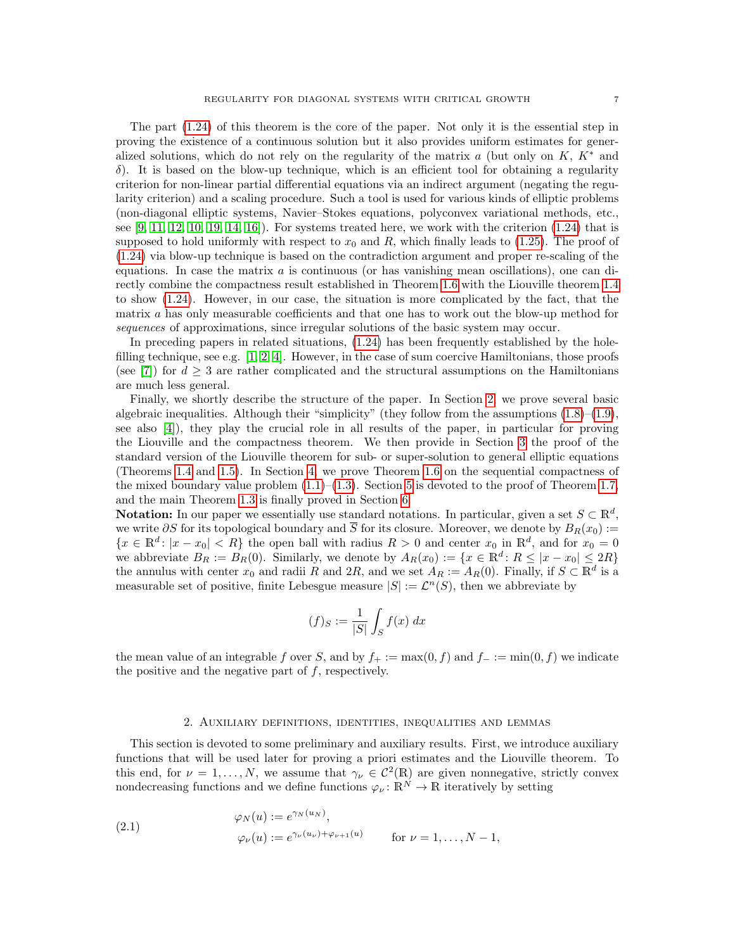The part [\(1.24\)](#page-5-1) of this theorem is the core of the paper. Not only it is the essential step in proving the existence of a continuous solution but it also provides uniform estimates for generalized solutions, which do not rely on the regularity of the matrix a (but only on K,  $K^*$  and δ). It is based on the blow-up technique, which is an efficient tool for obtaining a regularity criterion for non-linear partial differential equations via an indirect argument (negating the regularity criterion) and a scaling procedure. Such a tool is used for various kinds of elliptic problems (non-diagonal elliptic systems, Navier–Stokes equations, polyconvex variational methods, etc., see  $[9, 11, 12, 10, 19, 14, 16]$  $[9, 11, 12, 10, 19, 14, 16]$  $[9, 11, 12, 10, 19, 14, 16]$  $[9, 11, 12, 10, 19, 14, 16]$  $[9, 11, 12, 10, 19, 14, 16]$  $[9, 11, 12, 10, 19, 14, 16]$  $[9, 11, 12, 10, 19, 14, 16]$ . For systems treated here, we work with the criterion  $(1.24)$  that is supposed to hold uniformly with respect to  $x_0$  and R, which finally leads to [\(1.25\)](#page-5-2). The proof of [\(1.24\)](#page-5-1) via blow-up technique is based on the contradiction argument and proper re-scaling of the equations. In case the matrix  $a$  is continuous (or has vanishing mean oscillations), one can directly combine the compactness result established in Theorem [1.6](#page-5-3) with the Liouville theorem [1.4](#page-4-2) to show [\(1.24\)](#page-5-1). However, in our case, the situation is more complicated by the fact, that the matrix a has only measurable coefficients and that one has to work out the blow-up method for sequences of approximations, since irregular solutions of the basic system may occur.

In preceding papers in related situations, [\(1.24\)](#page-5-1) has been frequently established by the holefilling technique, see e.g.  $\left[1, 2, 4\right]$  $\left[1, 2, 4\right]$  $\left[1, 2, 4\right]$ . However, in the case of sum coercive Hamiltonians, those proofs (see [\[7\]](#page-34-2)) for  $d \geq 3$  are rather complicated and the structural assumptions on the Hamiltonians are much less general.

Finally, we shortly describe the structure of the paper. In Section [2,](#page-6-0) we prove several basic algebraic inequalities. Although their "simplicity" (they follow from the assumptions  $(1.8)$ – $(1.9)$ , see also [\[4\]](#page-34-3)), they play the crucial role in all results of the paper, in particular for proving the Liouville and the compactness theorem. We then provide in Section [3](#page-13-0) the proof of the standard version of the Liouville theorem for sub- or super-solution to general elliptic equations (Theorems [1.4](#page-4-2) and [1.5\)](#page-5-4). In Section [4,](#page-18-0) we prove Theorem [1.6](#page-5-3) on the sequential compactness of the mixed boundary value problem  $(1.1)$ – $(1.3)$ . Section [5](#page-24-0) is devoted to the proof of Theorem [1.7,](#page-5-5) and the main Theorem [1.3](#page-4-3) is finally proved in Section [6.](#page-33-2)

Notation: In our paper we essentially use standard notations. In particular, given a set  $S \subset \mathbb{R}^d$ , we write ∂S for its topological boundary and  $\overline{S}$  for its closure. Moreover, we denote by  $B_R(x_0) :=$  ${x \in \mathbb{R}^d : |x - x_0| < R}$  the open ball with radius  $R > 0$  and center  $x_0$  in  $\mathbb{R}^d$ , and for  $x_0 = 0$ we abbreviate  $B_R := B_R(0)$ . Similarly, we denote by  $A_R(x_0) := \{x \in \mathbb{R}^d \colon R \leq |x - x_0| \leq 2R\}$ the annulus with center  $x_0$  and radii R and 2R, and we set  $A_R := A_R(0)$ . Finally, if  $S \subset \mathbb{R}^d$  is a measurable set of positive, finite Lebesgue measure  $|S| := \mathcal{L}^n(S)$ , then we abbreviate by

$$
(f)_S := \frac{1}{|S|} \int_S f(x) \, dx
$$

the mean value of an integrable f over S, and by  $f_+ := \max(0, f)$  and  $f_- := \min(0, f)$  we indicate the positive and the negative part of  $f$ , respectively.

#### 2. Auxiliary definitions, identities, inequalities and lemmas

<span id="page-6-0"></span>This section is devoted to some preliminary and auxiliary results. First, we introduce auxiliary functions that will be used later for proving a priori estimates and the Liouville theorem. To this end, for  $\nu = 1, \ldots, N$ , we assume that  $\gamma_{\nu} \in C^2(\mathbb{R})$  are given nonnegative, strictly convex nondecreasing functions and we define functions  $\varphi_{\nu} \colon \mathbb{R}^{N} \to \mathbb{R}$  iteratively by setting

<span id="page-6-1"></span>(2.1) 
$$
\varphi_N(u) := e^{\gamma_N(u_N)},
$$

$$
\varphi_\nu(u) := e^{\gamma_\nu(u_\nu) + \varphi_{\nu+1}(u)} \qquad \text{for } \nu = 1, \dots, N-1,
$$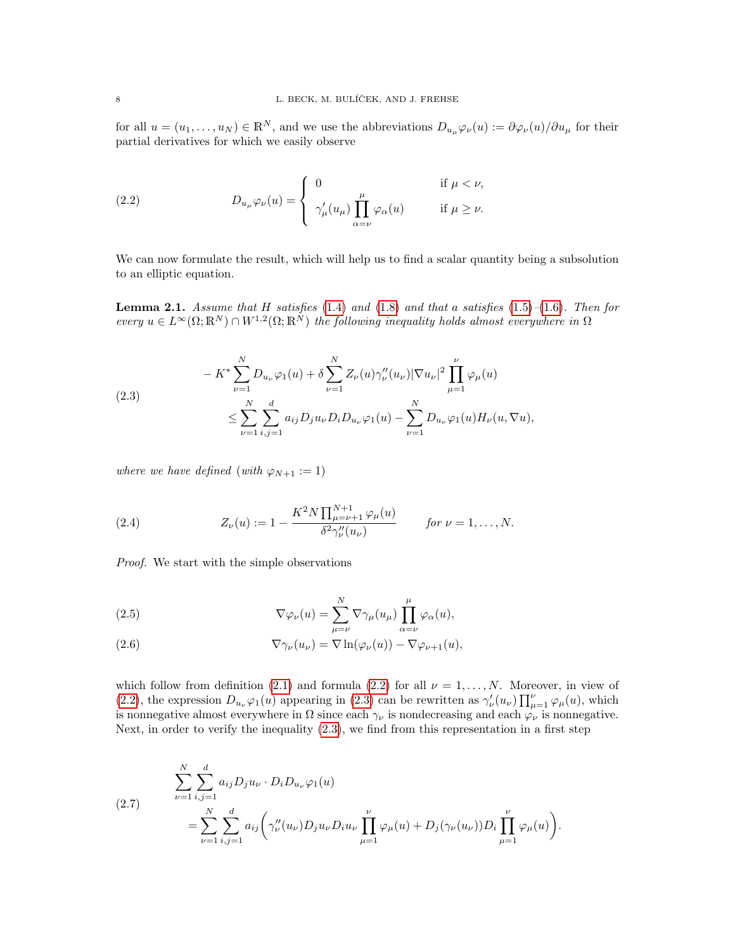for all  $u = (u_1, \ldots, u_N) \in \mathbb{R}^N$ , and we use the abbreviations  $D_{u_\mu} \varphi_\nu(u) := \partial \varphi_\nu(u) / \partial u_\mu$  for their partial derivatives for which we easily observe

<span id="page-7-0"></span>(2.2) 
$$
D_{u_{\mu}}\varphi_{\nu}(u) = \begin{cases} 0 & \text{if } \mu < \nu, \\ \gamma_{\mu}'(u_{\mu}) \prod_{\alpha=\nu}^{\mu} \varphi_{\alpha}(u) & \text{if } \mu \geq \nu. \end{cases}
$$

We can now formulate the result, which will help us to find a scalar quantity being a subsolution to an elliptic equation.

**Lemma 2.1.** Assume that H satisfies  $(1.4)$  and  $(1.8)$  and that a satisfies  $(1.5)-(1.6)$  $(1.5)-(1.6)$  $(1.5)-(1.6)$ . Then for every  $u \in L^{\infty}(\Omega; \mathbb{R}^N) \cap W^{1,2}(\Omega; \mathbb{R}^N)$  the following inequality holds almost everywhere in  $\Omega$ 

<span id="page-7-1"></span>(2.3)  
\n
$$
- K^* \sum_{\nu=1}^N D_{u_{\nu}} \varphi_1(u) + \delta \sum_{\nu=1}^N Z_{\nu}(u) \gamma_{\nu}''(u_{\nu}) |\nabla u_{\nu}|^2 \prod_{\mu=1}^{\nu} \varphi_{\mu}(u)
$$
\n
$$
\leq \sum_{\nu=1}^N \sum_{i,j=1}^d a_{ij} D_j u_{\nu} D_i D_{u_{\nu}} \varphi_1(u) - \sum_{\nu=1}^N D_{u_{\nu}} \varphi_1(u) H_{\nu}(u, \nabla u),
$$

where we have defined (with  $\varphi_{N+1} := 1$ )

<span id="page-7-5"></span>(2.4) 
$$
Z_{\nu}(u) := 1 - \frac{K^2 N \prod_{\mu=\nu+1}^{N+1} \varphi_{\mu}(u)}{\delta^2 \gamma_{\nu}''(u_{\nu})} \quad \text{for } \nu = 1, ..., N.
$$

Proof. We start with the simple observations

<span id="page-7-2"></span>(2.5) 
$$
\nabla \varphi_{\nu}(u) = \sum_{\mu=\nu}^{N} \nabla \gamma_{\mu}(u_{\mu}) \prod_{\alpha=\nu}^{\mu} \varphi_{\alpha}(u),
$$

<span id="page-7-4"></span>(2.6) 
$$
\nabla \gamma_{\nu}(u_{\nu}) = \nabla \ln(\varphi_{\nu}(u)) - \nabla \varphi_{\nu+1}(u),
$$

which follow from definition [\(2.1\)](#page-6-1) and formula [\(2.2\)](#page-7-0) for all  $\nu = 1, \ldots, N$ . Moreover, in view of [\(2.2\)](#page-7-0), the expression  $D_{u_{\nu}}\varphi_1(u)$  appearing in [\(2.3\)](#page-7-1) can be rewritten as  $\gamma_{\nu}'(u_{\nu})\prod_{\mu=1}^{\nu}\varphi_{\mu}(u)$ , which is nonnegative almost everywhere in  $\Omega$  since each  $\gamma_{\nu}$  is nondecreasing and each  $\varphi_{\nu}$  is nonnegative. Next, in order to verify the inequality [\(2.3\)](#page-7-1), we find from this representation in a first step

<span id="page-7-3"></span>(2.7) 
$$
\sum_{\nu=1}^{N} \sum_{i,j=1}^{d} a_{ij} D_j u_{\nu} \cdot D_i D_{u_{\nu}} \varphi_1(u)
$$

$$
= \sum_{\nu=1}^{N} \sum_{i,j=1}^{d} a_{ij} \left( \gamma_{\nu}''(u_{\nu}) D_j u_{\nu} D_i u_{\nu} \prod_{\mu=1}^{\nu} \varphi_{\mu}(u) + D_j(\gamma_{\nu}(u_{\nu})) D_i \prod_{\mu=1}^{\nu} \varphi_{\mu}(u) \right).
$$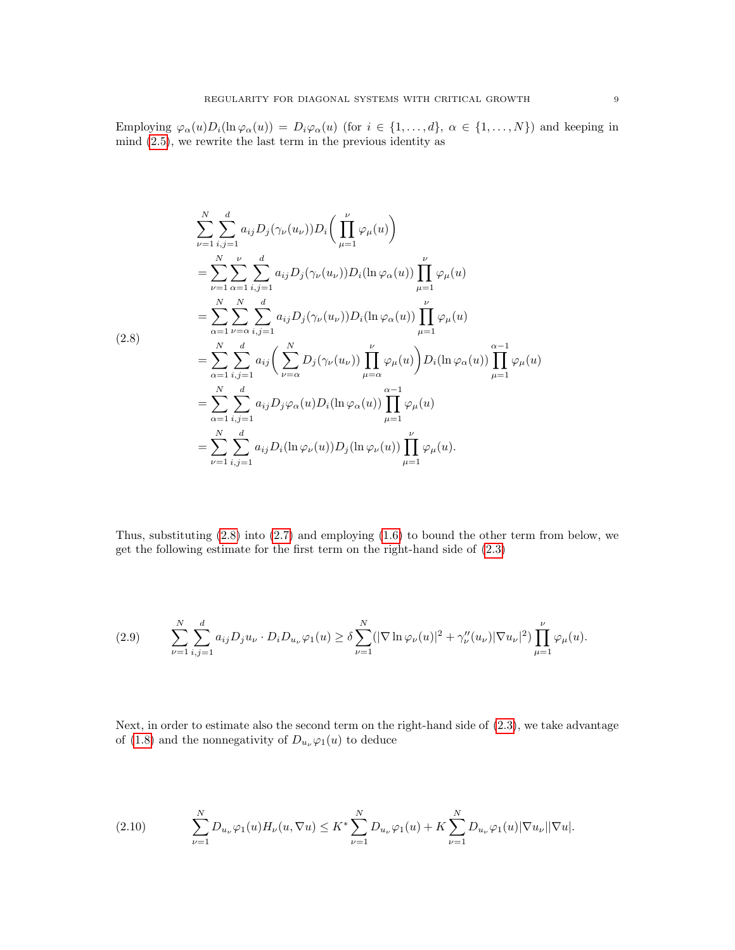Employing  $\varphi_\alpha(u)D_i(\ln \varphi_\alpha(u)) = D_i\varphi_\alpha(u)$  (for  $i \in \{1, ..., d\}, \alpha \in \{1, ..., N\}$ ) and keeping in mind [\(2.5\)](#page-7-2), we rewrite the last term in the previous identity as

<span id="page-8-0"></span>
$$
\sum_{\nu=1}^{N} \sum_{i,j=1}^{d} a_{ij} D_j(\gamma_{\nu}(u_{\nu})) D_i \left( \prod_{\mu=1}^{\nu} \varphi_{\mu}(u) \right)
$$
\n
$$
= \sum_{\nu=1}^{N} \sum_{\alpha=1}^{\nu} \sum_{i,j=1}^{d} a_{ij} D_j(\gamma_{\nu}(u_{\nu})) D_i (\ln \varphi_{\alpha}(u)) \prod_{\mu=1}^{\nu} \varphi_{\mu}(u)
$$
\n
$$
= \sum_{\alpha=1}^{N} \sum_{\nu=\alpha}^{N} \sum_{i,j=1}^{d} a_{ij} D_j(\gamma_{\nu}(u_{\nu})) D_i (\ln \varphi_{\alpha}(u)) \prod_{\mu=1}^{\nu} \varphi_{\mu}(u)
$$
\n
$$
= \sum_{\alpha=1}^{N} \sum_{i,j=1}^{d} a_{ij} \left( \sum_{\nu=\alpha}^{N} D_j(\gamma_{\nu}(u_{\nu})) \prod_{\mu=\alpha}^{\nu} \varphi_{\mu}(u) \right) D_i (\ln \varphi_{\alpha}(u)) \prod_{\mu=1}^{\alpha-1} \varphi_{\mu}(u)
$$
\n
$$
= \sum_{\alpha=1}^{N} \sum_{i,j=1}^{d} a_{ij} D_j \varphi_{\alpha}(u) D_i (\ln \varphi_{\alpha}(u)) \prod_{\mu=1}^{\nu} \varphi_{\mu}(u)
$$
\n
$$
= \sum_{\nu=1}^{N} \sum_{i,j=1}^{d} a_{ij} D_i (\ln \varphi_{\nu}(u)) D_j (\ln \varphi_{\nu}(u)) \prod_{\mu=1}^{\nu} \varphi_{\mu}(u).
$$

Thus, substituting  $(2.8)$  into  $(2.7)$  and employing  $(1.6)$  to bound the other term from below, we get the following estimate for the first term on the right-hand side of [\(2.3\)](#page-7-1)

<span id="page-8-2"></span>
$$
(2.9) \qquad \sum_{\nu=1}^{N} \sum_{i,j=1}^{d} a_{ij} D_j u_{\nu} \cdot D_i D_{u_{\nu}} \varphi_1(u) \ge \delta \sum_{\nu=1}^{N} (|\nabla \ln \varphi_{\nu}(u)|^2 + \gamma_{\nu}''(u_{\nu}) |\nabla u_{\nu}|^2) \prod_{\mu=1}^{\nu} \varphi_{\mu}(u).
$$

Next, in order to estimate also the second term on the right-hand side of [\(2.3\)](#page-7-1), we take advantage of [\(1.8\)](#page-1-2) and the nonnegativity of  $D_{u_{\nu}}\varphi_1(u)$  to deduce

<span id="page-8-1"></span>(2.10) 
$$
\sum_{\nu=1}^{N} D_{u_{\nu}} \varphi_1(u) H_{\nu}(u, \nabla u) \leq K^* \sum_{\nu=1}^{N} D_{u_{\nu}} \varphi_1(u) + K \sum_{\nu=1}^{N} D_{u_{\nu}} \varphi_1(u) |\nabla u_{\nu}| |\nabla u|.
$$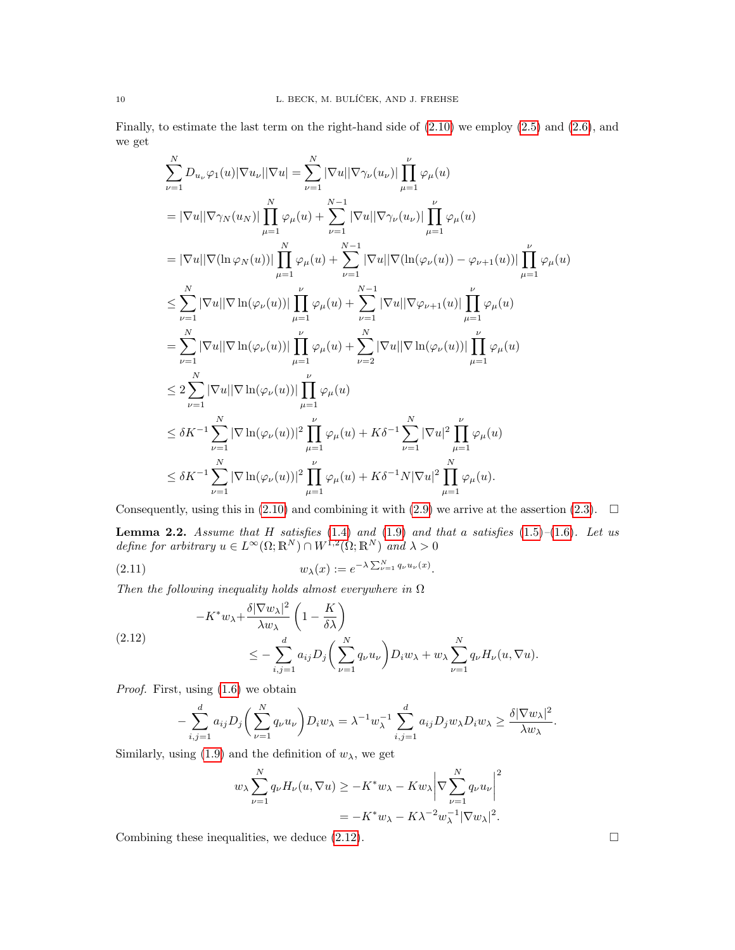Finally, to estimate the last term on the right-hand side of [\(2.10\)](#page-8-1) we employ [\(2.5\)](#page-7-2) and [\(2.6\)](#page-7-4), and we get

$$
\begin{split} &\sum_{\nu=1}^{N}D_{u_{\nu}}\varphi_{1}(u)|\nabla u_{\nu}||\nabla u| = \sum_{\nu=1}^{N}|\nabla u||\nabla\gamma_{\nu}(u_{\nu})|\prod_{\mu=1}^{\nu}\varphi_{\mu}(u) \\ &= |\nabla u||\nabla\gamma_{N}(u_{N})|\prod_{\mu=1}^{N}\varphi_{\mu}(u)+\sum_{\nu=1}^{N-1}|\nabla u||\nabla\gamma_{\nu}(u_{\nu})|\prod_{\mu=1}^{\nu}\varphi_{\mu}(u) \\ &= |\nabla u||\nabla(\ln\varphi_{N}(u))|\prod_{\mu=1}^{N}\varphi_{\mu}(u)+\sum_{\nu=1}^{N-1}|\nabla u||\nabla(\ln(\varphi_{\nu}(u))-\varphi_{\nu+1}(u))|\prod_{\mu=1}^{\nu}\varphi_{\mu}(u) \\ &\leq \sum_{\nu=1}^{N}|\nabla u||\nabla\ln(\varphi_{\nu}(u))|\prod_{\mu=1}^{\nu}\varphi_{\mu}(u)+\sum_{\nu=1}^{N-1}|\nabla u||\nabla\varphi_{\nu+1}(u)|\prod_{\mu=1}^{\nu}\varphi_{\mu}(u) \\ &=\sum_{\nu=1}^{N}|\nabla u||\nabla\ln(\varphi_{\nu}(u))|\prod_{\mu=1}^{\nu}\varphi_{\mu}(u)+\sum_{\nu=2}^{N}|\nabla u||\nabla\ln(\varphi_{\nu}(u))|\prod_{\mu=1}^{\nu}\varphi_{\mu}(u) \\ &\leq 2\sum_{\nu=1}^{N}|\nabla u||\nabla\ln(\varphi_{\nu}(u))|\prod_{\mu=1}^{\nu}\varphi_{\mu}(u) \\ &\leq \delta K^{-1}\sum_{\nu=1}^{N}|\nabla\ln(\varphi_{\nu}(u))|^{2}\prod_{\mu=1}^{\nu}\varphi_{\mu}(u)+K\delta^{-1}\sum_{\nu=1}^{N}|\nabla u|^{2}\prod_{\mu=1}^{\nu}\varphi_{\mu}(u) \\ &\leq \delta K^{-1}\sum_{\nu=1}^{N}|\nabla\ln(\varphi_{\nu}(u))|^{2}\prod_{\mu=1}^{\nu}\varphi_{\mu}(u)+K\delta^{-1}N|\nabla u|^{2}\prod_{\mu=
$$

Consequently, using this in [\(2.10\)](#page-8-1) and combining it with [\(2.9\)](#page-8-2) we arrive at the assertion [\(2.3\)](#page-7-1).  $\Box$ 

<span id="page-9-1"></span>**Lemma 2.2.** Assume that H satisfies  $(1.4)$  and  $(1.9)$  and that a satisfies  $(1.5)$ – $(1.6)$ . Let us define for arbitrary  $u \in L^{\infty}(\Omega; \mathbb{R}^{N}) \cap W^{1,2}(\Omega; \mathbb{R}^{N})$  and  $\lambda > 0$ 

<span id="page-9-2"></span>(2.11) 
$$
w_{\lambda}(x) := e^{-\lambda \sum_{\nu=1}^{N} q_{\nu} u_{\nu}(x)}.
$$

Then the following inequality holds almost everywhere in  $\Omega$ 

<span id="page-9-0"></span>
$$
(2.12)
$$
\n
$$
-K^*w_{\lambda} + \frac{\delta |\nabla w_{\lambda}|^2}{\lambda w_{\lambda}} \left(1 - \frac{K}{\delta \lambda}\right)
$$
\n
$$
\leq -\sum_{i,j=1}^d a_{ij} D_j \left(\sum_{\nu=1}^N q_{\nu} u_{\nu}\right) D_i w_{\lambda} + w_{\lambda} \sum_{\nu=1}^N q_{\nu} H_{\nu}(u, \nabla u).
$$

Proof. First, using  $(1.6)$  we obtain

$$
-\sum_{i,j=1}^d a_{ij} D_j \bigg(\sum_{\nu=1}^N q_\nu u_\nu\bigg) D_i w_\lambda = \lambda^{-1} w_\lambda^{-1} \sum_{i,j=1}^d a_{ij} D_j w_\lambda D_i w_\lambda \ge \frac{\delta |\nabla w_\lambda|^2}{\lambda w_\lambda}.
$$

Similarly, using [\(1.9\)](#page-1-3) and the definition of  $w_{\lambda}$ , we get

$$
w_{\lambda} \sum_{\nu=1}^{N} q_{\nu} H_{\nu}(u, \nabla u) \ge -K^* w_{\lambda} - K w_{\lambda} \left| \nabla \sum_{\nu=1}^{N} q_{\nu} u_{\nu} \right|^2
$$
  
=  $-K^* w_{\lambda} - K \lambda^{-2} w_{\lambda}^{-1} |\nabla w_{\lambda}|^2$ .

Combining these inequalities, we deduce  $(2.12)$ .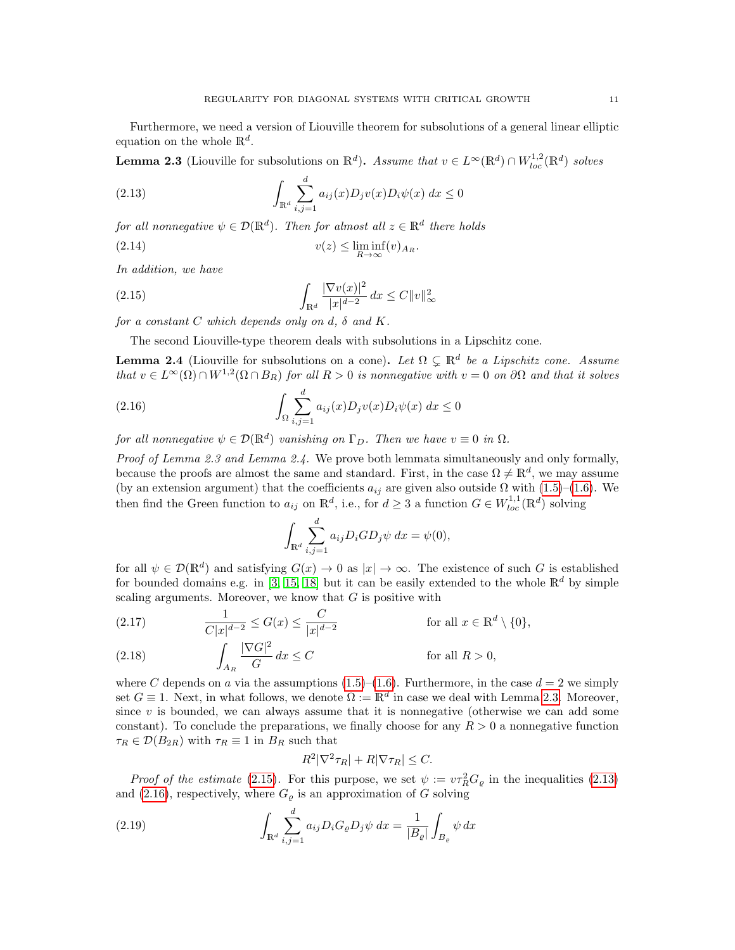Furthermore, we need a version of Liouville theorem for subsolutions of a general linear elliptic equation on the whole  $\mathbb{R}^d$ .

<span id="page-10-0"></span>**Lemma 2.3** (Liouville for subsolutions on  $\mathbb{R}^d$ ). Assume that  $v \in L^{\infty}(\mathbb{R}^d) \cap W_{loc}^{1,2}(\mathbb{R}^d)$  solves

<span id="page-10-2"></span>(2.13) 
$$
\int_{\mathbb{R}^d} \sum_{i,j=1}^d a_{ij}(x) D_j v(x) D_i \psi(x) dx \le 0
$$

for all nonnegative  $\psi \in \mathcal{D}(\mathbb{R}^d)$ . Then for almost all  $z \in \mathbb{R}^d$  there holds

<span id="page-10-7"></span>(2.14) 
$$
v(z) \le \liminf_{R \to \infty} (v)_{A_R}.
$$

In addition, we have

(2.15) 
$$
\int_{\mathbb{R}^d} \frac{|\nabla v(x)|^2}{|x|^{d-2}} dx \le C \|v\|_{\infty}^2
$$

for a constant C which depends only on d,  $\delta$  and K.

<span id="page-10-1"></span>The second Liouville-type theorem deals with subsolutions in a Lipschitz cone.

<span id="page-10-8"></span>**Lemma 2.4** (Liouville for subsolutions on a cone). Let  $\Omega \subsetneq \mathbb{R}^d$  be a Lipschitz cone. Assume that  $v \in L^{\infty}(\Omega) \cap W^{1,2}(\Omega \cap B_R)$  for all  $R > 0$  is nonnegative with  $v = 0$  on  $\partial \Omega$  and that it solves

(2.16) 
$$
\int_{\Omega} \sum_{i,j=1}^{d} a_{ij}(x) D_j v(x) D_i \psi(x) dx \leq 0
$$

for all nonnegative  $\psi \in \mathcal{D}(\mathbb{R}^d)$  vanishing on  $\Gamma_D$ . Then we have  $v \equiv 0$  in  $\Omega$ .

Proof of Lemma 2.3 and Lemma 2.4. We prove both lemmata simultaneously and only formally, because the proofs are almost the same and standard. First, in the case  $\Omega \neq \mathbb{R}^d$ , we may assume (by an extension argument) that the coefficients  $a_{ij}$  are given also outside  $\Omega$  with [\(1.5\)](#page-1-4)–[\(1.6\)](#page-1-5). We then find the Green function to  $a_{ij}$  on  $\mathbb{R}^d$ , i.e., for  $d \geq 3$  a function  $G \in W^{1,1}_{loc}(\mathbb{R}^d)$  solving

<span id="page-10-3"></span>
$$
\int_{\mathbb{R}^d} \sum_{i,j=1}^d a_{ij} D_i G D_j \psi \, dx = \psi(0),
$$

for all  $\psi \in \mathcal{D}(\mathbb{R}^d)$  and satisfying  $G(x) \to 0$  as  $|x| \to \infty$ . The existence of such G is established for bounded domains e.g. in [\[3,](#page-34-13) [15,](#page-34-14) [18\]](#page-34-15) but it can be easily extended to the whole  $\mathbb{R}^d$  by simple scaling arguments. Moreover, we know that  $G$  is positive with

<span id="page-10-5"></span>
$$
(2.17)
$$
\n
$$
\frac{1}{C|x|^{d-2}} \le G(x) \le \frac{C}{|x|^{d-2}} \qquad \text{for all } x \in \mathbb{R}^d \setminus \{0\},
$$
\n
$$
(2.18)
$$
\n
$$
\int \frac{|\nabla G|^2}{|x|^d} dx < C \qquad \text{for all } R > 0.
$$

<span id="page-10-6"></span>(2.18) 
$$
\int_{A_R} \frac{|\nabla G|^2}{G} dx \leq C
$$

where C depends on a via the assumptions  $(1.5)-(1.6)$  $(1.5)-(1.6)$ . Furthermore, in the case  $d = 2$  we simply set  $G \equiv 1$ . Next, in what follows, we denote  $\Omega := \mathbb{R}^d$  in case we deal with Lemma [2.3.](#page-10-0) Moreover, since  $v$  is bounded, we can always assume that it is nonnegative (otherwise we can add some constant). To conclude the preparations, we finally choose for any  $R > 0$  a nonnegative function  $\tau_R \in \mathcal{D}(B_{2R})$  with  $\tau_R \equiv 1$  in  $B_R$  such that

<span id="page-10-4"></span>
$$
R^2|\nabla^2\tau_R| + R|\nabla\tau_R| \le C.
$$

*Proof of the estimate* [\(2.15\)](#page-10-1). For this purpose, we set  $\psi := v \tau_R^2 G_\varrho$  in the inequalities [\(2.13\)](#page-10-2) and [\(2.16\)](#page-10-3), respectively, where  $G_{\rho}$  is an approximation of G solving

(2.19) 
$$
\int_{\mathbb{R}^d} \sum_{i,j=1}^d a_{ij} D_i G_{\varrho} D_j \psi \, dx = \frac{1}{|B_{\varrho}|} \int_{B_{\varrho}} \psi \, dx
$$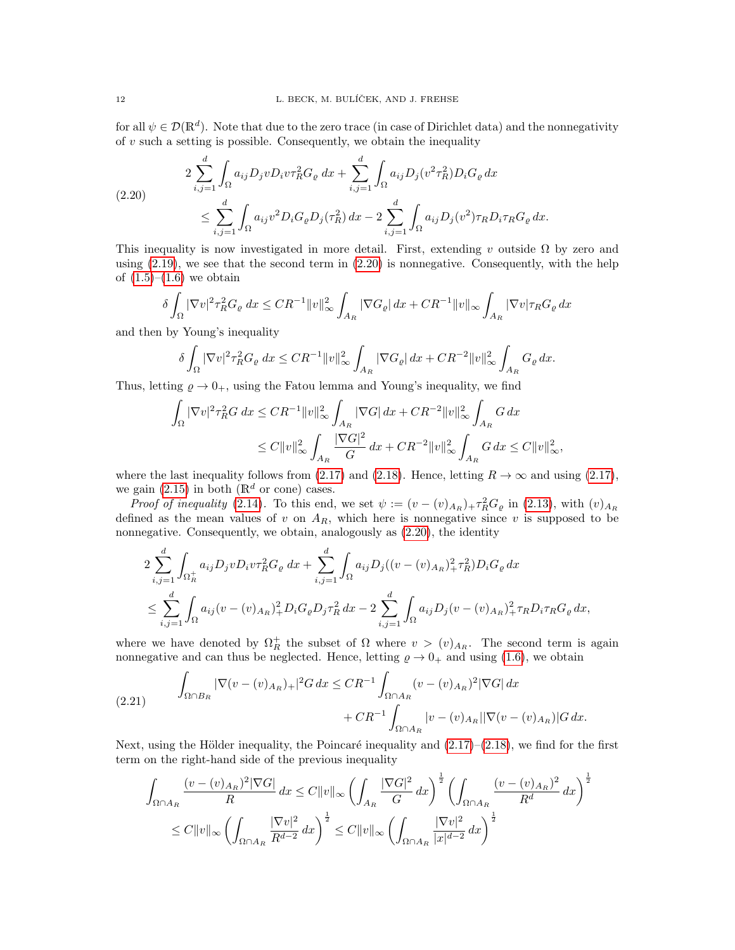for all  $\psi \in \mathcal{D}(\mathbb{R}^d)$ . Note that due to the zero trace (in case of Dirichlet data) and the nonnegativity of  $v$  such a setting is possible. Consequently, we obtain the inequality

<span id="page-11-0"></span>
$$
(2.20) \quad 2 \sum_{i,j=1}^{d} \int_{\Omega} a_{ij} D_{j} v D_{i} v \tau_{R}^{2} G_{\varrho} \, dx + \sum_{i,j=1}^{d} \int_{\Omega} a_{ij} D_{j} (v^{2} \tau_{R}^{2}) D_{i} G_{\varrho} \, dx \n\leq \sum_{i,j=1}^{d} \int_{\Omega} a_{ij} v^{2} D_{i} G_{\varrho} D_{j} (\tau_{R}^{2}) \, dx - 2 \sum_{i,j=1}^{d} \int_{\Omega} a_{ij} D_{j} (v^{2}) \tau_{R} D_{i} \tau_{R} G_{\varrho} \, dx.
$$

This inequality is now investigated in more detail. First, extending v outside  $\Omega$  by zero and using  $(2.19)$ , we see that the second term in  $(2.20)$  is nonnegative. Consequently, with the help of  $(1.5)$ – $(1.6)$  we obtain

$$
\delta \int_{\Omega} |\nabla v|^2 \tau_R^2 G_{\varrho} dx \leq C R^{-1} \|v\|_{\infty}^2 \int_{A_R} |\nabla G_{\varrho}| dx + C R^{-1} \|v\|_{\infty} \int_{A_R} |\nabla v| \tau_R G_{\varrho} dx
$$

and then by Young's inequality

$$
\delta \int_{\Omega} |\nabla v|^2 \tau_R^2 G_\varrho \ dx \leq C R^{-1} \|v\|_\infty^2 \int_{A_R} |\nabla G_\varrho| \ dx + C R^{-2} \|v\|_\infty^2 \int_{A_R} G_\varrho \ dx.
$$

Thus, letting  $\rho \to 0_+$ , using the Fatou lemma and Young's inequality, we find

$$
\int_{\Omega} |\nabla v|^2 \tau_R^2 G \, dx \leq C R^{-1} \|v\|_{\infty}^2 \int_{A_R} |\nabla G| \, dx + C R^{-2} \|v\|_{\infty}^2 \int_{A_R} G \, dx
$$
  

$$
\leq C \|v\|_{\infty}^2 \int_{A_R} \frac{|\nabla G|^2}{G} \, dx + C R^{-2} \|v\|_{\infty}^2 \int_{A_R} G \, dx \leq C \|v\|_{\infty}^2,
$$

where the last inequality follows from [\(2.17\)](#page-10-5) and [\(2.18\)](#page-10-6). Hence, letting  $R \to \infty$  and using (2.17), we gain  $(2.15)$  in both  $(\mathbb{R}^d$  or cone) cases.

*Proof of inequality* [\(2.14\)](#page-10-7). To this end, we set  $\psi := (v - (v)_{A_R}) + \tau_R^2 G_{\varrho}$  in [\(2.13\)](#page-10-2), with  $(v)_{A_R}$ defined as the mean values of v on  $A_R$ , which here is nonnegative since v is supposed to be nonnegative. Consequently, we obtain, analogously as [\(2.20\)](#page-11-0), the identity

$$
2\sum_{i,j=1}^{d} \int_{\Omega_R^+} a_{ij} D_j v D_i v \tau_R^2 G_{\varrho} \, dx + \sum_{i,j=1}^{d} \int_{\Omega} a_{ij} D_j ((v - (v)_{A_R})_+^2 \tau_R^2) D_i G_{\varrho} \, dx
$$
  

$$
\leq \sum_{i,j=1}^{d} \int_{\Omega} a_{ij} (v - (v)_{A_R})_+^2 D_i G_{\varrho} D_j \tau_R^2 \, dx - 2 \sum_{i,j=1}^{d} \int_{\Omega} a_{ij} D_j (v - (v)_{A_R})_+^2 \tau_R D_i \tau_R G_{\varrho} \, dx,
$$

where we have denoted by  $\Omega_R^+$  the subset of  $\Omega$  where  $v > (v)_{A_R}$ . The second term is again nonnegative and can thus be neglected. Hence, letting  $\rho \to 0_+$  and using [\(1.6\)](#page-1-5), we obtain

<span id="page-11-1"></span>(2.21) 
$$
\int_{\Omega \cap B_R} |\nabla (v - (v)_{A_R})_+|^2 G dx \leq C R^{-1} \int_{\Omega \cap A_R} (v - (v)_{A_R})^2 |\nabla G| dx + C R^{-1} \int_{\Omega \cap A_R} |v - (v)_{A_R}| |\nabla (v - (v)_{A_R})| G dx.
$$

Next, using the Hölder inequality, the Poincaré inequality and  $(2.17)$ – $(2.18)$ , we find for the first term on the right-hand side of the previous inequality

$$
\int_{\Omega \cap A_R} \frac{(v - (v)_{A_R})^2 |\nabla G|}{R} dx \le C \|v\|_{\infty} \left( \int_{A_R} \frac{|\nabla G|^2}{G} dx \right)^{\frac{1}{2}} \left( \int_{\Omega \cap A_R} \frac{(v - (v)_{A_R})^2}{R^d} dx \right)^{\frac{1}{2}}
$$
  

$$
\le C \|v\|_{\infty} \left( \int_{\Omega \cap A_R} \frac{|\nabla v|^2}{R^{d-2}} dx \right)^{\frac{1}{2}} \le C \|v\|_{\infty} \left( \int_{\Omega \cap A_R} \frac{|\nabla v|^2}{|x|^{d-2}} dx \right)^{\frac{1}{2}}
$$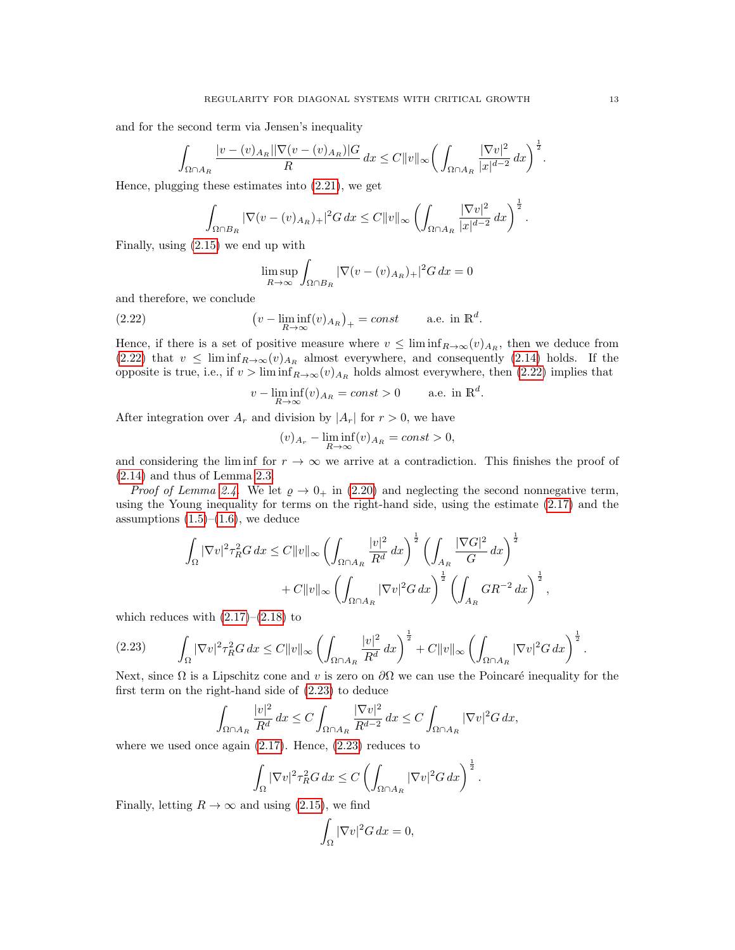and for the second term via Jensen's inequality

$$
\int_{\Omega \cap A_R} \frac{|v - (v)_{A_R}||\nabla (v - (v)_{A_R})|G}{R} dx \le C||v||_{\infty} \left(\int_{\Omega \cap A_R} \frac{|\nabla v|^2}{|x|^{d-2}} dx\right)^{\frac{1}{2}}.
$$

Hence, plugging these estimates into [\(2.21\)](#page-11-1), we get

$$
\int_{\Omega \cap B_R} |\nabla (v - (v)_{A_R})_+|^2 G\,dx \leq C \|v\|_\infty \left( \int_{\Omega \cap A_R} \frac{|\nabla v|^2}{|x|^{d-2}}\,dx \right)^{\frac{1}{2}}.
$$

Finally, using [\(2.15\)](#page-10-1) we end up with

<span id="page-12-0"></span>
$$
\limsup_{R \to \infty} \int_{\Omega \cap B_R} |\nabla (v - (v)_{A_R})_+|^2 G \, dx = 0
$$

and therefore, we conclude

(2.22) 
$$
\left(v - \liminf_{R \to \infty} (v)_{A_R}\right)_+ = const \quad \text{a.e. in } \mathbb{R}^d.
$$

Hence, if there is a set of positive measure where  $v \leq \liminf_{R\to\infty} (v)_{A_R}$ , then we deduce from [\(2.22\)](#page-12-0) that  $v \leq \liminf_{R\to\infty}(v)_{A_R}$  almost everywhere, and consequently [\(2.14\)](#page-10-7) holds. If the opposite is true, i.e., if  $v > \liminf_{R\to\infty}(v)_{A_R}$  holds almost everywhere, then [\(2.22\)](#page-12-0) implies that

$$
v - \liminf_{R \to \infty} (v)_{A_R} = const > 0 \quad \text{a.e. in } \mathbb{R}^d.
$$

After integration over  $A_r$  and division by  $|A_r|$  for  $r > 0$ , we have

$$
(v)_{A_r} - \liminf_{R \to \infty} (v)_{A_R} = const > 0,
$$

and considering the liminf for  $r \to \infty$  we arrive at a contradiction. This finishes the proof of [\(2.14\)](#page-10-7) and thus of Lemma [2.3.](#page-10-0)

*Proof of Lemma [2.4.](#page-10-8)* We let  $\rho \rightarrow 0_+$  in [\(2.20\)](#page-11-0) and neglecting the second nonnegative term, using the Young inequality for terms on the right-hand side, using the estimate [\(2.17\)](#page-10-5) and the assumptions  $(1.5)$ – $(1.6)$ , we deduce

$$
\int_{\Omega} |\nabla v|^2 \tau_R^2 G \, dx \le C \|v\|_{\infty} \left( \int_{\Omega \cap A_R} \frac{|v|^2}{R^d} \, dx \right)^{\frac{1}{2}} \left( \int_{A_R} \frac{|\nabla G|^2}{G} \, dx \right)^{\frac{1}{2}} \n+ C \|v\|_{\infty} \left( \int_{\Omega \cap A_R} |\nabla v|^2 G \, dx \right)^{\frac{1}{2}} \left( \int_{A_R} G R^{-2} \, dx \right)^{\frac{1}{2}},
$$

which reduces with  $(2.17)$ – $(2.18)$  to

<span id="page-12-1"></span>
$$
(2.23) \qquad \int_{\Omega} |\nabla v|^2 \tau_R^2 G \, dx \le C \|v\|_{\infty} \left( \int_{\Omega \cap A_R} \frac{|v|^2}{R^d} \, dx \right)^{\frac{1}{2}} + C \|v\|_{\infty} \left( \int_{\Omega \cap A_R} |\nabla v|^2 G \, dx \right)^{\frac{1}{2}}.
$$

Next, since  $\Omega$  is a Lipschitz cone and v is zero on  $\partial\Omega$  we can use the Poincaré inequality for the first term on the right-hand side of [\(2.23\)](#page-12-1) to deduce

$$
\int_{\Omega \cap A_R} \frac{|v|^2}{R^d} dx \le C \int_{\Omega \cap A_R} \frac{|\nabla v|^2}{R^{d-2}} dx \le C \int_{\Omega \cap A_R} |\nabla v|^2 G dx,
$$

where we used once again  $(2.17)$ . Hence,  $(2.23)$  reduces to

$$
\int_{\Omega} |\nabla v|^2 \tau_R^2 G \, dx \le C \left( \int_{\Omega \cap A_R} |\nabla v|^2 G \, dx \right)^{\frac{1}{2}}.
$$

Finally, letting  $R \to \infty$  and using [\(2.15\)](#page-10-1), we find

$$
\int_{\Omega} |\nabla v|^2 G \, dx = 0,
$$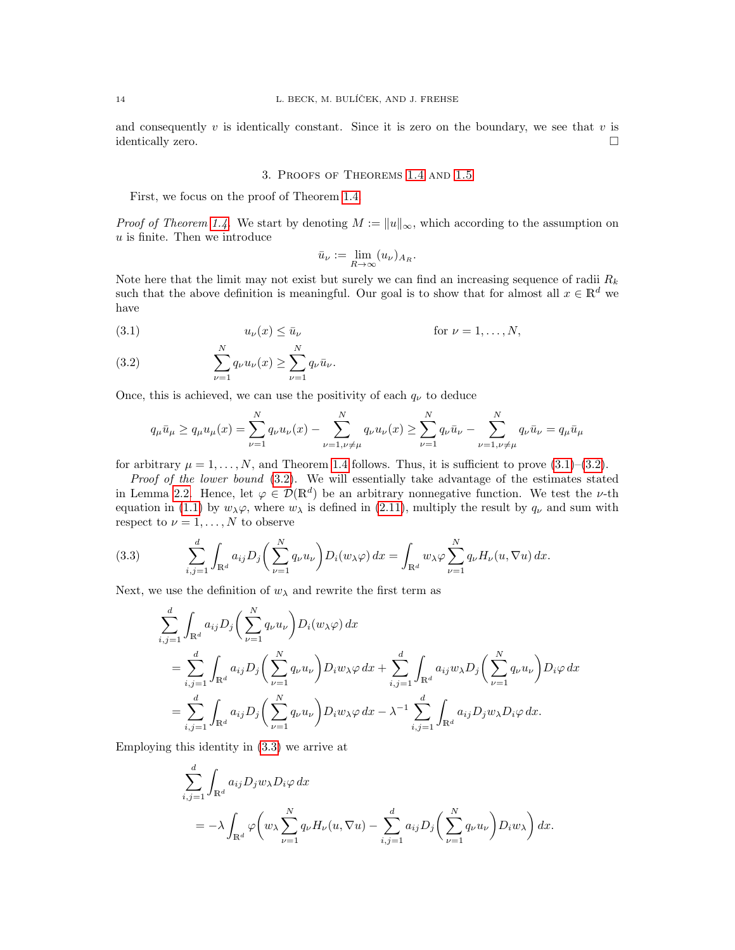and consequently  $v$  is identically constant. Since it is zero on the boundary, we see that  $v$  is identically zero.

# 3. Proofs of Theorems [1.4](#page-4-2) and [1.5](#page-5-4)

<span id="page-13-0"></span>First, we focus on the proof of Theorem [1.4.](#page-4-2)

*Proof of Theorem [1.4.](#page-4-2)* We start by denoting  $M := ||u||_{\infty}$ , which according to the assumption on  $u$  is finite. Then we introduce

$$
\bar{u}_{\nu} := \lim_{R \to \infty} (u_{\nu})_{A_R}.
$$

Note here that the limit may not exist but surely we can find an increasing sequence of radii  $R_k$ such that the above definition is meaningful. Our goal is to show that for almost all  $x \in \mathbb{R}^d$  we have

<span id="page-13-1"></span>
$$
(3.1) \t\t u\nu(x) \leq \bar{u}\nu \t\t for \t\nu = 1, ..., N,
$$

<span id="page-13-2"></span>(3.2) 
$$
\sum_{\nu=1}^{N} q_{\nu} u_{\nu}(x) \geq \sum_{\nu=1}^{N} q_{\nu} \bar{u}_{\nu}.
$$

Once, this is achieved, we can use the positivity of each  $q_{\nu}$  to deduce

$$
q_{\mu}\bar{u}_{\mu} \ge q_{\mu}u_{\mu}(x) = \sum_{\nu=1}^{N} q_{\nu}u_{\nu}(x) - \sum_{\nu=1,\nu \ne \mu}^{N} q_{\nu}u_{\nu}(x) \ge \sum_{\nu=1}^{N} q_{\nu}\bar{u}_{\nu} - \sum_{\nu=1,\nu \ne \mu}^{N} q_{\nu}\bar{u}_{\nu} = q_{\mu}\bar{u}_{\mu}
$$

for arbitrary  $\mu = 1, \ldots, N$ , and Theorem [1.4](#page-4-2) follows. Thus, it is sufficient to prove  $(3.1)$ – $(3.2)$ .

Proof of the lower bound [\(3.2\)](#page-13-2). We will essentially take advantage of the estimates stated in Lemma [2.2.](#page-9-1) Hence, let  $\varphi \in \mathcal{D}(\mathbb{R}^d)$  be an arbitrary nonnegative function. We test the *v*-th equation in [\(1.1\)](#page-0-0) by  $w_{\lambda}\varphi$ , where  $w_{\lambda}$  is defined in [\(2.11\)](#page-9-2), multiply the result by  $q_{\nu}$  and sum with respect to  $\nu = 1, \ldots, N$  to observe

(3.3) 
$$
\sum_{i,j=1}^d \int_{\mathbb{R}^d} a_{ij} D_j \left( \sum_{\nu=1}^N q_\nu u_\nu \right) D_i(w_\lambda \varphi) dx = \int_{\mathbb{R}^d} w_\lambda \varphi \sum_{\nu=1}^N q_\nu H_\nu(u, \nabla u) dx.
$$

Next, we use the definition of  $w_{\lambda}$  and rewrite the first term as

<span id="page-13-3"></span>
$$
\sum_{i,j=1}^{d} \int_{\mathbb{R}^d} a_{ij} D_j \left( \sum_{\nu=1}^N q_{\nu} u_{\nu} \right) D_i(w_{\lambda} \varphi) dx
$$
  
= 
$$
\sum_{i,j=1}^d \int_{\mathbb{R}^d} a_{ij} D_j \left( \sum_{\nu=1}^N q_{\nu} u_{\nu} \right) D_i w_{\lambda} \varphi dx + \sum_{i,j=1}^d \int_{\mathbb{R}^d} a_{ij} w_{\lambda} D_j \left( \sum_{\nu=1}^N q_{\nu} u_{\nu} \right) D_i \varphi dx
$$
  
= 
$$
\sum_{i,j=1}^d \int_{\mathbb{R}^d} a_{ij} D_j \left( \sum_{\nu=1}^N q_{\nu} u_{\nu} \right) D_i w_{\lambda} \varphi dx - \lambda^{-1} \sum_{i,j=1}^d \int_{\mathbb{R}^d} a_{ij} D_j w_{\lambda} D_i \varphi dx.
$$

Employing this identity in [\(3.3\)](#page-13-3) we arrive at

$$
\sum_{i,j=1}^d \int_{\mathbb{R}^d} a_{ij} D_j w_\lambda D_i \varphi \, dx
$$
  
=  $-\lambda \int_{\mathbb{R}^d} \varphi \left( w_\lambda \sum_{\nu=1}^N q_\nu H_\nu(u, \nabla u) - \sum_{i,j=1}^d a_{ij} D_j \left( \sum_{\nu=1}^N q_\nu u_\nu \right) D_i w_\lambda \right) dx.$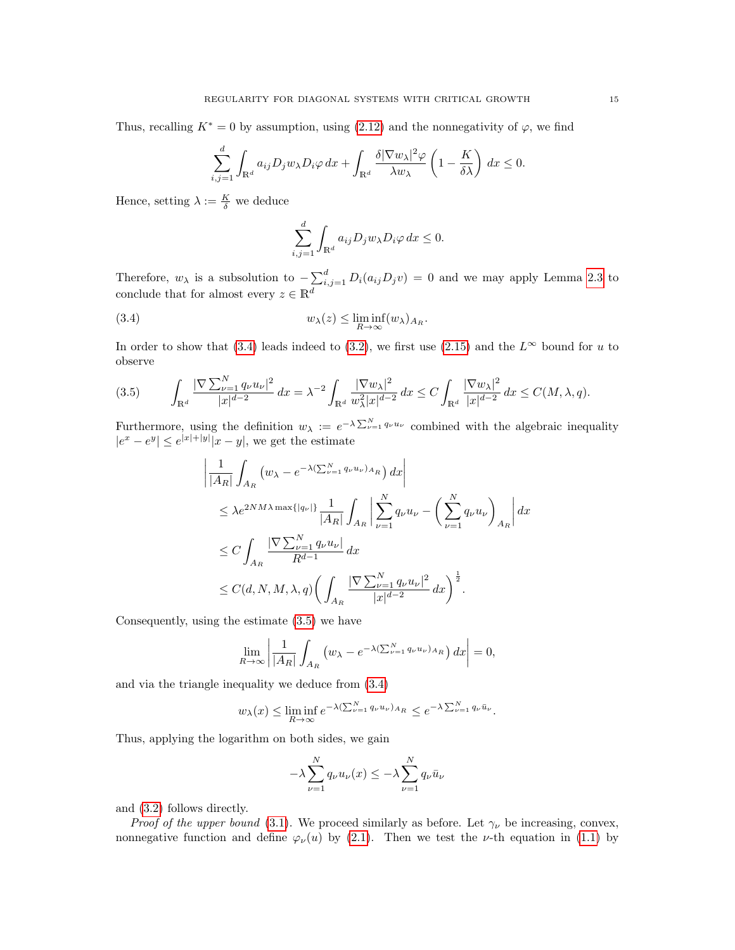Thus, recalling  $K^* = 0$  by assumption, using [\(2.12\)](#page-9-0) and the nonnegativity of  $\varphi$ , we find

$$
\sum_{i,j=1}^d \int_{\mathbb{R}^d} a_{ij} D_j w_\lambda D_i \varphi \, dx + \int_{\mathbb{R}^d} \frac{\delta |\nabla w_\lambda|^2 \varphi}{\lambda w_\lambda} \left(1 - \frac{K}{\delta \lambda}\right) \, dx \le 0.
$$

Hence, setting  $\lambda := \frac{K}{\delta}$  we deduce

<span id="page-14-0"></span>
$$
\sum_{i,j=1}^d \int_{\mathbb{R}^d} a_{ij} D_j w_\lambda D_i \varphi \, dx \le 0.
$$

Therefore,  $w_{\lambda}$  is a subsolution to  $-\sum_{i,j=1}^{d} D_i(a_{ij}D_jv) = 0$  and we may apply Lemma [2.3](#page-10-0) to conclude that for almost every  $z \in \mathbb{R}^d$ 

(3.4) 
$$
w_{\lambda}(z) \leq \liminf_{R \to \infty} (w_{\lambda})_{A_R}.
$$

In order to show that [\(3.4\)](#page-14-0) leads indeed to [\(3.2\)](#page-13-2), we first use [\(2.15\)](#page-10-1) and the  $L^{\infty}$  bound for u to observe

<span id="page-14-1"></span>
$$
(3.5) \qquad \int_{\mathbb{R}^d} \frac{|\nabla \sum_{\nu=1}^N q_\nu u_\nu|^2}{|x|^{d-2}} \, dx = \lambda^{-2} \int_{\mathbb{R}^d} \frac{|\nabla w_\lambda|^2}{w_\lambda^2 |x|^{d-2}} \, dx \le C \int_{\mathbb{R}^d} \frac{|\nabla w_\lambda|^2}{|x|^{d-2}} \, dx \le C(M, \lambda, q).
$$

Furthermore, using the definition  $w_{\lambda} := e^{-\lambda \sum_{\nu=1}^{N} q_{\nu} u_{\nu}}$  combined with the algebraic inequality  $|e^x - e^y| \leq e^{|x|+|y|} |x-y|$ , we get the estimate

$$
\left| \frac{1}{|A_R|} \int_{A_R} \left( w_{\lambda} - e^{-\lambda (\sum_{\nu=1}^N q_{\nu} u_{\nu})_{A_R}} \right) dx \right|
$$
  
\n
$$
\leq \lambda e^{2NM\lambda \max\{|q_{\nu}|\}} \frac{1}{|A_R|} \int_{A_R} \left| \sum_{\nu=1}^N q_{\nu} u_{\nu} - \left( \sum_{\nu=1}^N q_{\nu} u_{\nu} \right)_{A_R} \right| dx
$$
  
\n
$$
\leq C \int_{A_R} \frac{|\nabla \sum_{\nu=1}^N q_{\nu} u_{\nu}|}{R^{d-1}} dx
$$
  
\n
$$
\leq C(d, N, M, \lambda, q) \left( \int_{A_R} \frac{|\nabla \sum_{\nu=1}^N q_{\nu} u_{\nu}|^2}{|x|^{d-2}} dx \right)^{\frac{1}{2}}.
$$

Consequently, using the estimate [\(3.5\)](#page-14-1) we have

$$
\lim_{R \to \infty} \left| \frac{1}{|A_R|} \int_{A_R} \left( w_{\lambda} - e^{-\lambda (\sum_{\nu=1}^N q_{\nu} u_{\nu})_{A_R}} \right) dx \right| = 0,
$$

and via the triangle inequality we deduce from [\(3.4\)](#page-14-0)

$$
w_{\lambda}(x) \leq \liminf_{R \to \infty} e^{-\lambda (\sum_{\nu=1}^N q_{\nu} u_{\nu})_{A_R}} \leq e^{-\lambda \sum_{\nu=1}^N q_{\nu} \bar{u}_{\nu}}.
$$

Thus, applying the logarithm on both sides, we gain

$$
-\lambda \sum_{\nu=1}^{N} q_{\nu} u_{\nu}(x) \leq -\lambda \sum_{\nu=1}^{N} q_{\nu} \bar{u}_{\nu}
$$

and [\(3.2\)](#page-13-2) follows directly.

*Proof of the upper bound* [\(3.1\)](#page-13-1). We proceed similarly as before. Let  $\gamma_{\nu}$  be increasing, convex, nonnegative function and define  $\varphi_{\nu}(u)$  by [\(2.1\)](#page-6-1). Then we test the *ν*-th equation in [\(1.1\)](#page-0-0) by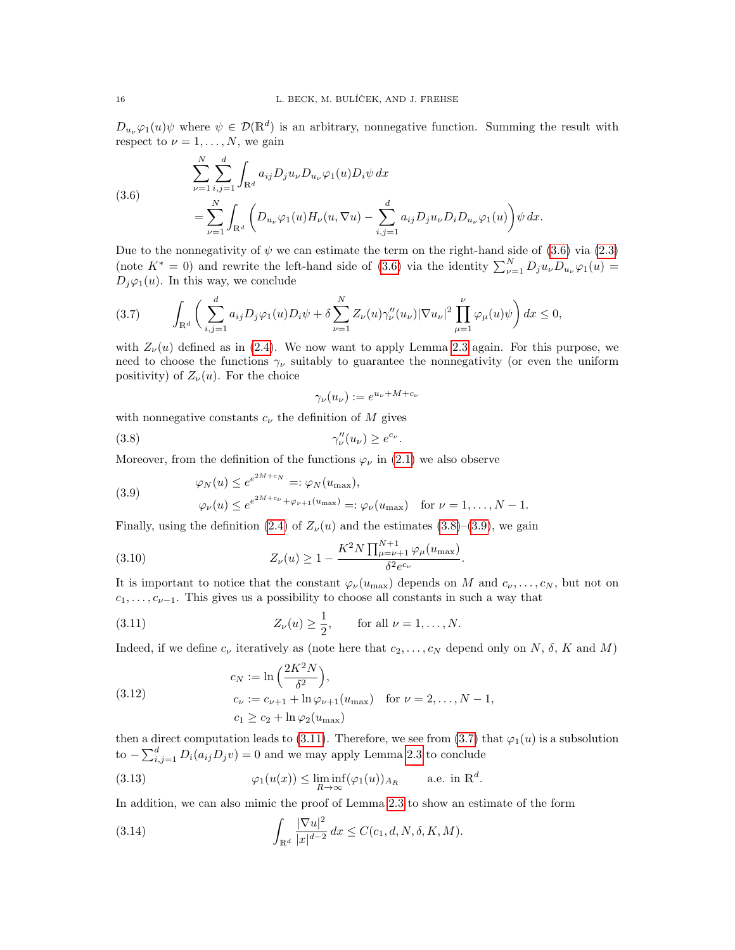$D_{u_{\nu}}\varphi_1(u)\psi$  where  $\psi \in \mathcal{D}(\mathbb{R}^d)$  is an arbitrary, nonnegative function. Summing the result with respect to  $\nu = 1, \ldots, N$ , we gain

<span id="page-15-0"></span>(3.6)  
\n
$$
\sum_{\nu=1}^{N} \sum_{i,j=1}^{d} \int_{\mathbb{R}^d} a_{ij} D_j u_{\nu} D_{u_{\nu}} \varphi_1(u) D_i \psi \, dx
$$
\n
$$
= \sum_{\nu=1}^{N} \int_{\mathbb{R}^d} \left( D_{u_{\nu}} \varphi_1(u) H_{\nu}(u, \nabla u) - \sum_{i,j=1}^d a_{ij} D_j u_{\nu} D_i D_{u_{\nu}} \varphi_1(u) \right) \psi \, dx.
$$

Due to the nonnegativity of  $\psi$  we can estimate the term on the right-hand side of [\(3.6\)](#page-15-0) via [\(2.3\)](#page-7-1) (note  $K^* = 0$ ) and rewrite the left-hand side of [\(3.6\)](#page-15-0) via the identity  $\sum_{\nu=1}^{N} D_j u_{\nu} D_{u_{\nu}} \varphi_1(u) =$  $D_i\varphi_1(u)$ . In this way, we conclude

<span id="page-15-4"></span>
$$
(3.7) \qquad \int_{\mathbb{R}^d} \bigg( \sum_{i,j=1}^d a_{ij} D_j \varphi_1(u) D_i \psi + \delta \sum_{\nu=1}^N Z_{\nu}(u) \gamma_{\nu}''(u_{\nu}) |\nabla u_{\nu}|^2 \prod_{\mu=1}^{\nu} \varphi_{\mu}(u) \psi \bigg) dx \le 0,
$$

with  $Z_{\nu}(u)$  defined as in [\(2.4\)](#page-7-5). We now want to apply Lemma [2.3](#page-10-0) again. For this purpose, we need to choose the functions  $\gamma_{\nu}$  suitably to guarantee the nonnegativity (or even the uniform positivity) of  $Z_{\nu}(u)$ . For the choice

<span id="page-15-1"></span>
$$
\gamma_{\nu}(u_{\nu}) := e^{u_{\nu} + M + c_{\nu}}
$$

with nonnegative constants  $c_{\nu}$  the definition of M gives

$$
\gamma_{\nu}^{\prime\prime}(u_{\nu}) \ge e^{c_{\nu}}.
$$

Moreover, from the definition of the functions  $\varphi_{\nu}$  in [\(2.1\)](#page-6-1) we also observe

<span id="page-15-2"></span>(3.9) 
$$
\varphi_N(u) \le e^{e^{2M+c_N}} =: \varphi_N(u_{\max}),
$$

$$
\varphi_{\nu}(u) \le e^{e^{2M+c_{\nu}} + \varphi_{\nu+1}(u_{\max})} =: \varphi_{\nu}(u_{\max}) \text{ for } \nu = 1, ..., N-1.
$$

Finally, using the definition [\(2.4\)](#page-7-5) of  $Z_{\nu}(u)$  and the estimates [\(3.8\)](#page-15-1)–[\(3.9\)](#page-15-2), we gain

(3.10) 
$$
Z_{\nu}(u) \geq 1 - \frac{K^2 N \prod_{\mu=\nu+1}^{N+1} \varphi_{\mu}(u_{\mu\alpha})}{\delta^2 e^{c_{\nu}}}.
$$

It is important to notice that the constant  $\varphi_{\nu}(u_{\text{max}})$  depends on M and  $c_{\nu}, \ldots, c_{N}$ , but not on  $c_1, \ldots, c_{\nu-1}$ . This gives us a possibility to choose all constants in such a way that

<span id="page-15-3"></span>(3.11) 
$$
Z_{\nu}(u) \ge \frac{1}{2}
$$
, for all  $\nu = 1, ..., N$ .

Indeed, if we define  $c_{\nu}$  iteratively as (note here that  $c_2, \ldots, c_N$  depend only on N,  $\delta$ , K and M)

<span id="page-15-7"></span>(3.12) 
$$
c_N := \ln\left(\frac{2K^2N}{\delta^2}\right),
$$

$$
c_{\nu} := c_{\nu+1} + \ln \varphi_{\nu+1}(u_{\max}) \text{ for } \nu = 2, ..., N - 1,
$$

$$
c_1 \ge c_2 + \ln \varphi_2(u_{\max})
$$

then a direct computation leads to [\(3.11\)](#page-15-3). Therefore, we see from [\(3.7\)](#page-15-4) that  $\varphi_1(u)$  is a subsolution to  $-\sum_{i,j=1}^{d} D_i(a_{ij}D_j v) = 0$  and we may apply Lemma [2.3](#page-10-0) to conclude

<span id="page-15-6"></span>(3.13) 
$$
\varphi_1(u(x)) \le \liminf_{R \to \infty} (\varphi_1(u))_{A_R} \quad \text{a.e. in } \mathbb{R}^d.
$$

In addition, we can also mimic the proof of Lemma [2.3](#page-10-0) to show an estimate of the form

<span id="page-15-5"></span>(3.14) 
$$
\int_{\mathbb{R}^d} \frac{|\nabla u|^2}{|x|^{d-2}} dx \le C(c_1, d, N, \delta, K, M).
$$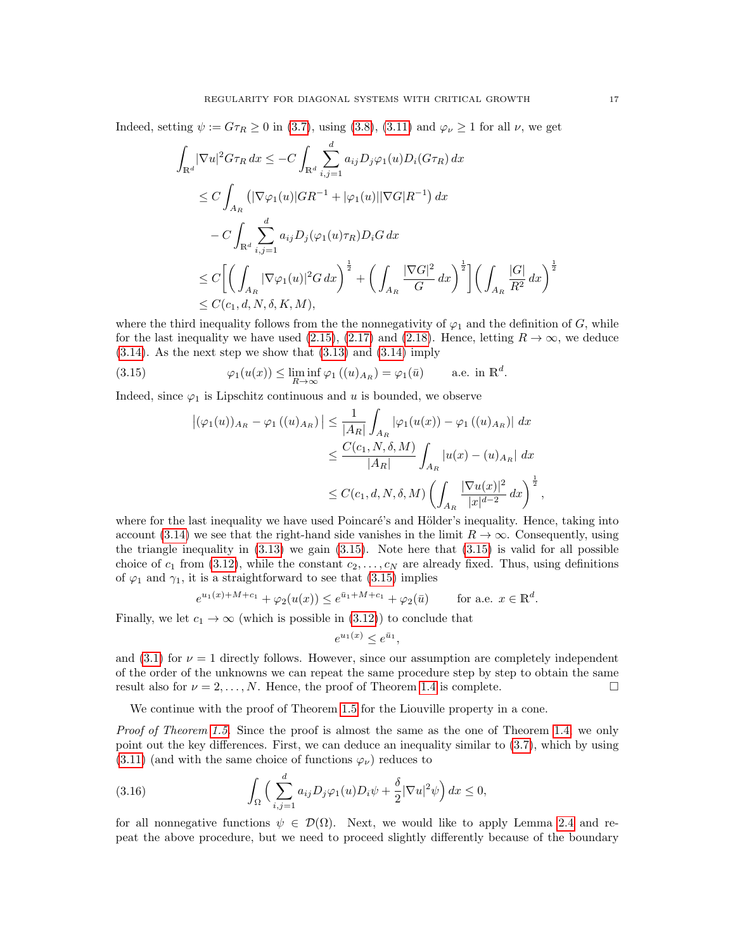Indeed, setting  $\psi := G \tau_R \geq 0$  in [\(3.7\)](#page-15-4), using [\(3.8\)](#page-15-1), [\(3.11\)](#page-15-3) and  $\varphi_{\nu} \geq 1$  for all  $\nu$ , we get

$$
\int_{\mathbb{R}^d} |\nabla u|^2 G_{\tau_R} dx \leq -C \int_{\mathbb{R}^d} \sum_{i,j=1}^d a_{ij} D_j \varphi_1(u) D_i(G_{\tau_R}) dx
$$
\n
$$
\leq C \int_{A_R} (|\nabla \varphi_1(u)| G R^{-1} + |\varphi_1(u)| |\nabla G| R^{-1}) dx
$$
\n
$$
- C \int_{\mathbb{R}^d} \sum_{i,j=1}^d a_{ij} D_j(\varphi_1(u) \tau_R) D_i G dx
$$
\n
$$
\leq C \Biggl[ \Biggl( \int_{A_R} |\nabla \varphi_1(u)|^2 G dx \Biggr)^{\frac{1}{2}} + \Biggl( \int_{A_R} \frac{|\nabla G|^2}{G} dx \Biggr)^{\frac{1}{2}} \Biggr] \Biggl( \int_{A_R} \frac{|G|}{R^2} dx \Biggr)^{\frac{1}{2}}
$$
\n
$$
\leq C(c_1, d, N, \delta, K, M),
$$

where the third inequality follows from the the nonnegativity of  $\varphi_1$  and the definition of G, while for the last inequality we have used [\(2.15\)](#page-10-1), [\(2.17\)](#page-10-5) and [\(2.18\)](#page-10-6). Hence, letting  $R \to \infty$ , we deduce  $(3.14)$ . As the next step we show that  $(3.13)$  and  $(3.14)$  imply

(3.15) 
$$
\varphi_1(u(x)) \le \liminf_{R \to \infty} \varphi_1((u)_{A_R}) = \varphi_1(\bar{u}) \quad \text{a.e. in } \mathbb{R}^d.
$$

Indeed, since  $\varphi_1$  is Lipschitz continuous and u is bounded, we observe

<span id="page-16-0"></span>
$$
\begin{aligned} \left| (\varphi_1(u))_{A_R} - \varphi_1 \left( (u)_{A_R} \right) \right| &\leq \frac{1}{|A_R|} \int_{A_R} |\varphi_1(u(x)) - \varphi_1 \left( (u)_{A_R} \right) | \, dx \\ &\leq \frac{C(c_1, N, \delta, M)}{|A_R|} \int_{A_R} |u(x) - (u)_{A_R}| \, dx \\ &\leq C(c_1, d, N, \delta, M) \left( \int_{A_R} \frac{|\nabla u(x)|^2}{|x|^{d-2}} \, dx \right)^{\frac{1}{2}}, \end{aligned}
$$

where for the last inequality we have used Poincaré's and Hölder's inequality. Hence, taking into account [\(3.14\)](#page-15-5) we see that the right-hand side vanishes in the limit  $R \to \infty$ . Consequently, using the triangle inequality in  $(3.13)$  we gain  $(3.15)$ . Note here that  $(3.15)$  is valid for all possible choice of  $c_1$  from [\(3.12\)](#page-15-7), while the constant  $c_2, \ldots, c_N$  are already fixed. Thus, using definitions of  $\varphi_1$  and  $\gamma_1$ , it is a straightforward to see that [\(3.15\)](#page-16-0) implies

$$
e^{u_1(x)+M+c_1} + \varphi_2(u(x)) \le e^{\bar{u}_1+M+c_1} + \varphi_2(\bar{u})
$$
 for a.e.  $x \in \mathbb{R}^d$ .

Finally, we let  $c_1 \to \infty$  (which is possible in [\(3.12\)](#page-15-7)) to conclude that

$$
e^{u_1(x)} \le e^{\bar{u}_1},
$$

and  $(3.1)$  for  $\nu = 1$  directly follows. However, since our assumption are completely independent of the order of the unknowns we can repeat the same procedure step by step to obtain the same result also for  $\nu = 2, \ldots, N$ . Hence, the proof of Theorem [1.4](#page-4-2) is complete.

We continue with the proof of Theorem [1.5](#page-5-4) for the Liouville property in a cone.

Proof of Theorem [1.5.](#page-5-4) Since the proof is almost the same as the one of Theorem [1.4,](#page-4-2) we only point out the key differences. First, we can deduce an inequality similar to [\(3.7\)](#page-15-4), which by using [\(3.11\)](#page-15-3) (and with the same choice of functions  $\varphi_{\nu}$ ) reduces to

<span id="page-16-1"></span>(3.16) 
$$
\int_{\Omega} \Big( \sum_{i,j=1}^{d} a_{ij} D_j \varphi_1(u) D_i \psi + \frac{\delta}{2} |\nabla u|^2 \psi \Big) dx \leq 0,
$$

for all nonnegative functions  $\psi \in \mathcal{D}(\Omega)$ . Next, we would like to apply Lemma [2.4](#page-10-8) and repeat the above procedure, but we need to proceed slightly differently because of the boundary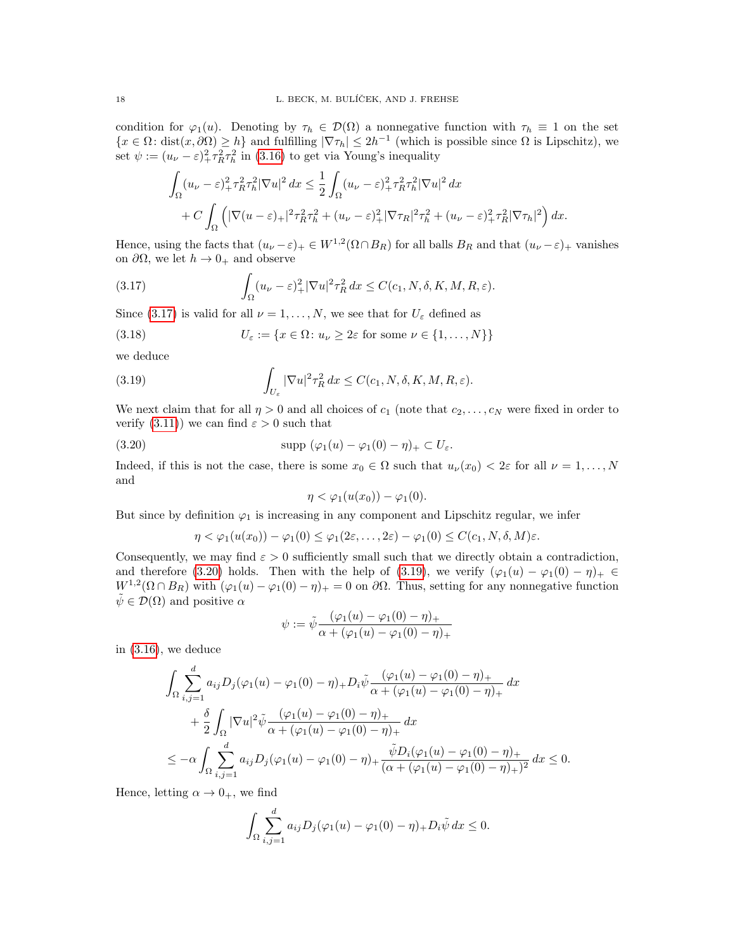condition for  $\varphi_1(u)$ . Denoting by  $\tau_h \in \mathcal{D}(\Omega)$  a nonnegative function with  $\tau_h \equiv 1$  on the set  $\{x \in \Omega : \text{dist}(x, \partial \Omega) \geq h\}$  and fulfilling  $|\nabla \tau_h| \leq 2h^{-1}$  (which is possible since  $\Omega$  is Lipschitz), we set  $\psi := (u_{\nu} - \varepsilon)_{+}^{2} \tau_{R}^{2} \tau_{h}^{2}$  in [\(3.16\)](#page-16-1) to get via Young's inequality

$$
\int_{\Omega} (u_{\nu} - \varepsilon)_+^2 \tau_R^2 \tau_h^2 |\nabla u|^2 dx \le \frac{1}{2} \int_{\Omega} (u_{\nu} - \varepsilon)_+^2 \tau_R^2 \tau_h^2 |\nabla u|^2 dx
$$
  
+  $C \int_{\Omega} \left( |\nabla (u - \varepsilon)_+|^2 \tau_R^2 \tau_h^2 + (u_{\nu} - \varepsilon)_+^2 |\nabla \tau_R|^2 \tau_h^2 + (u_{\nu} - \varepsilon)_+^2 \tau_R^2 |\nabla \tau_h|^2 \right) dx.$ 

Hence, using the facts that  $(u_\nu - \varepsilon)_+ \in W^{1,2}(\Omega \cap B_R)$  for all balls  $B_R$  and that  $(u_\nu - \varepsilon)_+$  vanishes on  $\partial\Omega$ , we let  $h \to 0_+$  and observe

<span id="page-17-0"></span>(3.17) 
$$
\int_{\Omega} (u_{\nu} - \varepsilon)_+^2 |\nabla u|^2 \tau_R^2 dx \le C(c_1, N, \delta, K, M, R, \varepsilon).
$$

Since [\(3.17\)](#page-17-0) is valid for all  $\nu = 1, ..., N$ , we see that for  $U_{\varepsilon}$  defined as

<span id="page-17-3"></span>(3.18) 
$$
U_{\varepsilon} := \{x \in \Omega \colon u_{\nu} \geq 2\varepsilon \text{ for some } \nu \in \{1, ..., N\}\}
$$

we deduce

(3.19) 
$$
\int_{U_{\varepsilon}} |\nabla u|^2 \tau_R^2 dx \leq C(c_1, N, \delta, K, M, R, \varepsilon).
$$

We next claim that for all  $\eta > 0$  and all choices of  $c_1$  (note that  $c_2, \ldots, c_N$  were fixed in order to verify [\(3.11\)](#page-15-3)) we can find  $\varepsilon > 0$  such that

(3.20) 
$$
\text{supp } (\varphi_1(u) - \varphi_1(0) - \eta)_+ \subset U_{\varepsilon}.
$$

Indeed, if this is not the case, there is some  $x_0 \in \Omega$  such that  $u_{\nu}(x_0) < 2\varepsilon$  for all  $\nu = 1, \ldots, N$ and

<span id="page-17-2"></span><span id="page-17-1"></span>
$$
\eta < \varphi_1(u(x_0)) - \varphi_1(0).
$$

But since by definition  $\varphi_1$  is increasing in any component and Lipschitz regular, we infer

$$
\eta < \varphi_1(u(x_0)) - \varphi_1(0) \leq \varphi_1(2\varepsilon, \dots, 2\varepsilon) - \varphi_1(0) \leq C(c_1, N, \delta, M)\varepsilon.
$$

Consequently, we may find  $\varepsilon > 0$  sufficiently small such that we directly obtain a contradiction, and therefore [\(3.20\)](#page-17-1) holds. Then with the help of [\(3.19\)](#page-17-2), we verify  $(\varphi_1(u) - \varphi_1(0) - \eta)_+ \in$  $W^{1,2}(\Omega \cap B_R)$  with  $(\varphi_1(u) - \varphi_1(0) - \eta)_+ = 0$  on  $\partial\Omega$ . Thus, setting for any nonnegative function  $\tilde{\psi} \in \mathcal{D}(\Omega)$  and positive  $\alpha$ 

$$
\psi := \tilde{\psi} \frac{(\varphi_1(u) - \varphi_1(0) - \eta)_+}{\alpha + (\varphi_1(u) - \varphi_1(0) - \eta)_+}
$$

in [\(3.16\)](#page-16-1), we deduce

$$
\int_{\Omega} \sum_{i,j=1}^{d} a_{ij} D_j(\varphi_1(u) - \varphi_1(0) - \eta) + D_i \tilde{\psi} \frac{(\varphi_1(u) - \varphi_1(0) - \eta) +}{\alpha + (\varphi_1(u) - \varphi_1(0) - \eta) +} dx \n+ \frac{\delta}{2} \int_{\Omega} |\nabla u|^2 \tilde{\psi} \frac{(\varphi_1(u) - \varphi_1(0) - \eta) +}{\alpha + (\varphi_1(u) - \varphi_1(0) - \eta) +} dx \n\leq -\alpha \int_{\Omega} \sum_{i,j=1}^{d} a_{ij} D_j(\varphi_1(u) - \varphi_1(0) - \eta) + \frac{\tilde{\psi} D_i(\varphi_1(u) - \varphi_1(0) - \eta) +}{(\alpha + (\varphi_1(u) - \varphi_1(0) - \eta) +)^2} dx \leq 0.
$$

Hence, letting  $\alpha \to 0_+$ , we find

$$
\int_{\Omega} \sum_{i,j=1}^{d} a_{ij} D_j(\varphi_1(u) - \varphi_1(0) - \eta) + D_i \tilde{\psi} \, dx \le 0.
$$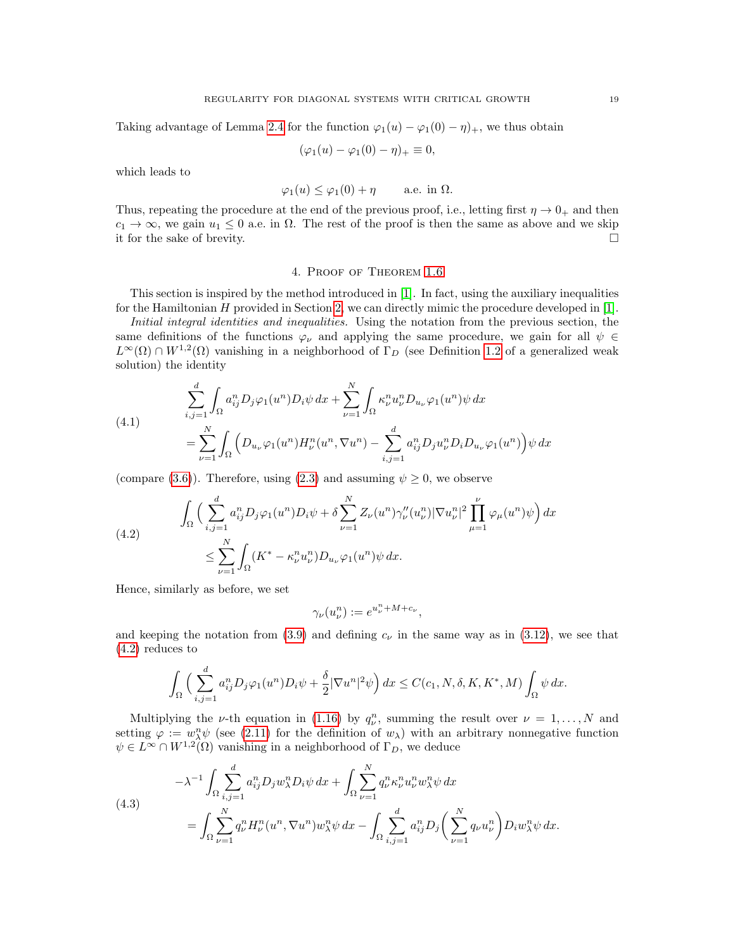Taking advantage of Lemma [2.4](#page-10-8) for the function  $\varphi_1(u) - \varphi_1(0) - \eta_+$ , we thus obtain

$$
(\varphi_1(u) - \varphi_1(0) - \eta)_+ \equiv 0,
$$

which leads to

$$
\varphi_1(u) \le \varphi_1(0) + \eta \quad \text{a.e. in } \Omega.
$$

Thus, repeating the procedure at the end of the previous proof, i.e., letting first  $\eta \to 0_+$  and then  $c_1 \to \infty$ , we gain  $u_1 \leq 0$  a.e. in  $\Omega$ . The rest of the proof is then the same as above and we skip it for the sake of brevity.

## 4. Proof of Theorem [1.6](#page-5-3)

<span id="page-18-0"></span>This section is inspired by the method introduced in [\[1\]](#page-33-1). In fact, using the auxiliary inequalities for the Hamiltonian H provided in Section [2,](#page-6-0) we can directly mimic the procedure developed in [\[1\]](#page-33-1).

Initial integral identities and inequalities. Using the notation from the previous section, the same definitions of the functions  $\varphi_{\nu}$  and applying the same procedure, we gain for all  $\psi \in$  $L^{\infty}(\Omega) \cap W^{1,2}(\Omega)$  vanishing in a neighborhood of  $\Gamma_D$  (see Definition [1.2](#page-3-1) of a generalized weak solution) the identity

<span id="page-18-2"></span>(4.1)  

$$
\sum_{i,j=1}^{d} \int_{\Omega} a_{ij}^{n} D_{j} \varphi_{1}(u^{n}) D_{i} \psi \, dx + \sum_{\nu=1}^{N} \int_{\Omega} \kappa_{\nu}^{n} u_{\nu}^{n} D_{u_{\nu}} \varphi_{1}(u^{n}) \psi \, dx
$$

$$
= \sum_{\nu=1}^{N} \int_{\Omega} \left( D_{u_{\nu}} \varphi_{1}(u^{n}) H_{\nu}^{n}(u^{n}, \nabla u^{n}) - \sum_{i,j=1}^{d} a_{ij}^{n} D_{j} u_{\nu}^{n} D_{i} D_{u_{\nu}} \varphi_{1}(u^{n}) \right) \psi \, dx
$$

(compare [\(3.6\)](#page-15-0)). Therefore, using [\(2.3\)](#page-7-1) and assuming  $\psi \geq 0$ , we observe

<span id="page-18-1"></span>
$$
\int_{\Omega} \Big( \sum_{i,j=1}^{d} a_{ij}^{n} D_{j} \varphi_{1}(u^{n}) D_{i} \psi + \delta \sum_{\nu=1}^{N} Z_{\nu}(u^{n}) \gamma_{\nu}''(u_{\nu}^{n}) |\nabla u_{\nu}^{n}|^{2} \prod_{\mu=1}^{\nu} \varphi_{\mu}(u^{n}) \psi \Big) dx \n\leq \sum_{\nu=1}^{N} \int_{\Omega} (K^{*} - \kappa_{\nu}^{n} u_{\nu}^{n}) D_{u_{\nu}} \varphi_{1}(u^{n}) \psi dx.
$$

Hence, similarly as before, we set

$$
\gamma_{\nu}(u_{\nu}^n) := e^{u_{\nu}^n + M + c_{\nu}},
$$

and keeping the notation from  $(3.9)$  and defining  $c<sub>\nu</sub>$  in the same way as in  $(3.12)$ , we see that [\(4.2\)](#page-18-1) reduces to

$$
\int_{\Omega} \Big( \sum_{i,j=1}^d a_{ij}^n D_j \varphi_1(u^n) D_i \psi + \frac{\delta}{2} |\nabla u^n|^2 \psi \Big) dx \le C(c_1, N, \delta, K, K^*, M) \int_{\Omega} \psi dx.
$$

Multiplying the *ν*-th equation in [\(1.16\)](#page-4-4) by  $q_{\nu}^{n}$ , summing the result over  $\nu = 1, ..., N$  and setting  $\varphi := w_\lambda^n \psi$  (see [\(2.11\)](#page-9-2) for the definition of  $w_\lambda$ ) with an arbitrary nonnegative function  $\psi \in L^{\infty} \cap W^{1,2}(\Omega)$  vanishing in a neighborhood of  $\Gamma_D$ , we deduce

<span id="page-18-3"></span>(4.3)  

$$
-\lambda^{-1} \int_{\Omega} \sum_{i,j=1}^{d} a_{ij}^{n} D_{j} w_{\lambda}^{n} D_{i} \psi \, dx + \int_{\Omega} \sum_{\nu=1}^{N} q_{\nu}^{n} \kappa_{\nu}^{n} u_{\nu}^{n} w_{\lambda}^{n} \psi \, dx
$$

$$
= \int_{\Omega} \sum_{\nu=1}^{N} q_{\nu}^{n} H_{\nu}^{n} (u^{n}, \nabla u^{n}) w_{\lambda}^{n} \psi \, dx - \int_{\Omega} \sum_{i,j=1}^{d} a_{ij}^{n} D_{j} \left( \sum_{\nu=1}^{N} q_{\nu} u_{\nu}^{n} \right) D_{i} w_{\lambda}^{n} \psi \, dx.
$$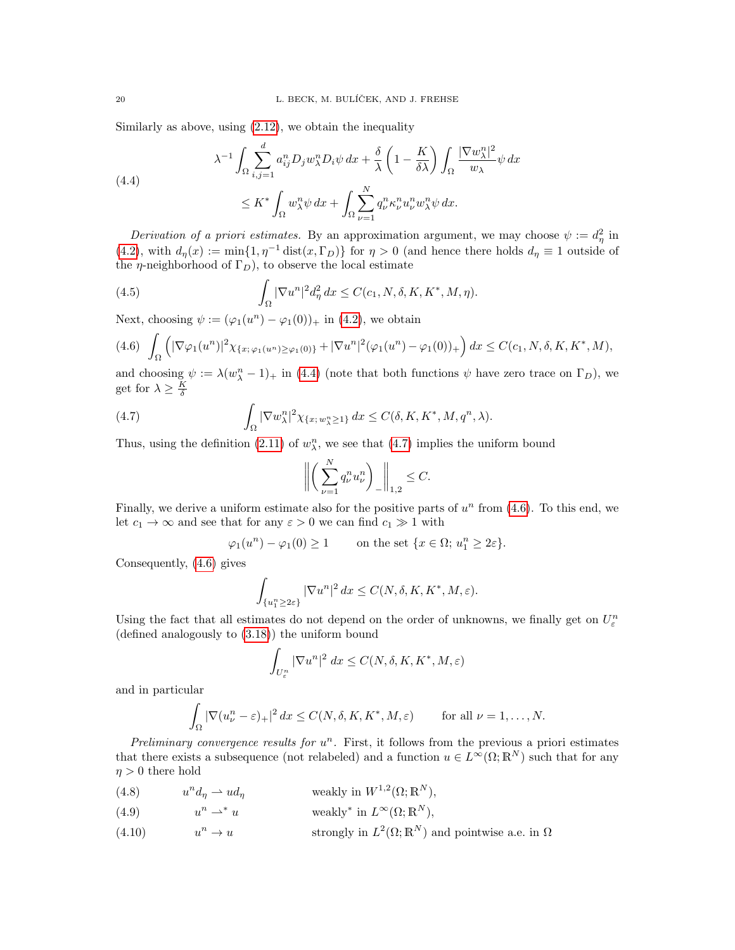Similarly as above, using [\(2.12\)](#page-9-0), we obtain the inequality

<span id="page-19-0"></span>(4.4)  

$$
\lambda^{-1} \int_{\Omega} \sum_{i,j=1}^{d} a_{ij}^{n} D_{j} w_{\lambda}^{n} D_{i} \psi \, dx + \frac{\delta}{\lambda} \left( 1 - \frac{K}{\delta \lambda} \right) \int_{\Omega} \frac{|\nabla w_{\lambda}^{n}|^{2}}{w_{\lambda}} \psi \, dx
$$

$$
\leq K^{*} \int_{\Omega} w_{\lambda}^{n} \psi \, dx + \int_{\Omega} \sum_{\nu=1}^{N} q_{\nu}^{n} \kappa_{\nu}^{n} u_{\nu}^{n} w_{\lambda}^{n} \psi \, dx.
$$

Derivation of a priori estimates. By an approximation argument, we may choose  $\psi := d_{\eta}^2$  in [\(4.2\)](#page-18-1), with  $d_{\eta}(x) := \min\{1, \eta^{-1} \text{dist}(x, \Gamma_D)\}\$  for  $\eta > 0$  (and hence there holds  $d_{\eta} \equiv 1$  outside of the  $\eta$ -neighborhood of  $\Gamma_D$ ), to observe the local estimate

<span id="page-19-3"></span>(4.5) 
$$
\int_{\Omega} |\nabla u^{n}|^{2} d_{\eta}^{2} dx \leq C(c_{1}, N, \delta, K, K^{*}, M, \eta).
$$

Next, choosing  $\psi := (\varphi_1(u^n) - \varphi_1(0))_+$  in [\(4.2\)](#page-18-1), we obtain

<span id="page-19-2"></span>
$$
(4.6)\quad \int_{\Omega} \left( |\nabla \varphi_1(u^n)|^2 \chi_{\{x; \, \varphi_1(u^n)\geq \varphi_1(0)\}} + |\nabla u^n|^2 (\varphi_1(u^n) - \varphi_1(0))_+ \right) dx \leq C(c_1, N, \delta, K, K^*, M),
$$

and choosing  $\psi := \lambda (w_{\lambda}^n - 1)_+$  in [\(4.4\)](#page-19-0) (note that both functions  $\psi$  have zero trace on  $\Gamma_D$ ), we get for  $\lambda \geq \frac{K}{\delta}$ 

(4.7) 
$$
\int_{\Omega} |\nabla w_{\lambda}^n|^2 \chi_{\{x;\,w_{\lambda}^n \geq 1\}} dx \leq C(\delta, K, K^*, M, q^n, \lambda).
$$

Thus, using the definition [\(2.11\)](#page-9-2) of  $w_{\lambda}^{n}$ , we see that [\(4.7\)](#page-19-1) implies the uniform bound

<span id="page-19-1"></span>
$$
\left\| \left( \sum_{\nu=1}^N q_\nu^n u_\nu^n \right)_{-} \right\|_{1,2} \leq C.
$$

Finally, we derive a uniform estimate also for the positive parts of  $u^n$  from [\(4.6\)](#page-19-2). To this end, we let  $c_1 \rightarrow \infty$  and see that for any  $\varepsilon > 0$  we can find  $c_1 \gg 1$  with

$$
\varphi_1(u^n) - \varphi_1(0) \ge 1
$$
 on the set  $\{x \in \Omega; u_1^n \ge 2\varepsilon\}.$ 

Consequently, [\(4.6\)](#page-19-2) gives

$$
\int_{\{u_1^n \ge 2\varepsilon\}} |\nabla u^n|^2 dx \le C(N, \delta, K, K^*, M, \varepsilon).
$$

Using the fact that all estimates do not depend on the order of unknowns, we finally get on  $U_{\varepsilon}^n$ (defined analogously to [\(3.18\)](#page-17-3)) the uniform bound

$$
\int_{U_{\varepsilon}^n} |\nabla u^n|^2 \, dx \le C(N, \delta, K, K^*, M, \varepsilon)
$$

and in particular

$$
\int_{\Omega} |\nabla (u_{\nu}^n - \varepsilon)_+|^2 dx \le C(N, \delta, K, K^*, M, \varepsilon) \qquad \text{for all } \nu = 1, \dots, N.
$$

Preliminary convergence results for  $u^n$ . First, it follows from the previous a priori estimates that there exists a subsequence (not relabeled) and a function  $u \in L^{\infty}(\Omega; \mathbb{R}^{N})$  such that for any  $\eta > 0$  there hold

- <span id="page-19-4"></span> $u^n$ (4.8)  $u^n d_\eta \rightharpoonup u d_\eta$  weakly in  $W^{1,2}(\Omega; \mathbb{R}^N)$ ,
- $u^n \rightharpoonup^* u$ (4.9)  $u^n \rightharpoonup^* u$  weakly<sup>\*</sup> in  $L^\infty(\Omega; \mathbb{R}^N)$ ,
- <span id="page-19-5"></span> $u^n \to u$  $n \to u$  strongly in  $L^2(\Omega; \mathbb{R})$ (4.10)  $u^n \to u$  strongly in  $L^2(\Omega; \mathbb{R}^N)$  and pointwise a.e. in  $\Omega$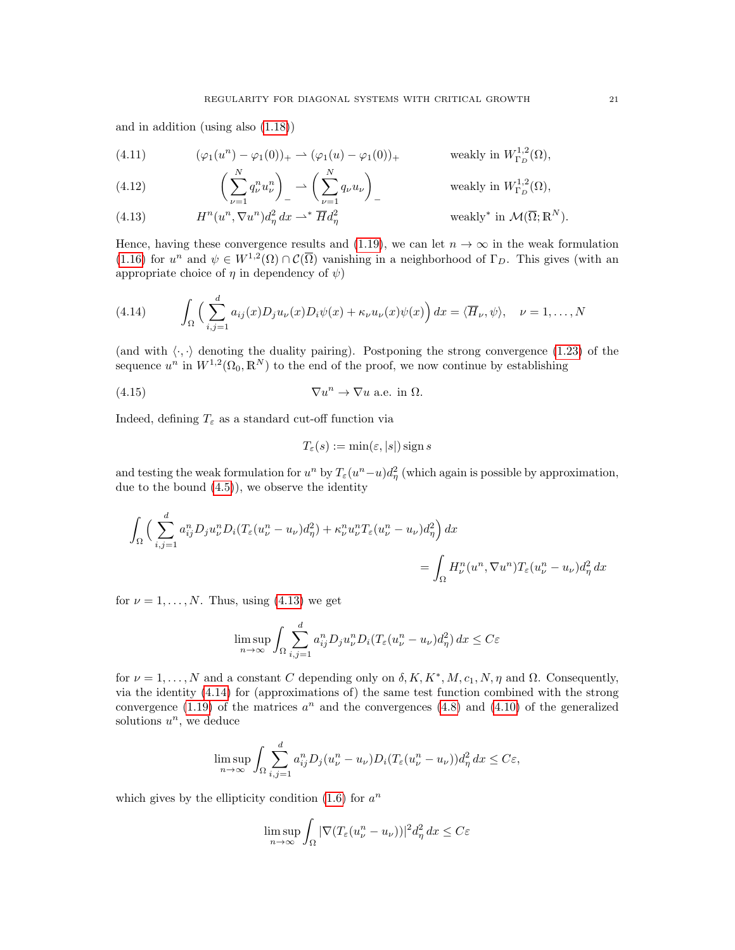and in addition (using also [\(1.18\)](#page-5-6))

(4.11) 
$$
(\varphi_1(u^n) - \varphi_1(0))_+ \rightharpoonup (\varphi_1(u) - \varphi_1(0))_+ \qquad \text{ weakly in } W_{\Gamma_D}^{1,2}(\Omega),
$$

<span id="page-20-0"></span>(4.12) 
$$
\left(\sum_{\nu=1}^{N} q_{\nu}^{n} u_{\nu}^{n}\right)_{-} \longrightarrow \left(\sum_{\nu=1}^{N} q_{\nu} u_{\nu}\right)_{-}
$$
 weakly in  $W_{\Gamma_{D}}^{1,2}(\Omega)$ ,  
(4.13) 
$$
H^{n}(u^{n}, \nabla u^{n}) d_{\eta}^{2} dx \longrightarrow^{*} \overline{H} d_{\eta}^{2}
$$
 weakly\* in  $\mathcal{M}(\overline{\Omega}; \mathbb{R}^{N}).$ 

Hence, having these convergence results and [\(1.19\)](#page-5-7), we can let  $n \to \infty$  in the weak formulation [\(1.16\)](#page-4-4) for  $u^n$  and  $\psi \in W^{1,2}(\Omega) \cap \mathcal{C}(\overline{\Omega})$  vanishing in a neighborhood of  $\Gamma_D$ . This gives (with an appropriate choice of  $\eta$  in dependency of  $\psi$ )

<span id="page-20-1"></span>(4.14) 
$$
\int_{\Omega} \left( \sum_{i,j=1}^{d} a_{ij}(x) D_j u_{\nu}(x) D_i \psi(x) + \kappa_{\nu} u_{\nu}(x) \psi(x) \right) dx = \langle \overline{H}_{\nu}, \psi \rangle, \quad \nu = 1, ..., N
$$

(and with  $\langle \cdot, \cdot \rangle$  denoting the duality pairing). Postponing the strong convergence [\(1.23\)](#page-5-8) of the sequence  $u^n$  in  $W^{1,2}(\Omega_0,\mathbb{R}^N)$  to the end of the proof, we now continue by establishing

(4.15) 
$$
\nabla u^n \to \nabla u \text{ a.e. in } \Omega.
$$

Indeed, defining  $T_{\varepsilon}$  as a standard cut-off function via

<span id="page-20-2"></span>
$$
T_{\varepsilon}(s) := \min(\varepsilon, |s|) \operatorname{sign} s
$$

and testing the weak formulation for  $u^n$  by  $T_\varepsilon(u^n-u)d_\eta^2$  (which again is possible by approximation, due to the bound  $(4.5)$ , we observe the identity

$$
\int_{\Omega} \left( \sum_{i,j=1}^{d} a_{ij}^{n} D_{j} u_{\nu}^{n} D_{i} (T_{\varepsilon} (u_{\nu}^{n} - u_{\nu}) d_{\eta}^{2}) + \kappa_{\nu}^{n} u_{\nu}^{n} T_{\varepsilon} (u_{\nu}^{n} - u_{\nu}) d_{\eta}^{2} \right) dx
$$
\n
$$
= \int_{\Omega} H_{\nu}^{n} (u^{n}, \nabla u^{n}) T_{\varepsilon} (u_{\nu}^{n} - u_{\nu}) d_{\eta}^{2} dx
$$

for  $\nu = 1, \ldots, N$ . Thus, using [\(4.13\)](#page-20-0) we get

$$
\limsup_{n \to \infty} \int_{\Omega} \sum_{i,j=1}^{d} a_{ij}^{n} D_{j} u_{\nu}^{n} D_{i} (T_{\varepsilon} (u_{\nu}^{n} - u_{\nu}) d_{\eta}^{2}) dx \le C \varepsilon
$$

for  $\nu = 1, ..., N$  and a constant C depending only on  $\delta, K, K^*, M, c_1, N, \eta$  and  $\Omega$ . Consequently, via the identity [\(4.14\)](#page-20-1) for (approximations of) the same test function combined with the strong convergence [\(1.19\)](#page-5-7) of the matrices  $a^n$  and the convergences [\(4.8\)](#page-19-4) and [\(4.10\)](#page-19-5) of the generalized solutions  $u^n$ , we deduce

$$
\limsup_{n \to \infty} \int_{\Omega} \sum_{i,j=1}^{d} a_{ij}^{n} D_j (u_{\nu}^{n} - u_{\nu}) D_i (T_{\varepsilon} (u_{\nu}^{n} - u_{\nu})) d_{\eta}^{2} dx \leq C \varepsilon,
$$

which gives by the ellipticity condition  $(1.6)$  for  $a^n$ 

$$
\limsup_{n \to \infty} \int_{\Omega} |\nabla (T_{\varepsilon}(u_{\nu}^{n} - u_{\nu}))|^2 d_{\eta}^{2} dx \le C \varepsilon
$$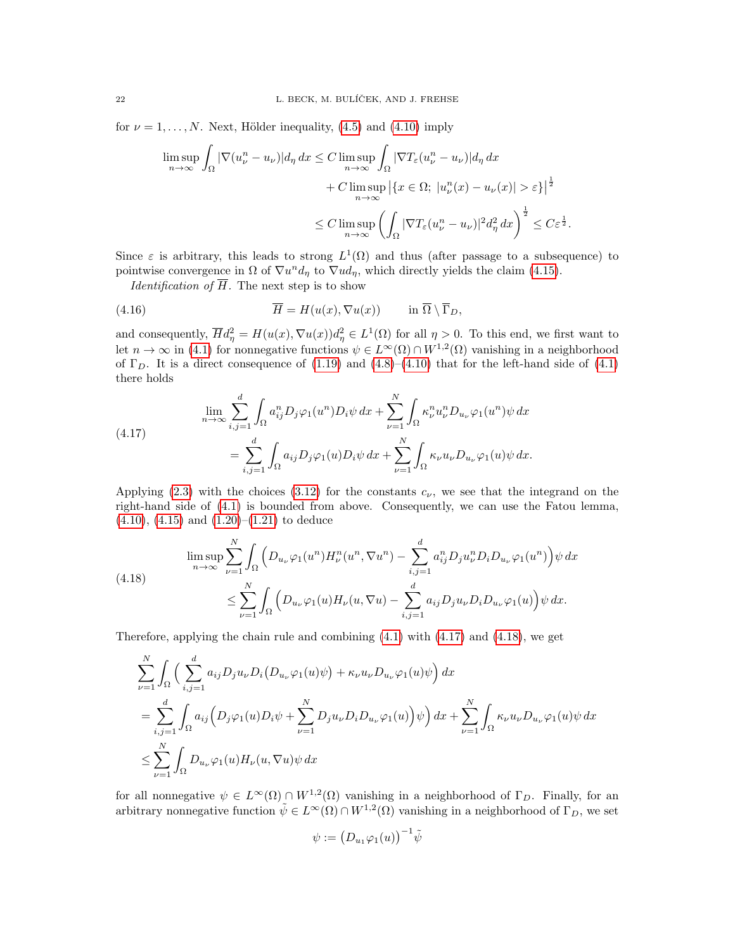for  $\nu = 1, \ldots, N$ . Next, Hölder inequality, [\(4.5\)](#page-19-3) and [\(4.10\)](#page-19-5) imply

$$
\limsup_{n \to \infty} \int_{\Omega} |\nabla (u_{\nu}^{n} - u_{\nu})| d_{\eta} dx \le C \limsup_{n \to \infty} \int_{\Omega} |\nabla T_{\varepsilon} (u_{\nu}^{n} - u_{\nu})| d_{\eta} dx \n+ C \limsup_{n \to \infty} \left| \{ x \in \Omega; |u_{\nu}^{n}(x) - u_{\nu}(x)| > \varepsilon \} \right|^{\frac{1}{2}} \n\le C \limsup_{n \to \infty} \left( \int_{\Omega} |\nabla T_{\varepsilon} (u_{\nu}^{n} - u_{\nu})|^{2} d_{\eta}^{2} dx \right)^{\frac{1}{2}} \le C \varepsilon^{\frac{1}{2}}.
$$

Since  $\varepsilon$  is arbitrary, this leads to strong  $L^1(\Omega)$  and thus (after passage to a subsequence) to pointwise convergence in  $\Omega$  of  $\nabla u^n d_\eta$  to  $\nabla u d_\eta$ , which directly yields the claim [\(4.15\)](#page-20-2).

<span id="page-21-2"></span>*Identification of*  $\overline{H}$ . The next step is to show

(4.16) 
$$
\overline{H} = H(u(x), \nabla u(x)) \quad \text{in } \overline{\Omega} \setminus \overline{\Gamma}_D,
$$

and consequently,  $\overline{H}d_{\eta}^2 = H(u(x), \nabla u(x))d_{\eta}^2 \in L^1(\Omega)$  for all  $\eta > 0$ . To this end, we first want to let  $n \to \infty$  in [\(4.1\)](#page-18-2) for nonnegative functions  $\psi \in L^{\infty}(\Omega) \cap W^{1,2}(\Omega)$  vanishing in a neighborhood of  $\Gamma_D$ . It is a direct consequence of [\(1.19\)](#page-5-7) and [\(4.8\)](#page-19-4)–[\(4.10\)](#page-19-5) that for the left-hand side of [\(4.1\)](#page-18-2) there holds

<span id="page-21-0"></span>(4.17) 
$$
\lim_{n \to \infty} \sum_{i,j=1}^{d} \int_{\Omega} a_{ij}^{n} D_{j} \varphi_{1}(u^{n}) D_{i} \psi \, dx + \sum_{\nu=1}^{N} \int_{\Omega} \kappa_{\nu}^{n} u_{\nu}^{n} D_{u_{\nu}} \varphi_{1}(u^{n}) \psi \, dx \n= \sum_{i,j=1}^{d} \int_{\Omega} a_{ij} D_{j} \varphi_{1}(u) D_{i} \psi \, dx + \sum_{\nu=1}^{N} \int_{\Omega} \kappa_{\nu} u_{\nu} D_{u_{\nu}} \varphi_{1}(u) \psi \, dx.
$$

Applying [\(2.3\)](#page-7-1) with the choices [\(3.12\)](#page-15-7) for the constants  $c_{\nu}$ , we see that the integrand on the right-hand side of [\(4.1\)](#page-18-2) is bounded from above. Consequently, we can use the Fatou lemma,  $(4.10)$ ,  $(4.15)$  and  $(1.20)$ – $(1.21)$  to deduce

<span id="page-21-1"></span>(4.18)  
\n
$$
\limsup_{n \to \infty} \sum_{\nu=1}^{N} \int_{\Omega} \left( D_{u_{\nu}} \varphi_{1}(u^{n}) H_{\nu}^{n}(u^{n}, \nabla u^{n}) - \sum_{i,j=1}^{d} a_{ij}^{n} D_{j} u_{\nu}^{n} D_{i} D_{u_{\nu}} \varphi_{1}(u^{n}) \right) \psi dx
$$
\n
$$
\leq \sum_{\nu=1}^{N} \int_{\Omega} \left( D_{u_{\nu}} \varphi_{1}(u) H_{\nu}(u, \nabla u) - \sum_{i,j=1}^{d} a_{ij} D_{j} u_{\nu} D_{i} D_{u_{\nu}} \varphi_{1}(u) \right) \psi dx.
$$

Therefore, applying the chain rule and combining  $(4.1)$  with  $(4.17)$  and  $(4.18)$ , we get

$$
\sum_{\nu=1}^{N} \int_{\Omega} \Big( \sum_{i,j=1}^{d} a_{ij} D_j u_{\nu} D_i \big( D_{u_{\nu}} \varphi_1(u) \psi \big) + \kappa_{\nu} u_{\nu} D_{u_{\nu}} \varphi_1(u) \psi \Big) dx
$$
  
\n
$$
= \sum_{i,j=1}^{d} \int_{\Omega} a_{ij} \Big( D_j \varphi_1(u) D_i \psi + \sum_{\nu=1}^{N} D_j u_{\nu} D_i D_{u_{\nu}} \varphi_1(u) \Big) \psi \Big) dx + \sum_{\nu=1}^{N} \int_{\Omega} \kappa_{\nu} u_{\nu} D_{u_{\nu}} \varphi_1(u) \psi dx
$$
  
\n
$$
\leq \sum_{\nu=1}^{N} \int_{\Omega} D_{u_{\nu}} \varphi_1(u) H_{\nu}(u, \nabla u) \psi dx
$$

for all nonnegative  $\psi \in L^{\infty}(\Omega) \cap W^{1,2}(\Omega)$  vanishing in a neighborhood of  $\Gamma_D$ . Finally, for an arbitrary nonnegative function  $\tilde{\psi} \in L^{\infty}(\Omega) \cap W^{1,2}(\Omega)$  vanishing in a neighborhood of  $\Gamma_D$ , we set

$$
\psi := \left(D_{u_1}\varphi_1(u)\right)^{-1}\tilde{\psi}
$$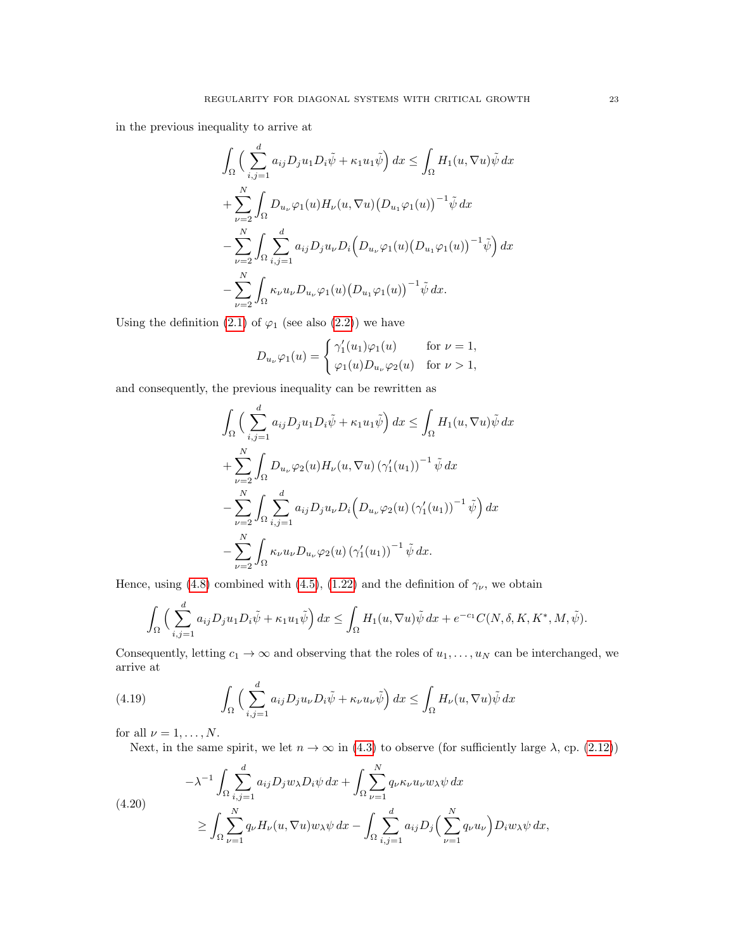in the previous inequality to arrive at

$$
\int_{\Omega} \Big( \sum_{i,j=1}^{d} a_{ij} D_j u_1 D_i \tilde{\psi} + \kappa_1 u_1 \tilde{\psi} \Big) dx \le \int_{\Omega} H_1(u, \nabla u) \tilde{\psi} dx
$$
  
+ 
$$
\sum_{\nu=2}^{N} \int_{\Omega} D_{u_{\nu}} \varphi_1(u) H_{\nu}(u, \nabla u) (D_{u_1} \varphi_1(u))^{-1} \tilde{\psi} dx
$$
  
- 
$$
\sum_{\nu=2}^{N} \int_{\Omega} \sum_{i,j=1}^{d} a_{ij} D_j u_{\nu} D_i \Big( D_{u_{\nu}} \varphi_1(u) (D_{u_1} \varphi_1(u))^{-1} \tilde{\psi} \Big) dx
$$
  
- 
$$
\sum_{\nu=2}^{N} \int_{\Omega} \kappa_{\nu} u_{\nu} D_{u_{\nu}} \varphi_1(u) (D_{u_1} \varphi_1(u))^{-1} \tilde{\psi} dx.
$$

Using the definition [\(2.1\)](#page-6-1) of  $\varphi_1$  (see also [\(2.2\)](#page-7-0)) we have

$$
D_{u_{\nu}}\varphi_1(u) = \begin{cases} \gamma_1'(u_1)\varphi_1(u) & \text{for } \nu = 1, \\ \varphi_1(u)D_{u_{\nu}}\varphi_2(u) & \text{for } \nu > 1, \end{cases}
$$

and consequently, the previous inequality can be rewritten as

$$
\int_{\Omega} \Big( \sum_{i,j=1}^{d} a_{ij} D_j u_1 D_i \tilde{\psi} + \kappa_1 u_1 \tilde{\psi} \Big) dx \le \int_{\Omega} H_1(u, \nabla u) \tilde{\psi} dx
$$
  
+ 
$$
\sum_{\nu=2}^{N} \int_{\Omega} D_{u_{\nu}} \varphi_2(u) H_{\nu}(u, \nabla u) (\gamma_1'(u_1))^{-1} \tilde{\psi} dx
$$
  
- 
$$
\sum_{\nu=2}^{N} \int_{\Omega} \sum_{i,j=1}^{d} a_{ij} D_j u_{\nu} D_i \Big( D_{u_{\nu}} \varphi_2(u) (\gamma_1'(u_1))^{-1} \tilde{\psi} \Big) dx
$$
  
- 
$$
\sum_{\nu=2}^{N} \int_{\Omega} \kappa_{\nu} u_{\nu} D_{u_{\nu}} \varphi_2(u) (\gamma_1'(u_1))^{-1} \tilde{\psi} dx.
$$

Hence, using [\(4.8\)](#page-19-4) combined with [\(4.5\)](#page-19-3), [\(1.22\)](#page-5-0) and the definition of  $\gamma_{\nu}$ , we obtain

$$
\int_{\Omega} \Big( \sum_{i,j=1}^d a_{ij} D_j u_1 D_i \tilde{\psi} + \kappa_1 u_1 \tilde{\psi} \Big) dx \le \int_{\Omega} H_1(u, \nabla u) \tilde{\psi} dx + e^{-c_1} C(N, \delta, K, K^*, M, \tilde{\psi}).
$$

Consequently, letting  $c_1 \to \infty$  and observing that the roles of  $u_1, \ldots, u_N$  can be interchanged, we arrive at

<span id="page-22-1"></span>(4.19) 
$$
\int_{\Omega} \left( \sum_{i,j=1}^{d} a_{ij} D_j u_{\nu} D_i \tilde{\psi} + \kappa_{\nu} u_{\nu} \tilde{\psi} \right) dx \le \int_{\Omega} H_{\nu}(u, \nabla u) \tilde{\psi} dx
$$

for all  $\nu = 1, \ldots, N$ .

Next, in the same spirit, we let  $n \to \infty$  in [\(4.3\)](#page-18-3) to observe (for sufficiently large  $\lambda$ , cp. [\(2.12\)](#page-9-0))

<span id="page-22-0"></span>
$$
(4.20) \qquad \qquad -\lambda^{-1} \int_{\Omega} \sum_{i,j=1}^{d} a_{ij} D_j w_{\lambda} D_i \psi \, dx + \int_{\Omega} \sum_{\nu=1}^{N} q_{\nu} \kappa_{\nu} u_{\nu} w_{\lambda} \psi \, dx
$$
\n
$$
\geq \int_{\Omega} \sum_{\nu=1}^{N} q_{\nu} H_{\nu}(u, \nabla u) w_{\lambda} \psi \, dx - \int_{\Omega} \sum_{i,j=1}^{d} a_{ij} D_j \left( \sum_{\nu=1}^{N} q_{\nu} u_{\nu} \right) D_i w_{\lambda} \psi \, dx,
$$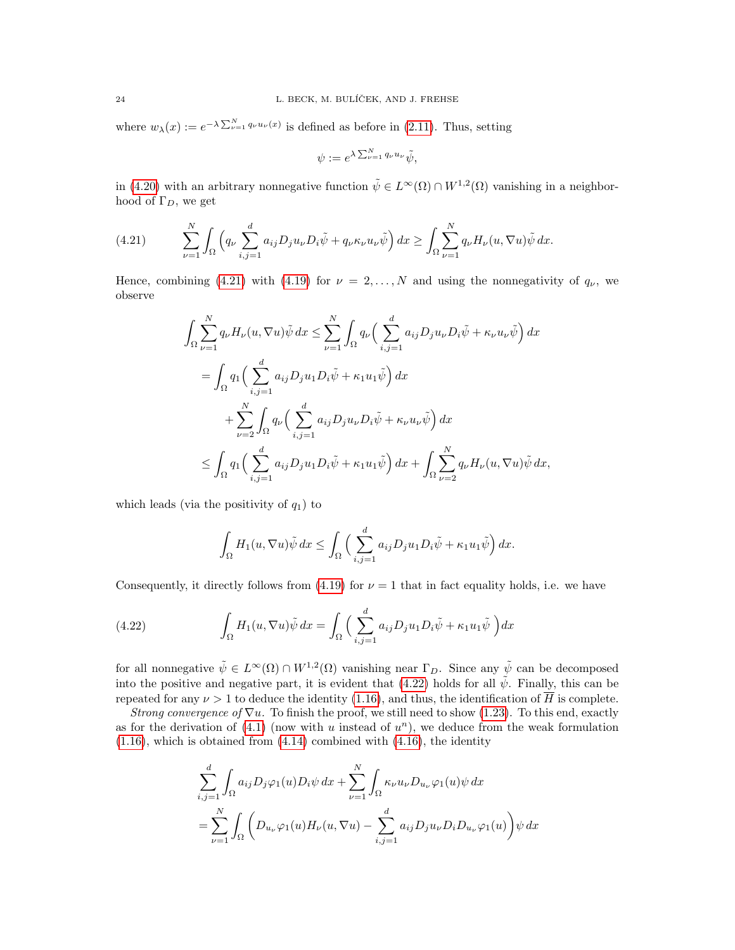where  $w_{\lambda}(x) := e^{-\lambda \sum_{\nu=1}^{N} q_{\nu} u_{\nu}(x)}$  is defined as before in [\(2.11\)](#page-9-2). Thus, setting

$$
\psi := e^{\lambda \sum_{\nu=1}^N q_{\nu} u_{\nu}} \tilde{\psi},
$$

in [\(4.20\)](#page-22-0) with an arbitrary nonnegative function  $\tilde{\psi} \in L^{\infty}(\Omega) \cap W^{1,2}(\Omega)$  vanishing in a neighborhood of  $\Gamma_D$ , we get

<span id="page-23-0"></span>(4.21) 
$$
\sum_{\nu=1}^N \int_{\Omega} \left( q_{\nu} \sum_{i,j=1}^d a_{ij} D_j u_{\nu} D_i \tilde{\psi} + q_{\nu} \kappa_{\nu} u_{\nu} \tilde{\psi} \right) dx \ge \int_{\Omega} \sum_{\nu=1}^N q_{\nu} H_{\nu}(u, \nabla u) \tilde{\psi} dx.
$$

Hence, combining [\(4.21\)](#page-23-0) with [\(4.19\)](#page-22-1) for  $\nu = 2, ..., N$  and using the nonnegativity of  $q_{\nu}$ , we observe

$$
\int_{\Omega} \sum_{\nu=1}^{N} q_{\nu} H_{\nu}(u, \nabla u) \tilde{\psi} dx \leq \sum_{\nu=1}^{N} \int_{\Omega} q_{\nu} \left( \sum_{i,j=1}^{d} a_{ij} D_{j} u_{\nu} D_{i} \tilde{\psi} + \kappa_{\nu} u_{\nu} \tilde{\psi} \right) dx
$$
  
\n
$$
= \int_{\Omega} q_{1} \left( \sum_{i,j=1}^{d} a_{ij} D_{j} u_{1} D_{i} \tilde{\psi} + \kappa_{1} u_{1} \tilde{\psi} \right) dx
$$
  
\n
$$
+ \sum_{\nu=2}^{N} \int_{\Omega} q_{\nu} \left( \sum_{i,j=1}^{d} a_{ij} D_{j} u_{\nu} D_{i} \tilde{\psi} + \kappa_{\nu} u_{\nu} \tilde{\psi} \right) dx
$$
  
\n
$$
\leq \int_{\Omega} q_{1} \left( \sum_{i,j=1}^{d} a_{ij} D_{j} u_{1} D_{i} \tilde{\psi} + \kappa_{1} u_{1} \tilde{\psi} \right) dx + \int_{\Omega} \sum_{\nu=2}^{N} q_{\nu} H_{\nu}(u, \nabla u) \tilde{\psi} dx,
$$

which leads (via the positivity of  $q_1$ ) to

$$
\int_{\Omega} H_1(u, \nabla u) \tilde{\psi} \, dx \le \int_{\Omega} \Big( \sum_{i,j=1}^d a_{ij} D_j u_1 D_i \tilde{\psi} + \kappa_1 u_1 \tilde{\psi} \Big) \, dx.
$$

Consequently, it directly follows from [\(4.19\)](#page-22-1) for  $\nu = 1$  that in fact equality holds, i.e. we have

<span id="page-23-1"></span>(4.22) 
$$
\int_{\Omega} H_1(u, \nabla u) \tilde{\psi} \, dx = \int_{\Omega} \Big( \sum_{i,j=1}^d a_{ij} D_j u_1 D_i \tilde{\psi} + \kappa_1 u_1 \tilde{\psi} \Big) dx
$$

for all nonnegative  $\tilde{\psi} \in L^{\infty}(\Omega) \cap W^{1,2}(\Omega)$  vanishing near  $\Gamma_D$ . Since any  $\tilde{\psi}$  can be decomposed into the positive and negative part, it is evident that [\(4.22\)](#page-23-1) holds for all  $\tilde{\psi}$ . Finally, this can be repeated for any  $\nu > 1$  to deduce the identity [\(1.16\)](#page-4-4), and thus, the identification of  $\overline{H}$  is complete.

Strong convergence of  $\nabla u$ . To finish the proof, we still need to show [\(1.23\)](#page-5-8). To this end, exactly as for the derivation of  $(4.1)$  (now with u instead of  $u<sup>n</sup>$ ), we deduce from the weak formulation [\(1.16\)](#page-4-4), which is obtained from [\(4.14\)](#page-20-1) combined with [\(4.16\)](#page-21-2), the identity

$$
\sum_{i,j=1}^d \int_{\Omega} a_{ij} D_j \varphi_1(u) D_i \psi \, dx + \sum_{\nu=1}^N \int_{\Omega} \kappa_{\nu} u_{\nu} D_{u_{\nu}} \varphi_1(u) \psi \, dx
$$
  
= 
$$
\sum_{\nu=1}^N \int_{\Omega} \left( D_{u_{\nu}} \varphi_1(u) H_{\nu}(u, \nabla u) - \sum_{i,j=1}^d a_{ij} D_j u_{\nu} D_i D_{u_{\nu}} \varphi_1(u) \right) \psi \, dx
$$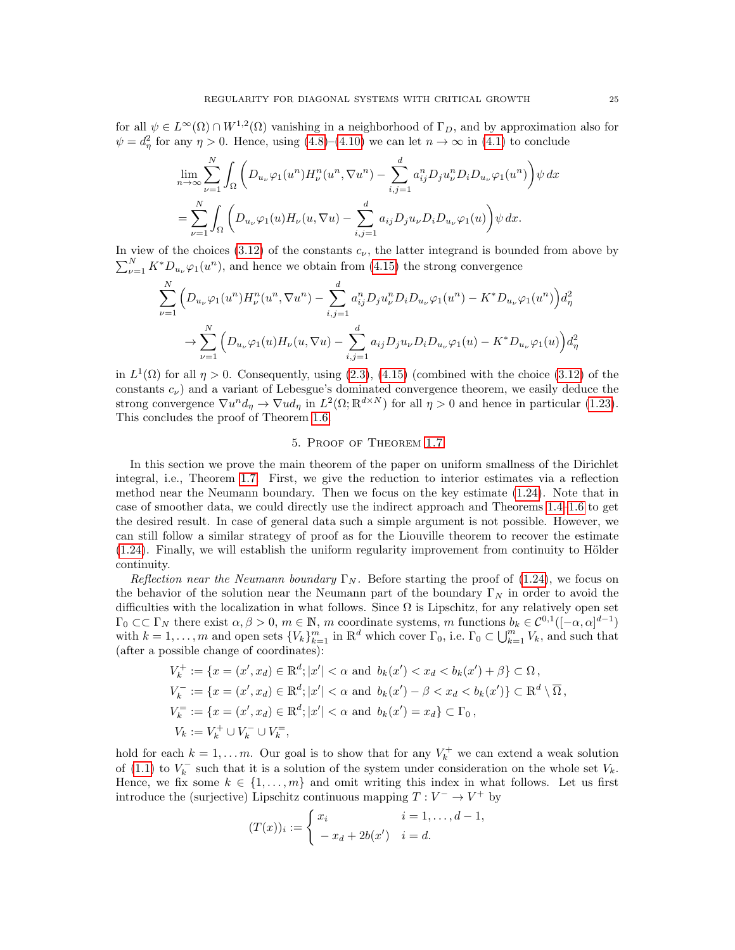for all  $\psi \in L^{\infty}(\Omega) \cap W^{1,2}(\Omega)$  vanishing in a neighborhood of  $\Gamma_D$ , and by approximation also for  $\psi = d_{\eta}^2$  for any  $\eta > 0$ . Hence, using  $(4.8)$ – $(4.10)$  we can let  $n \to \infty$  in  $(4.1)$  to conclude

$$
\lim_{n \to \infty} \sum_{\nu=1}^{N} \int_{\Omega} \left( D_{u_{\nu}} \varphi_1(u^n) H_{\nu}^n(u^n, \nabla u^n) - \sum_{i,j=1}^d a_{ij}^n D_j u_{\nu}^n D_i D_{u_{\nu}} \varphi_1(u^n) \right) \psi \, dx
$$
  
= 
$$
\sum_{\nu=1}^{N} \int_{\Omega} \left( D_{u_{\nu}} \varphi_1(u) H_{\nu}(u, \nabla u) - \sum_{i,j=1}^d a_{ij} D_j u_{\nu} D_i D_{u_{\nu}} \varphi_1(u) \right) \psi \, dx.
$$

In view of the choices [\(3.12\)](#page-15-7) of the constants  $c_{\nu}$ , the latter integrand is bounded from above by  $\sum_{\nu=1}^{N} K^* D_{u_{\nu}} \varphi_1(u^n)$ , and hence we obtain from [\(4.15\)](#page-20-2) the strong convergence

$$
\sum_{\nu=1}^{N} \left( D_{u_{\nu}} \varphi_{1}(u^{n}) H_{\nu}^{n}(u^{n}, \nabla u^{n}) - \sum_{i,j=1}^{d} a_{ij}^{n} D_{j} u_{\nu}^{n} D_{i} D_{u_{\nu}} \varphi_{1}(u^{n}) - K^{*} D_{u_{\nu}} \varphi_{1}(u^{n}) \right) d_{\eta}^{2}
$$

$$
\rightarrow \sum_{\nu=1}^{N} \left( D_{u_{\nu}} \varphi_{1}(u) H_{\nu}(u, \nabla u) - \sum_{i,j=1}^{d} a_{ij} D_{j} u_{\nu} D_{i} D_{u_{\nu}} \varphi_{1}(u) - K^{*} D_{u_{\nu}} \varphi_{1}(u) \right) d_{\eta}^{2}
$$

in  $L^1(\Omega)$  for all  $\eta > 0$ . Consequently, using [\(2.3\)](#page-7-1), [\(4.15\)](#page-20-2) (combined with the choice [\(3.12\)](#page-15-7) of the constants  $c_{\nu}$ ) and a variant of Lebesgue's dominated convergence theorem, we easily deduce the strong convergence  $\nabla u^n d_\eta \to \nabla u d_\eta$  in  $L^2(\Omega; \mathbb{R}^{d \times N})$  for all  $\eta > 0$  and hence in particular [\(1.23\)](#page-5-8). This concludes the proof of Theorem [1.6.](#page-5-3)

## 5. Proof of Theorem [1.7](#page-5-5)

<span id="page-24-0"></span>In this section we prove the main theorem of the paper on uniform smallness of the Dirichlet integral, i.e., Theorem [1.7.](#page-5-5) First, we give the reduction to interior estimates via a reflection method near the Neumann boundary. Then we focus on the key estimate [\(1.24\)](#page-5-1). Note that in case of smoother data, we could directly use the indirect approach and Theorems [1.4–](#page-4-2)[1.6](#page-5-3) to get the desired result. In case of general data such a simple argument is not possible. However, we can still follow a similar strategy of proof as for the Liouville theorem to recover the estimate  $(1.24)$ . Finally, we will establish the uniform regularity improvement from continuity to Hölder continuity.

Reflection near the Neumann boundary  $\Gamma_N$ . Before starting the proof of [\(1.24\)](#page-5-1), we focus on the behavior of the solution near the Neumann part of the boundary  $\Gamma_N$  in order to avoid the difficulties with the localization in what follows. Since  $\Omega$  is Lipschitz, for any relatively open set  $\Gamma_0 \subset \subset \Gamma_N$  there exist  $\alpha, \beta > 0, m \in \mathbb{N}, m$  coordinate systems, m functions  $b_k \in C^{0,1}([-\alpha, \alpha]^{d-1})$ with  $k = 1, \ldots, m$  and open sets  $\{V_k\}_{k=1}^m$  in  $\mathbb{R}^d$  which cover  $\Gamma_0$ , i.e.  $\Gamma_0 \subset \bigcup_{k=1}^m V_k$ , and such that (after a possible change of coordinates):

$$
V_k^+ := \{ x = (x', x_d) \in \mathbb{R}^d; |x'| < \alpha \text{ and } b_k(x') < x_d < b_k(x') + \beta \} \subset \Omega,
$$
  
\n
$$
V_k^- := \{ x = (x', x_d) \in \mathbb{R}^d; |x'| < \alpha \text{ and } b_k(x') - \beta < x_d < b_k(x') \} \subset \mathbb{R}^d \setminus \overline{\Omega},
$$
  
\n
$$
V_k^- := \{ x = (x', x_d) \in \mathbb{R}^d; |x'| < \alpha \text{ and } b_k(x') = x_d \} \subset \Gamma_0,
$$
  
\n
$$
V_k := V_k^+ \cup V_k^- \cup V_k^=,
$$

hold for each  $k = 1, \ldots m$ . Our goal is to show that for any  $V_k^+$  we can extend a weak solution of [\(1.1\)](#page-0-0) to  $V_k^-$  such that it is a solution of the system under consideration on the whole set  $V_k$ . Hence, we fix some  $k \in \{1, \ldots, m\}$  and omit writing this index in what follows. Let us first introduce the (surjective) Lipschitz continuous mapping  $T: V^- \to V^+$  by

$$
(T(x))_i := \begin{cases} x_i & i = 1, ..., d - 1, \\ -x_d + 2b(x') & i = d. \end{cases}
$$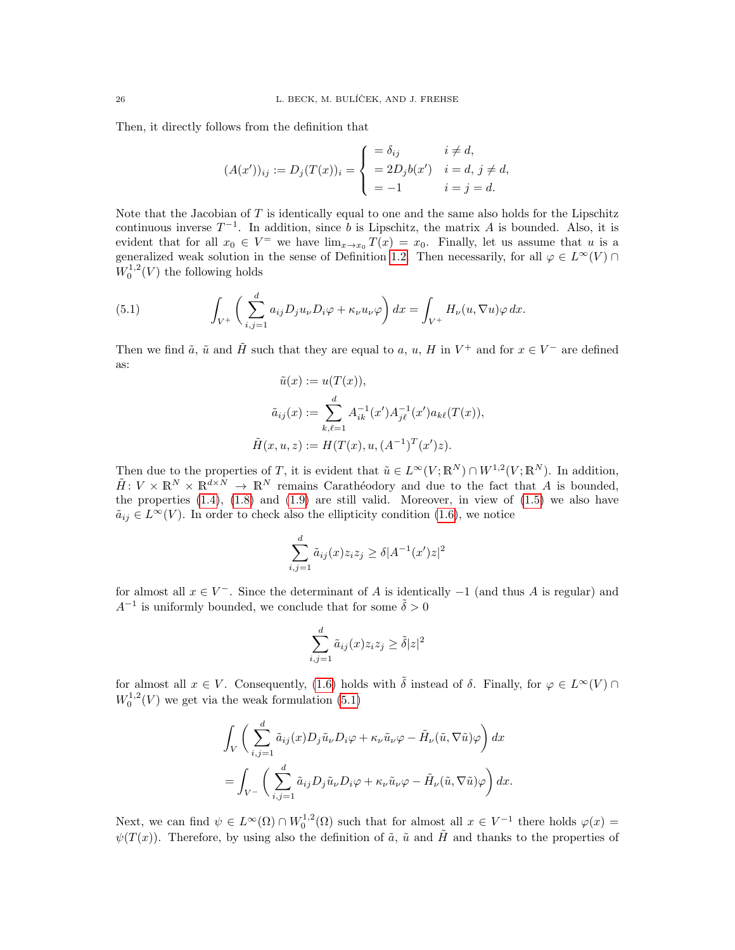Then, it directly follows from the definition that

$$
(A(x'))_{ij} := D_j(T(x))_i = \begin{cases} = \delta_{ij} & i \neq d, \\ = 2D_jb(x') & i = d, j \neq d, \\ = -1 & i = j = d. \end{cases}
$$

Note that the Jacobian of  $T$  is identically equal to one and the same also holds for the Lipschitz continuous inverse  $T^{-1}$ . In addition, since b is Lipschitz, the matrix A is bounded. Also, it is evident that for all  $x_0 \in V^-$  we have  $\lim_{x\to x_0} T(x) = x_0$ . Finally, let us assume that u is a generalized weak solution in the sense of Definition [1.2.](#page-3-1) Then necessarily, for all  $\varphi \in L^{\infty}(V)$  $W_0^{1,2}(V)$  the following holds

(5.1) 
$$
\int_{V^+} \left( \sum_{i,j=1}^d a_{ij} D_j u_{\nu} D_i \varphi + \kappa_{\nu} u_{\nu} \varphi \right) dx = \int_{V^+} H_{\nu}(u, \nabla u) \varphi dx.
$$

Then we find  $\tilde{a}$ ,  $\tilde{u}$  and  $\tilde{H}$  such that they are equal to a, u, H in  $V^+$  and for  $x \in V^-$  are defined as:

<span id="page-25-0"></span>
$$
\tilde{u}(x) := u(T(x)),
$$
  
\n
$$
\tilde{a}_{ij}(x) := \sum_{k,\ell=1}^d A_{ik}^{-1}(x')A_{j\ell}^{-1}(x')a_{k\ell}(T(x)),
$$
  
\n
$$
\tilde{H}(x, u, z) := H(T(x), u, (A^{-1})^T(x')z).
$$

Then due to the properties of T, it is evident that  $\tilde{u} \in L^{\infty}(V; \mathbb{R}^{N}) \cap W^{1,2}(V; \mathbb{R}^{N})$ . In addition,  $\tilde{H}: V \times \mathbb{R}^N \times \mathbb{R}^{d \times N} \to \mathbb{R}^N$  remains Carathéodory and due to the fact that A is bounded, the properties  $(1.4)$ ,  $(1.8)$  and  $(1.9)$  are still valid. Moreover, in view of  $(1.5)$  we also have  $\tilde{a}_{ij} \in L^{\infty}(V)$ . In order to check also the ellipticity condition [\(1.6\)](#page-1-5), we notice

$$
\sum_{i,j=1}^d \tilde{a}_{ij}(x) z_i z_j \ge \delta |A^{-1}(x')z|^2
$$

for almost all  $x \in V^-$ . Since the determinant of A is identically  $-1$  (and thus A is regular) and  $A^{-1}$  is uniformly bounded, we conclude that for some  $\tilde{\delta} > 0$ 

$$
\sum_{i,j=1}^d \tilde{a}_{ij}(x) z_i z_j \ge \tilde{\delta} |z|^2
$$

for almost all  $x \in V$ . Consequently, [\(1.6\)](#page-1-5) holds with  $\tilde{\delta}$  instead of  $\delta$ . Finally, for  $\varphi \in L^{\infty}(V) \cap$  $W_0^{1,2}(V)$  we get via the weak formulation [\(5.1\)](#page-25-0)

$$
\int_{V} \left( \sum_{i,j=1}^{d} \tilde{a}_{ij}(x) D_{j} \tilde{u}_{\nu} D_{i} \varphi + \kappa_{\nu} \tilde{u}_{\nu} \varphi - \tilde{H}_{\nu}(\tilde{u}, \nabla \tilde{u}) \varphi \right) dx
$$
  
= 
$$
\int_{V^{-}} \left( \sum_{i,j=1}^{d} \tilde{a}_{ij} D_{j} \tilde{u}_{\nu} D_{i} \varphi + \kappa_{\nu} \tilde{u}_{\nu} \varphi - \tilde{H}_{\nu}(\tilde{u}, \nabla \tilde{u}) \varphi \right) dx.
$$

Next, we can find  $\psi \in L^{\infty}(\Omega) \cap W_0^{1,2}(\Omega)$  such that for almost all  $x \in V^{-1}$  there holds  $\varphi(x) =$  $\psi(T(x))$ . Therefore, by using also the definition of  $\tilde{a}$ ,  $\tilde{u}$  and  $\tilde{H}$  and thanks to the properties of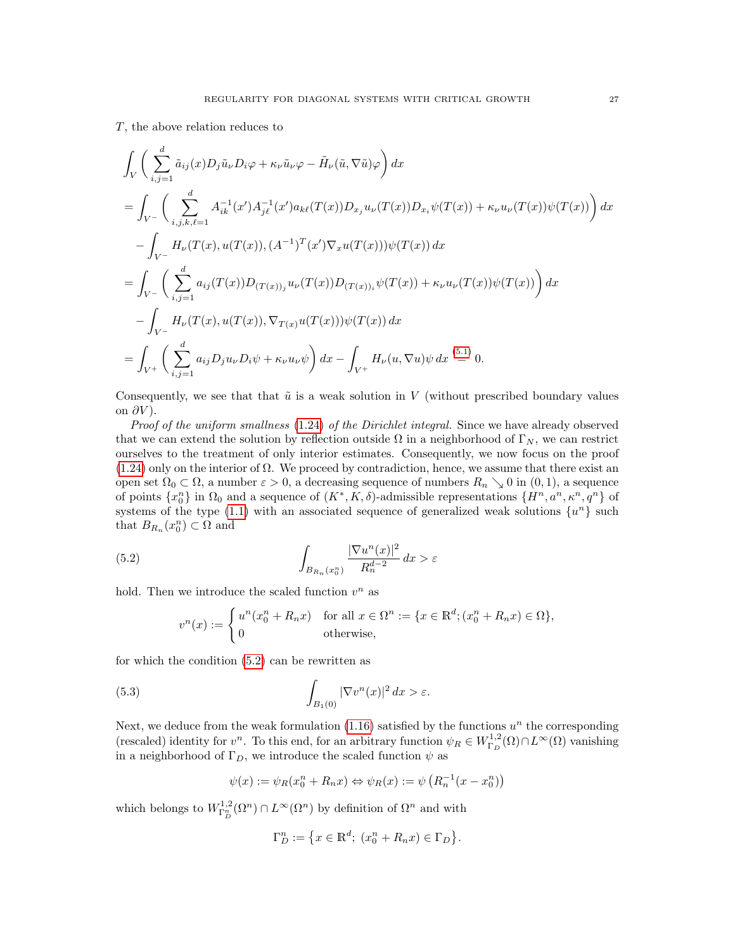T, the above relation reduces to

$$
\int_{V} \left( \sum_{i,j=1}^{d} \tilde{a}_{ij}(x) D_{j} \tilde{u}_{\nu} D_{i} \varphi + \kappa_{\nu} \tilde{u}_{\nu} \varphi - \tilde{H}_{\nu}(\tilde{u}, \nabla \tilde{u}) \varphi \right) dx
$$
\n
$$
= \int_{V^{-}} \left( \sum_{i,j,k,\ell=1}^{d} A_{ik}^{-1}(x') A_{j\ell}^{-1}(x') a_{k\ell}(T(x)) D_{x_{j}} u_{\nu}(T(x)) D_{x_{i}} \psi(T(x)) + \kappa_{\nu} u_{\nu}(T(x)) \psi(T(x)) \right) dx
$$
\n
$$
- \int_{V^{-}} H_{\nu}(T(x), u(T(x)), (A^{-1})^{T}(x') \nabla_{x} u(T(x))) \psi(T(x)) dx
$$
\n
$$
= \int_{V^{-}} \left( \sum_{i,j=1}^{d} a_{ij}(T(x)) D_{(T(x))j} u_{\nu}(T(x)) D_{(T(x))i} \psi(T(x)) + \kappa_{\nu} u_{\nu}(T(x)) \psi(T(x)) \right) dx
$$
\n
$$
- \int_{V^{-}} H_{\nu}(T(x), u(T(x)), \nabla_{T(x)} u(T(x))) \psi(T(x)) dx
$$
\n
$$
= \int_{V^{+}} \left( \sum_{i,j=1}^{d} a_{ij} D_{j} u_{\nu} D_{i} \psi + \kappa_{\nu} u_{\nu} \psi \right) dx - \int_{V^{+}} H_{\nu}(u, \nabla u) \psi dx \stackrel{(5.1)}{=} 0.
$$

Consequently, we see that that  $\tilde{u}$  is a weak solution in V (without prescribed boundary values on  $\partial V$ ).

Proof of the uniform smallness [\(1.24\)](#page-5-1) of the Dirichlet integral. Since we have already observed that we can extend the solution by reflection outside  $\Omega$  in a neighborhood of  $\Gamma_N$ , we can restrict ourselves to the treatment of only interior estimates. Consequently, we now focus on the proof  $(1.24)$  only on the interior of  $\Omega$ . We proceed by contradiction, hence, we assume that there exist an open set  $\Omega_0 \subset \Omega$ , a number  $\varepsilon > 0$ , a decreasing sequence of numbers  $R_n \searrow 0$  in  $(0,1)$ , a sequence of points  $\{x_0^n\}$  in  $\Omega_0$  and a sequence of  $(K^*, K, \delta)$ -admissible representations  $\{H^n, a^n, \kappa^n, q^n\}$  of systems of the type [\(1.1\)](#page-0-0) with an associated sequence of generalized weak solutions  $\{u^{n}\}\$  such that  $B_{R_n}(x_0^n) \subset \Omega$  and

(5.2) 
$$
\int_{B_{R_n}(x_0^n)} \frac{|\nabla u^n(x)|^2}{R_n^{d-2}} dx > \varepsilon
$$

hold. Then we introduce the scaled function  $v^n$  as

<span id="page-26-0"></span>
$$
v^n(x) := \begin{cases} u^n(x_0^n + R_n x) & \text{for all } x \in \Omega^n := \{x \in \mathbb{R}^d; (x_0^n + R_n x) \in \Omega\}, \\ 0 & \text{otherwise,} \end{cases}
$$

for which the condition [\(5.2\)](#page-26-0) can be rewritten as

(5.3) 
$$
\int_{B_1(0)} |\nabla v^n(x)|^2 dx > \varepsilon.
$$

Next, we deduce from the weak formulation  $(1.16)$  satisfied by the functions  $u<sup>n</sup>$  the corresponding (rescaled) identity for  $v^n$ . To this end, for an arbitrary function  $\psi_R \in W^{1,2}_{\Gamma_D}(\Omega) \cap L^{\infty}(\Omega)$  vanishing in a neighborhood of  $\Gamma_D$ , we introduce the scaled function  $\psi$  as

<span id="page-26-1"></span>
$$
\psi(x) := \psi_R(x_0^n + R_n x) \Leftrightarrow \psi_R(x) := \psi\left(R_n^{-1}(x - x_0^n)\right)
$$

which belongs to  $W^{1,2}_{\Gamma_D^n}(\Omega^n) \cap L^\infty(\Omega^n)$  by definition of  $\Omega^n$  and with

$$
\Gamma_D^n := \left\{ x \in \mathbb{R}^d; \ (x_0^n + R_n x) \in \Gamma_D \right\}.
$$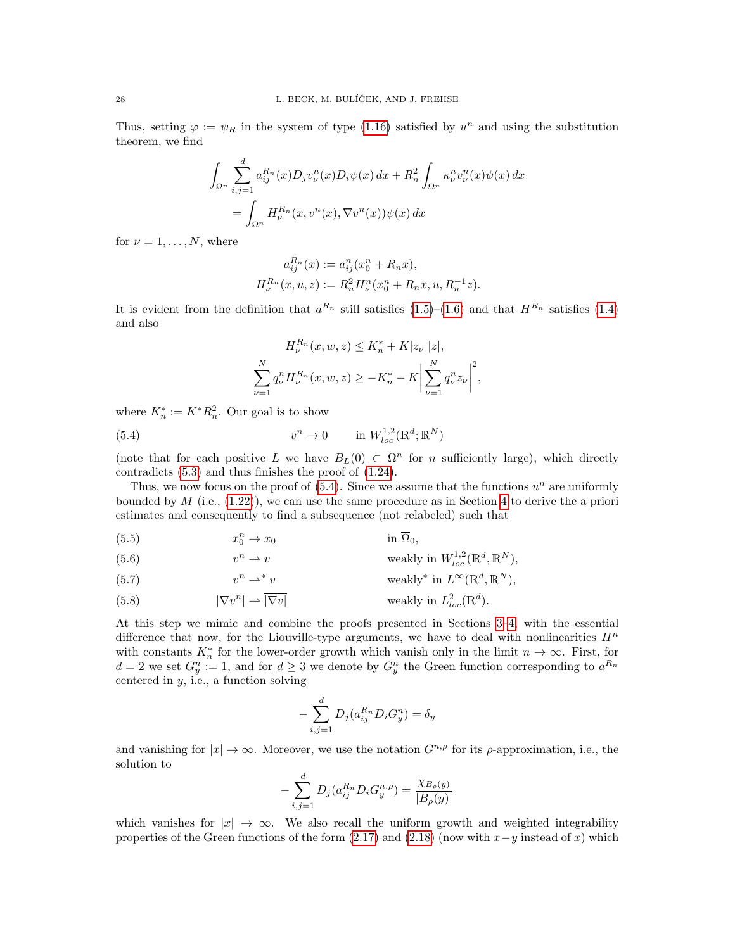Thus, setting  $\varphi := \psi_R$  in the system of type [\(1.16\)](#page-4-4) satisfied by  $u^n$  and using the substitution theorem, we find

$$
\int_{\Omega^n} \sum_{i,j=1}^d a_{ij}^{R_n}(x) D_j v_{\nu}^n(x) D_i \psi(x) dx + R_n^2 \int_{\Omega^n} \kappa_{\nu}^n v_{\nu}^n(x) \psi(x) dx
$$
  
= 
$$
\int_{\Omega^n} H_{\nu}^{R_n}(x, v^n(x), \nabla v^n(x)) \psi(x) dx
$$

for  $\nu = 1, \ldots, N$ , where

$$
a_{ij}^{R_n}(x) := a_{ij}^n(x_0^n + R_n x),
$$
  

$$
H_{\nu}^{R_n}(x, u, z) := R_n^2 H_{\nu}^n(x_0^n + R_n x, u, R_n^{-1} z).
$$

It is evident from the definition that  $a^{R_n}$  still satisfies  $(1.5)-(1.6)$  $(1.5)-(1.6)$  and that  $H^{R_n}$  satisfies  $(1.4)$ and also

<span id="page-27-0"></span>
$$
H_{\nu}^{R_n}(x, w, z) \le K_n^* + K|z_{\nu}||z|,
$$
  

$$
\sum_{\nu=1}^N q_{\nu}^n H_{\nu}^{R_n}(x, w, z) \ge -K_n^* - K \left| \sum_{\nu=1}^N q_{\nu}^n z_{\nu} \right|^2,
$$

where  $K_n^* := K^* R_n^2$ . Our goal is to show

(5.4) 
$$
v^n \to 0 \quad \text{in } W^{1,2}_{loc}(\mathbb{R}^d; \mathbb{R}^N)
$$

(note that for each positive L we have  $B_L(0) \subset \Omega^n$  for n sufficiently large), which directly contradicts [\(5.3\)](#page-26-1) and thus finishes the proof of [\(1.24\)](#page-5-1).

Thus, we now focus on the proof of  $(5.4)$ . Since we assume that the functions  $u^n$  are uniformly bounded by  $M$  (i.e.,  $(1.22)$ ), we can use the same procedure as in Section [4](#page-18-0) to derive the a priori estimates and consequently to find a subsequence (not relabeled) such that

$$
(5.5) \t\t x_0^n \to x_0 \t\t \text{in } \overline{\Omega}_0,
$$

<span id="page-27-1"></span>(5.6) 
$$
v^n \rightharpoonup v \qquad \text{weakly in } W_{loc}^{1,2}(\mathbb{R}^d, \mathbb{R}^N),
$$

(5.7) 
$$
v^{n} \rightharpoonup^{*} v \qquad \text{weakly}^{*} \text{ in } L^{\infty}(\mathbb{R}^{d}, \mathbb{R}^{N}),
$$

<span id="page-27-2"></span>(5.8) 
$$
|\nabla v^n| \rightharpoonup \overline{|\nabla v|} \qquad \text{weakly in } L^2_{loc}(\mathbb{R}^d).
$$

At this step we mimic and combine the proofs presented in Sections [3–](#page-13-0)[4,](#page-18-0) with the essential difference that now, for the Liouville-type arguments, we have to deal with nonlinearities  $H^n$ with constants  $K_n^*$  for the lower-order growth which vanish only in the limit  $n \to \infty$ . First, for  $d=2$  we set  $G_y^n := 1$ , and for  $d \geq 3$  we denote by  $G_y^n$  the Green function corresponding to  $a^{R_n}$ centered in y, i.e., a function solving

$$
-\sum_{i,j=1}^d D_j(a_{ij}^{R_n}D_iG_y^n)=\delta_y
$$

and vanishing for  $|x| \to \infty$ . Moreover, we use the notation  $G^{n,\rho}$  for its  $\rho$ -approximation, i.e., the solution to

$$
-\sum_{i,j=1}^{d} D_j(a_{ij}^{R_n} D_i G_y^{n,\rho}) = \frac{\chi_{B_\rho(y)}}{|B_\rho(y)|}
$$

which vanishes for  $|x| \to \infty$ . We also recall the uniform growth and weighted integrability properties of the Green functions of the form  $(2.17)$  and  $(2.18)$  (now with  $x-y$  instead of x) which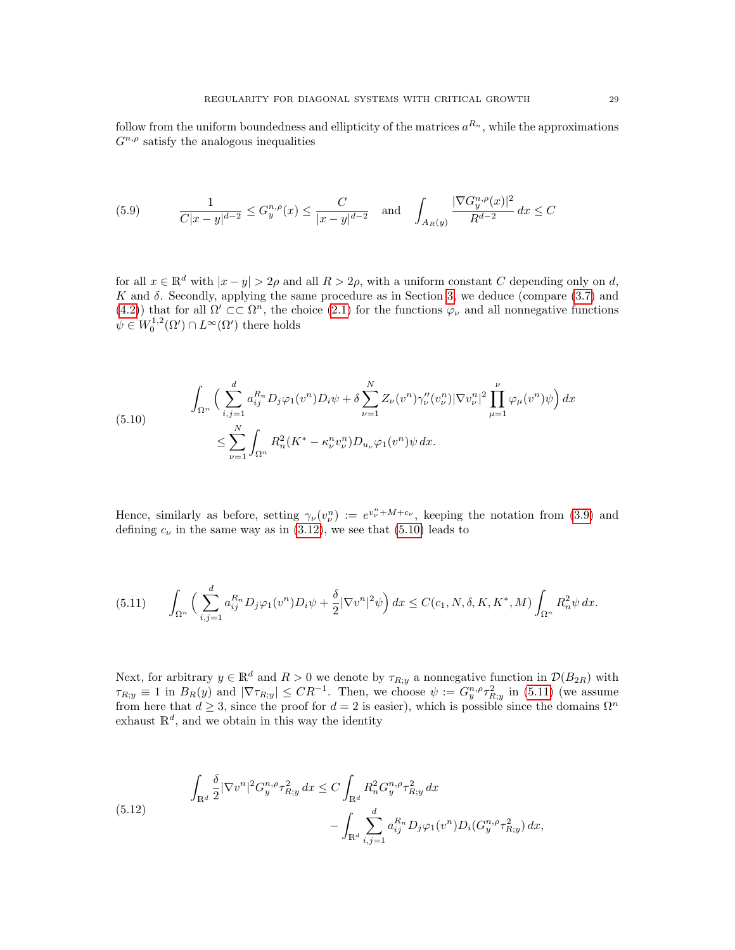follow from the uniform boundedness and ellipticity of the matrices  $a^{R_n}$ , while the approximations  $G^{n,\rho}$  satisfy the analogous inequalities

<span id="page-28-2"></span>(5.9) 
$$
\frac{1}{C|x-y|^{d-2}} \le G_y^{n,\rho}(x) \le \frac{C}{|x-y|^{d-2}} \text{ and } \int_{A_R(y)} \frac{|\nabla G_y^{n,\rho}(x)|^2}{R^{d-2}} dx \le C
$$

for all  $x \in \mathbb{R}^d$  with  $|x - y| > 2\rho$  and all  $R > 2\rho$ , with a uniform constant C depending only on d, K and  $\delta$ . Secondly, applying the same procedure as in Section [3,](#page-13-0) we deduce (compare  $(3.7)$  and [\(4.2\)](#page-18-1)) that for all  $\Omega' \subset\subset \Omega^n$ , the choice [\(2.1\)](#page-6-1) for the functions  $\varphi_{\nu}$  and all nonnegative functions  $\psi \in W_0^{1,2}(\Omega') \cap L^\infty(\Omega')$  there holds

<span id="page-28-0"></span>
$$
\int_{\Omega^n} \Big( \sum_{i,j=1}^d a_{ij}^{R_n} D_j \varphi_1(v^n) D_i \psi + \delta \sum_{\nu=1}^N Z_{\nu}(v^n) \gamma_{\nu}''(v_{\nu}^n) |\nabla v_{\nu}^n|^2 \prod_{\mu=1}^{\nu} \varphi_{\mu}(v^n) \psi \Big) dx
$$
\n
$$
\leq \sum_{\nu=1}^N \int_{\Omega^n} R_n^2 (K^* - \kappa_{\nu}^n v_{\nu}^n) D_{u_{\nu}} \varphi_1(v^n) \psi \, dx.
$$

Hence, similarly as before, setting  $\gamma_{\nu}(v_{\nu}^n) := e^{v_{\nu}^n + M + c_{\nu}}$ , keeping the notation from [\(3.9\)](#page-15-2) and defining  $c_{\nu}$  in the same way as in [\(3.12\)](#page-15-7), we see that [\(5.10\)](#page-28-0) leads to

<span id="page-28-1"></span>
$$
(5.11)\qquad \int_{\Omega^n} \Big( \sum_{i,j=1}^d a_{ij}^{R_n} D_j \varphi_1(v^n) D_i \psi + \frac{\delta}{2} |\nabla v^n|^2 \psi \Big) dx \le C(c_1, N, \delta, K, K^*, M) \int_{\Omega^n} R_n^2 \psi dx.
$$

Next, for arbitrary  $y \in \mathbb{R}^d$  and  $R > 0$  we denote by  $\tau_{R,y}$  a nonnegative function in  $\mathcal{D}(B_{2R})$  with  $\tau_{R,y} \equiv 1$  in  $B_R(y)$  and  $|\nabla \tau_{R,y}| \leq CR^{-1}$ . Then, we choose  $\psi := G_y^{n,\rho} \tau_{R,y}^2$  in [\(5.11\)](#page-28-1) (we assume from here that  $d \geq 3$ , since the proof for  $d = 2$  is easier), which is possible since the domains  $\Omega^n$ exhaust  $\mathbb{R}^d$ , and we obtain in this way the identity

<span id="page-28-3"></span>(5.12) 
$$
\int_{\mathbb{R}^d} \frac{\delta}{2} |\nabla v^n|^2 G_y^{n,\rho} \tau_{R;y}^2 dx \le C \int_{\mathbb{R}^d} R_n^2 G_y^{n,\rho} \tau_{R;y}^2 dx - \int_{\mathbb{R}^d} \sum_{i,j=1}^d a_{ij}^{R_n} D_j \varphi_1(v^n) D_i(G_y^{n,\rho} \tau_{R;y}^2) dx,
$$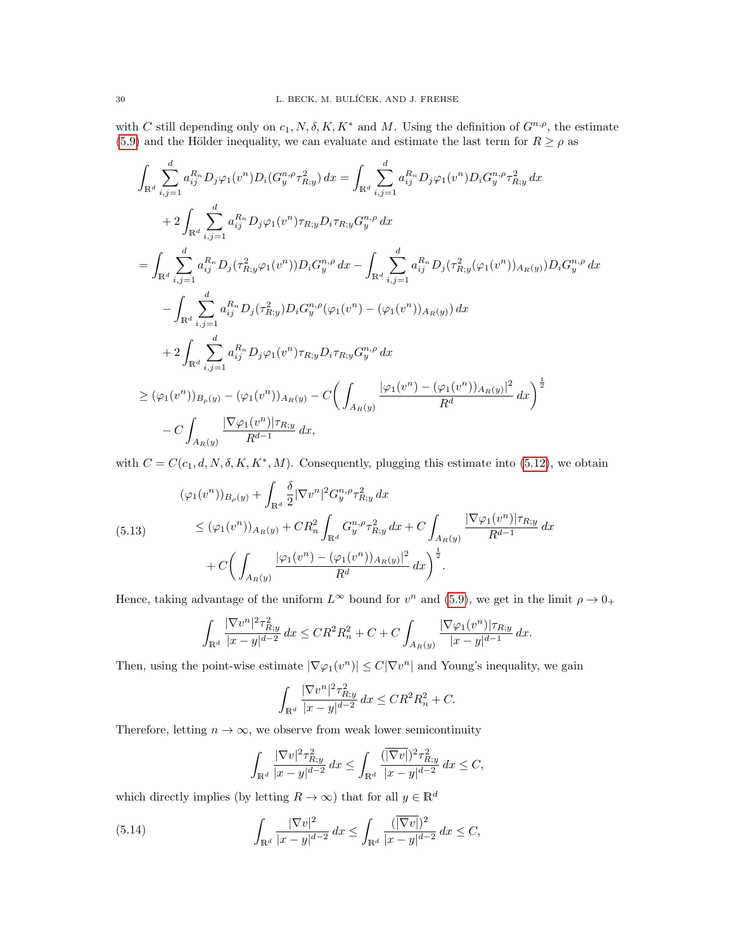with C still depending only on  $c_1$ ,  $N$ ,  $\delta$ ,  $K$ ,  $K^*$  and M. Using the definition of  $G^{n,\rho}$ , the estimate [\(5.9\)](#page-28-2) and the Hölder inequality, we can evaluate and estimate the last term for  $R \ge \rho$  as

$$
\int_{\mathbb{R}^d} \sum_{i,j=1}^d a_{ij}^{R_n} D_j \varphi_1(v^n) D_i(G_y^{n,\rho} \tau_{R;y}^2) dx = \int_{\mathbb{R}^d} \sum_{i,j=1}^d a_{ij}^{R_n} D_j \varphi_1(v^n) D_i G_y^{n,\rho} \tau_{R;y}^2 dx \n+ 2 \int_{\mathbb{R}^d} \sum_{i,j=1}^d a_{ij}^{R_n} D_j \varphi_1(v^n) \tau_{R;y} D_i \tau_{R;y} G_y^{n,\rho} dx \n= \int_{\mathbb{R}^d} \sum_{i,j=1}^d a_{ij}^{R_n} D_j(\tau_{R;y}^2 \varphi_1(v^n)) D_i G_y^{n,\rho} dx - \int_{\mathbb{R}^d} \sum_{i,j=1}^d a_{ij}^{R_n} D_j(\tau_{R;y}^2 (\varphi_1(v^n)) A_R(y)) D_i G_y^{n,\rho} dx \n- \int_{\mathbb{R}^d} \sum_{i,j=1}^d a_{ij}^{R_n} D_j(\tau_{R;y}^2) D_i G_y^{n,\rho} (\varphi_1(v^n) - (\varphi_1(v^n)) A_R(y)) dx \n+ 2 \int_{\mathbb{R}^d} \sum_{i,j=1}^d a_{ij}^{R_n} D_j \varphi_1(v^n) \tau_{R;y} D_i \tau_{R;y} G_y^{n,\rho} dx \n\geq (\varphi_1(v^n))_{B_\rho(y)} - (\varphi_1(v^n))_{A_R(y)} - C \Big( \int_{A_R(y)} \frac{|\varphi_1(v^n) - (\varphi_1(v^n))_{A_R(y)}|^2}{R^d} dx \Big)^{\frac{1}{2}} \n- C \int_{A_R(y)} \frac{|\nabla \varphi_1(v^n)| \tau_{R;y}}{R^{d-1}} dx,
$$

with  $C = C(c_1, d, N, \delta, K, K^*, M)$ . Consequently, plugging this estimate into [\(5.12\)](#page-28-3), we obtain

<span id="page-29-0"></span>
$$
(\varphi_1(v^n))_{B_{\rho}(y)} + \int_{\mathbb{R}^d} \frac{\delta}{2} |\nabla v^n|^2 G_y^{n,\rho} \tau_{R;y}^2 dx
$$
  
\n
$$
\leq (\varphi_1(v^n))_{A_R(y)} + C R_n^2 \int_{\mathbb{R}^d} G_y^{n,\rho} \tau_{R;y}^2 dx + C \int_{A_R(y)} \frac{|\nabla \varphi_1(v^n)| \tau_{R;y}}{R^{d-1}} dx
$$
  
\n
$$
+ C \bigg( \int_{A_R(y)} \frac{|\varphi_1(v^n) - (\varphi_1(v^n))_{A_R(y)}|^2}{R^d} dx \bigg)^{\frac{1}{2}}.
$$

Hence, taking advantage of the uniform  $L^{\infty}$  bound for  $v^{n}$  and [\(5.9\)](#page-28-2), we get in the limit  $\rho \to 0_{+}$ 

$$
\int_{\mathbb{R}^d} \frac{|\nabla v^n|^2 \tau_{R;y}^2}{|x - y|^{d - 2}} dx \le C R^2 R_n^2 + C + C \int_{A_R(y)} \frac{|\nabla \varphi_1(v^n)| \tau_{R;y}}{|x - y|^{d - 1}} dx.
$$

Then, using the point-wise estimate  $|\nabla \varphi_1(v^n)| \leq C|\nabla v^n|$  and Young's inequality, we gain

$$
\int_{\mathbb{R}^d} \frac{|\nabla v^n|^2 \tau_{R;y}^2}{|x - y|^{d - 2}} dx \le C R^2 R_n^2 + C.
$$

Therefore, letting  $n \to \infty$ , we observe from weak lower semicontinuity

$$
\int_{\mathbb{R}^d} \frac{|\nabla v|^2 \tau_{R;y}^2}{|x - y|^{d - 2}} dx \le \int_{\mathbb{R}^d} \frac{(\overline{|\nabla v|})^2 \tau_{R;y}^2}{|x - y|^{d - 2}} dx \le C,
$$

which directly implies (by letting  $R \to \infty$ ) that for all  $y \in \mathbb{R}^d$ 

<span id="page-29-1"></span>(5.14) 
$$
\int_{\mathbb{R}^d} \frac{|\nabla v|^2}{|x - y|^{d-2}} dx \le \int_{\mathbb{R}^d} \frac{(\overline{|\nabla v|})^2}{|x - y|^{d-2}} dx \le C,
$$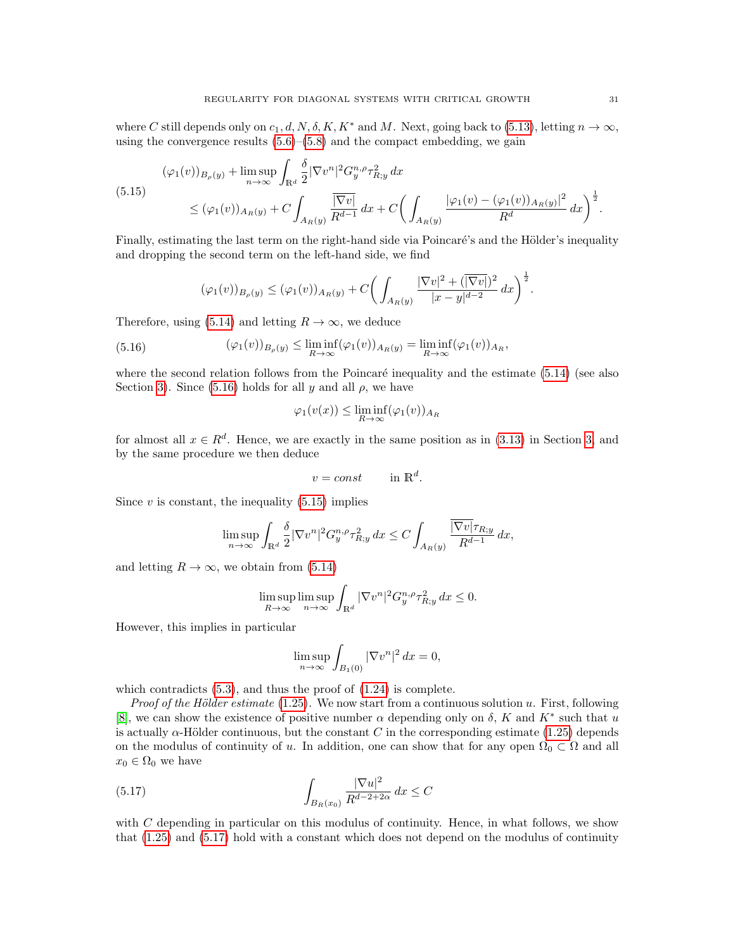where C still depends only on  $c_1, d, N, \delta, K, K^*$  and M. Next, going back to [\(5.13\)](#page-29-0), letting  $n \to \infty$ , using the convergence results  $(5.6)$ – $(5.8)$  and the compact embedding, we gain

<span id="page-30-1"></span>
$$
(\varphi_1(v))_{B_{\rho}(y)} + \limsup_{n \to \infty} \int_{\mathbb{R}^d} \frac{\delta}{2} |\nabla v^n|^2 G_y^{n, \rho} \tau_{R; y}^2 dx
$$
  
(5.15)  

$$
\leq (\varphi_1(v))_{A_R(y)} + C \int_{A_R(y)} \frac{|\nabla v|}{R^{d-1}} dx + C \bigg( \int_{A_R(y)} \frac{|\varphi_1(v) - (\varphi_1(v))_{A_R(y)}|^2}{R^d} dx \bigg)^{\frac{1}{2}}.
$$

Finally, estimating the last term on the right-hand side via Poincaré's and the Hölder's inequality and dropping the second term on the left-hand side, we find

$$
(\varphi_1(v))_{B_{\rho}(y)} \leq (\varphi_1(v))_{A_R(y)} + C \bigg( \int_{A_R(y)} \frac{|\nabla v|^2 + (\overline{|\nabla v|})^2}{|x - y|^{d-2}} dx \bigg)^{\frac{1}{2}}.
$$

Therefore, using [\(5.14\)](#page-29-1) and letting  $R \to \infty$ , we deduce

<span id="page-30-0"></span>(5.16) 
$$
(\varphi_1(v))_{B_\rho(y)} \le \liminf_{R \to \infty} (\varphi_1(v))_{A_R(y)} = \liminf_{R \to \infty} (\varphi_1(v))_{A_R},
$$

where the second relation follows from the Poincaré inequality and the estimate  $(5.14)$  (see also Section [3\)](#page-13-0). Since [\(5.16\)](#page-30-0) holds for all y and all  $\rho$ , we have

$$
\varphi_1(v(x)) \le \liminf_{R \to \infty} (\varphi_1(v))_{A_R}
$$

for almost all  $x \in R^d$ . Hence, we are exactly in the same position as in [\(3.13\)](#page-15-6) in Section [3,](#page-13-0) and by the same procedure we then deduce

$$
v = const \qquad \text{in } \mathbb{R}^d.
$$

Since  $v$  is constant, the inequality  $(5.15)$  implies

$$
\limsup_{n\to\infty}\int_{\mathbb{R}^d}\frac{\delta}{2}|\nabla v^n|^2G_{y}^{n,\rho}\tau_{R;y}^2 dx \leq C\int_{A_R(y)}\frac{\overline{|\nabla v|}\tau_{R;y}}{R^{d-1}} dx,
$$

and letting  $R \to \infty$ , we obtain from [\(5.14\)](#page-29-1)

$$
\limsup_{R \to \infty} \limsup_{n \to \infty} \int_{\mathbb{R}^d} |\nabla v^n|^2 G_y^{n,\rho} \tau_{R;y}^2 dx \le 0.
$$

However, this implies in particular

<span id="page-30-2"></span>
$$
\limsup_{n \to \infty} \int_{B_1(0)} |\nabla v^n|^2 dx = 0,
$$

which contradicts  $(5.3)$ , and thus the proof of  $(1.24)$  is complete.

*Proof of the Hölder estimate*  $(1.25)$ . We now start from a continuous solution u. First, following [\[8\]](#page-34-16), we can show the existence of positive number  $\alpha$  depending only on  $\delta$ , K and K<sup>\*</sup> such that u is actually  $\alpha$ -Hölder continuous, but the constant C in the corresponding estimate [\(1.25\)](#page-5-2) depends on the modulus of continuity of u. In addition, one can show that for any open  $\Omega_0 \subset \Omega$  and all  $x_0 \in \Omega_0$  we have

(5.17) 
$$
\int_{B_R(x_0)} \frac{|\nabla u|^2}{R^{d-2+2\alpha}} dx \leq C
$$

with  $C$  depending in particular on this modulus of continuity. Hence, in what follows, we show that [\(1.25\)](#page-5-2) and [\(5.17\)](#page-30-2) hold with a constant which does not depend on the modulus of continuity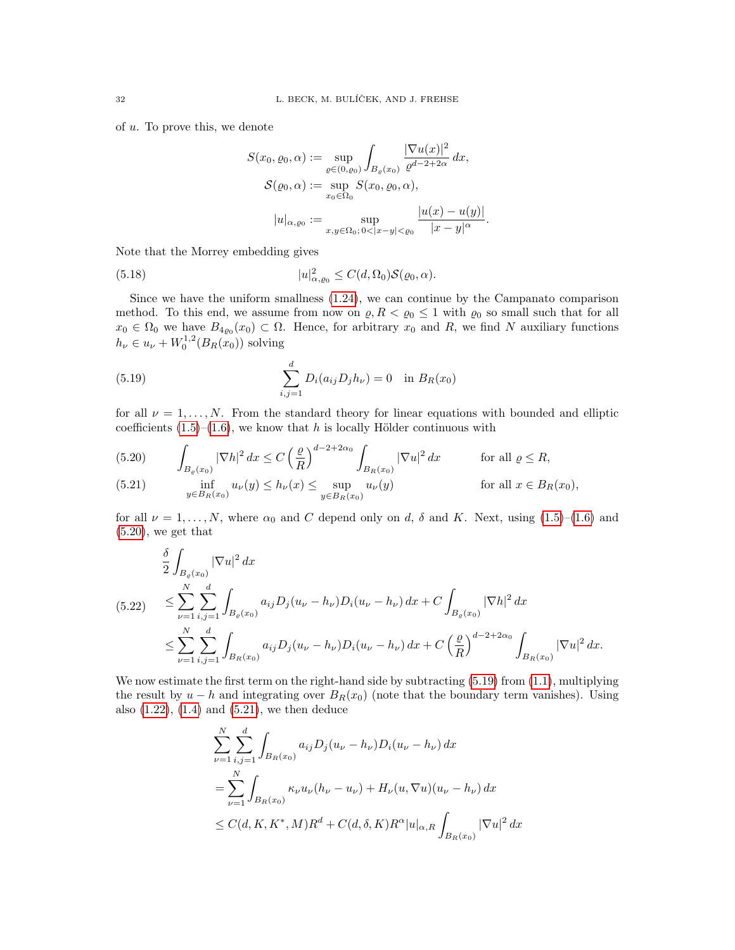of  $u$ . To prove this, we denote

<span id="page-31-4"></span>
$$
S(x_0, \varrho_0, \alpha) := \sup_{\varrho \in (0, \varrho_0)} \int_{B_{\varrho}(x_0)} \frac{|\nabla u(x)|^2}{\varrho^{d-2+2\alpha}} dx,
$$
  

$$
S(\varrho_0, \alpha) := \sup_{x_0 \in \Omega_0} S(x_0, \varrho_0, \alpha),
$$
  

$$
|u|_{\alpha, \varrho_0} := \sup_{x, y \in \Omega_0; \, 0 < |x - y| < \varrho_0} \frac{|u(x) - u(y)|}{|x - y|^{\alpha}}.
$$

Note that the Morrey embedding gives

(5.18) 
$$
|u|_{\alpha,\varrho_0}^2 \leq C(d,\Omega_0)\mathcal{S}(\varrho_0,\alpha).
$$

Since we have the uniform smallness [\(1.24\)](#page-5-1), we can continue by the Campanato comparison method. To this end, we assume from now on  $\rho, R < \rho_0 \leq 1$  with  $\rho_0$  so small such that for all  $x_0 \in \Omega_0$  we have  $B_{4\varrho_0}(x_0) \subset \Omega$ . Hence, for arbitrary  $x_0$  and R, we find N auxiliary functions  $h_{\nu} \in u_{\nu} + W_0^{1,2}(B_R(x_0))$  solving

<span id="page-31-1"></span>(5.19) 
$$
\sum_{i,j=1}^{d} D_i(a_{ij}D_jh_{\nu}) = 0 \text{ in } B_R(x_0)
$$

for all  $\nu = 1, \ldots, N$ . From the standard theory for linear equations with bounded and elliptic coefficients  $(1.5)–(1.6)$  $(1.5)–(1.6)$ , we know that h is locally Hölder continuous with

<span id="page-31-0"></span>
$$
(5.20) \qquad \int_{B_{\varrho}(x_0)} |\nabla h|^2 \, dx \le C \left(\frac{\varrho}{R}\right)^{d-2+2\alpha_0} \int_{B_R(x_0)} |\nabla u|^2 \, dx \qquad \text{for all } \varrho \le R,
$$

<span id="page-31-2"></span>(5.21) 
$$
\inf_{y \in B_R(x_0)} u_{\nu}(y) \le h_{\nu}(x) \le \sup_{y \in B_R(x_0)} u_{\nu}(y) \qquad \text{for all } x \in B_R(x_0),
$$

for all  $\nu = 1, \ldots, N$ , where  $\alpha_0$  and C depend only on d,  $\delta$  and K. Next, using [\(1.5\)](#page-1-4)–[\(1.6\)](#page-1-5) and  $(5.20)$ , we get that

<span id="page-31-3"></span>
$$
\frac{\delta}{2} \int_{B_{\varrho}(x_0)} |\nabla u|^2 dx
$$
\n(5.22) 
$$
\leq \sum_{\nu=1}^N \sum_{i,j=1}^d \int_{B_{\varrho}(x_0)} a_{ij} D_j(u_{\nu} - h_{\nu}) D_i(u_{\nu} - h_{\nu}) dx + C \int_{B_{\varrho}(x_0)} |\nabla h|^2 dx
$$
\n
$$
\leq \sum_{\nu=1}^N \sum_{i,j=1}^d \int_{B_R(x_0)} a_{ij} D_j(u_{\nu} - h_{\nu}) D_i(u_{\nu} - h_{\nu}) dx + C \left(\frac{\varrho}{R}\right)^{d-2+2\alpha_0} \int_{B_R(x_0)} |\nabla u|^2 dx.
$$

We now estimate the first term on the right-hand side by subtracting  $(5.19)$  from  $(1.1)$ , multiplying the result by  $u - h$  and integrating over  $B_R(x_0)$  (note that the boundary term vanishes). Using also  $(1.22)$ ,  $(1.4)$  and  $(5.21)$ , we then deduce

$$
\sum_{\nu=1}^{N} \sum_{i,j=1}^{d} \int_{B_R(x_0)} a_{ij} D_j(u_{\nu} - h_{\nu}) D_i(u_{\nu} - h_{\nu}) dx
$$
  
= 
$$
\sum_{\nu=1}^{N} \int_{B_R(x_0)} \kappa_{\nu} u_{\nu} (h_{\nu} - u_{\nu}) + H_{\nu}(u, \nabla u)(u_{\nu} - h_{\nu}) dx
$$
  

$$
\leq C(d, K, K^*, M) R^d + C(d, \delta, K) R^{\alpha} |u|_{\alpha, R} \int_{B_R(x_0)} |\nabla u|^2 dx
$$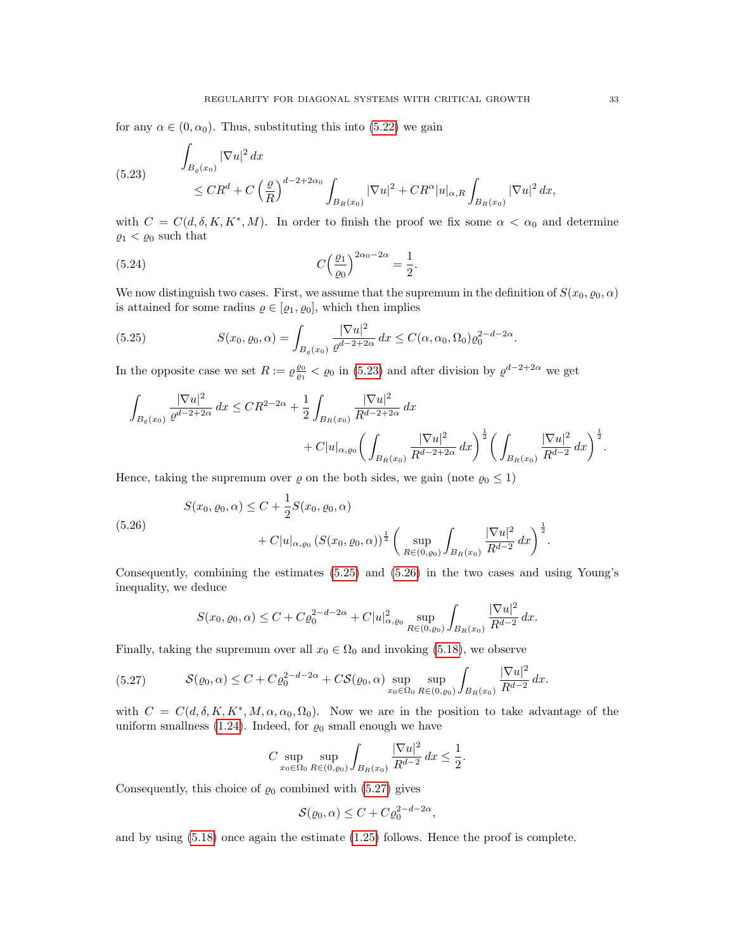for any  $\alpha \in (0, \alpha_0)$ . Thus, substituting this into [\(5.22\)](#page-31-3) we gain

<span id="page-32-0"></span>(5.23) 
$$
\int_{B_{\varrho}(x_0)} |\nabla u|^2 dx \leq CR^d + C \left(\frac{\varrho}{R}\right)^{d-2+2\alpha_0} \int_{B_R(x_0)} |\nabla u|^2 + CR^{\alpha} |u|_{\alpha,R} \int_{B_R(x_0)} |\nabla u|^2 dx,
$$

with  $C = C(d, \delta, K, K^*, M)$ . In order to finish the proof we fix some  $\alpha < \alpha_0$  and determine  $\rho_1 < \rho_0$  such that

(5.24) 
$$
C\left(\frac{\varrho_1}{\varrho_0}\right)^{2\alpha_0-2\alpha}=\frac{1}{2}.
$$

We now distinguish two cases. First, we assume that the supremum in the definition of  $S(x_0, \varrho_0, \alpha)$ is attained for some radius  $\varrho \in [\varrho_1, \varrho_0]$ , which then implies

<span id="page-32-1"></span>(5.25) 
$$
S(x_0, \varrho_0, \alpha) = \int_{B_{\varrho}(x_0)} \frac{|\nabla u|^2}{\varrho^{d-2+2\alpha}} dx \le C(\alpha, \alpha_0, \Omega_0) \varrho_0^{2-d-2\alpha}
$$

In the opposite case we set  $R := \rho \frac{\rho_0}{\rho_1} < \rho_0$  in [\(5.23\)](#page-32-0) and after division by  $\varrho^{d-2+2\alpha}$  we get

$$
\int_{B_{\varrho}(x_0)} \frac{|\nabla u|^2}{\varrho^{d-2+2\alpha}} dx \leq CR^{2-2\alpha} + \frac{1}{2} \int_{B_R(x_0)} \frac{|\nabla u|^2}{R^{d-2+2\alpha}} dx \n+ C|u|_{\alpha,\varrho_0} \left( \int_{B_R(x_0)} \frac{|\nabla u|^2}{R^{d-2+2\alpha}} dx \right)^{\frac{1}{2}} \left( \int_{B_R(x_0)} \frac{|\nabla u|^2}{R^{d-2}} dx \right)^{\frac{1}{2}}.
$$

Hence, taking the supremum over  $\varrho$  on the both sides, we gain (note  $\varrho_0 \leq 1$ )

<span id="page-32-2"></span>
$$
(5.26) \quad S(x_0, \varrho_0, \alpha) \le C + \frac{1}{2} S(x_0, \varrho_0, \alpha) + C|u|_{\alpha, \varrho_0} (S(x_0, \varrho_0, \alpha))^{\frac{1}{2}} \left( \sup_{R \in (0, \varrho_0)} \int_{B_R(x_0)} \frac{|\nabla u|^2}{R^{d-2}} dx \right)^{\frac{1}{2}}.
$$

Consequently, combining the estimates [\(5.25\)](#page-32-1) and [\(5.26\)](#page-32-2) in the two cases and using Young's inequality, we deduce

$$
S(x_0, \varrho_0, \alpha) \le C + C\varrho_0^{2-d-2\alpha} + C|u|^2_{\alpha, \varrho_0} \sup_{R \in (0, \varrho_0)} \int_{B_R(x_0)} \frac{|\nabla u|^2}{R^{d-2}} dx.
$$

Finally, taking the supremum over all  $x_0 \in \Omega_0$  and invoking [\(5.18\)](#page-31-4), we observe

<span id="page-32-3"></span>
$$
(5.27) \tS(\varrho_0, \alpha) \le C + C\varrho_0^{2-d-2\alpha} + CS(\varrho_0, \alpha) \sup_{x_0 \in \Omega_0} \sup_{R \in (0, \varrho_0)} \int_{B_R(x_0)} \frac{|\nabla u|^2}{R^{d-2}} dx.
$$

with  $C = C(d, \delta, K, K^*, M, \alpha, \alpha_0, \Omega_0)$ . Now we are in the position to take advantage of the uniform smallness [\(1.24\)](#page-5-1). Indeed, for  $\varrho_0$  small enough we have

$$
C \sup_{x_0 \in \Omega_0} \sup_{R \in (0,\varrho_0)} \int_{B_R(x_0)} \frac{|\nabla u|^2}{R^{d-2}} dx \le \frac{1}{2}.
$$

Consequently, this choice of  $\varrho_0$  combined with [\(5.27\)](#page-32-3) gives

$$
\mathcal{S}(\varrho_0, \alpha) \le C + C \varrho_0^{2-d-2\alpha},
$$

and by using [\(5.18\)](#page-31-4) once again the estimate [\(1.25\)](#page-5-2) follows. Hence the proof is complete.

.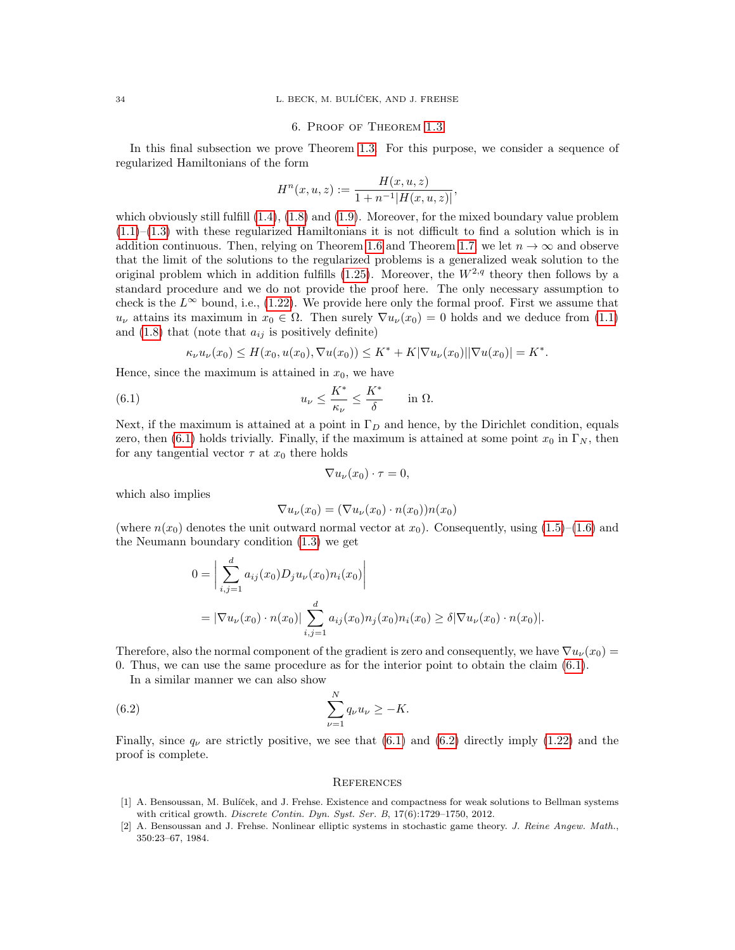### 6. Proof of Theorem [1.3](#page-4-3)

<span id="page-33-2"></span>In this final subsection we prove Theorem [1.3.](#page-4-3) For this purpose, we consider a sequence of regularized Hamiltonians of the form

$$
H^{n}(x, u, z) := \frac{H(x, u, z)}{1 + n^{-1}|H(x, u, z)|},
$$

which obviously still fulfill  $(1.4)$ ,  $(1.8)$  and  $(1.9)$ . Moreover, for the mixed boundary value problem  $(1.1)$ – $(1.3)$  with these regularized Hamiltonians it is not difficult to find a solution which is in addition continuous. Then, relying on Theorem [1.6](#page-5-3) and Theorem [1.7,](#page-5-5) we let  $n \to \infty$  and observe that the limit of the solutions to the regularized problems is a generalized weak solution to the original problem which in addition fulfills [\(1.25\)](#page-5-2). Moreover, the  $W^{2,q}$  theory then follows by a standard procedure and we do not provide the proof here. The only necessary assumption to check is the  $L^{\infty}$  bound, i.e., [\(1.22\)](#page-5-0). We provide here only the formal proof. First we assume that  $u_{\nu}$  attains its maximum in  $x_0 \in \Omega$ . Then surely  $\nabla u_{\nu}(x_0) = 0$  holds and we deduce from [\(1.1\)](#page-0-0) and  $(1.8)$  that (note that  $a_{ij}$  is positively definite)

$$
\kappa_{\nu}u_{\nu}(x_0) \le H(x_0, u(x_0), \nabla u(x_0)) \le K^* + K|\nabla u_{\nu}(x_0)||\nabla u(x_0)| = K^*.
$$

Hence, since the maximum is attained in  $x_0$ , we have

(6.1) 
$$
u_{\nu} \leq \frac{K^*}{\kappa_{\nu}} \leq \frac{K^*}{\delta} \quad \text{in } \Omega.
$$

Next, if the maximum is attained at a point in  $\Gamma_D$  and hence, by the Dirichlet condition, equals zero, then [\(6.1\)](#page-33-3) holds trivially. Finally, if the maximum is attained at some point  $x_0$  in  $\Gamma_N$ , then for any tangential vector  $\tau$  at  $x_0$  there holds

<span id="page-33-3"></span>
$$
\nabla u_{\nu}(x_0) \cdot \tau = 0,
$$

which also implies

$$
\nabla u_{\nu}(x_0) = (\nabla u_{\nu}(x_0) \cdot n(x_0))n(x_0)
$$

(where  $n(x_0)$  denotes the unit outward normal vector at  $x_0$ ). Consequently, using [\(1.5\)](#page-1-4)–[\(1.6\)](#page-1-5) and the Neumann boundary condition [\(1.3\)](#page-1-0) we get

$$
0 = \left| \sum_{i,j=1}^{d} a_{ij}(x_0) D_j u_{\nu}(x_0) n_i(x_0) \right|
$$
  
=  $|\nabla u_{\nu}(x_0) \cdot n(x_0)| \sum_{i,j=1}^{d} a_{ij}(x_0) n_j(x_0) n_i(x_0) \ge \delta |\nabla u_{\nu}(x_0) \cdot n(x_0)|.$ 

Therefore, also the normal component of the gradient is zero and consequently, we have  $\nabla u_{\nu}(x_0) =$ 0. Thus, we can use the same procedure as for the interior point to obtain the claim [\(6.1\)](#page-33-3).

In a similar manner we can also show

(6.2) 
$$
\sum_{\nu=1}^{N} q_{\nu} u_{\nu} \ge -K.
$$

Finally, since  $q_{\nu}$  are strictly positive, we see that [\(6.1\)](#page-33-3) and [\(6.2\)](#page-33-4) directly imply [\(1.22\)](#page-5-0) and the proof is complete.

#### <span id="page-33-4"></span>**REFERENCES**

- <span id="page-33-1"></span>[1] A. Bensoussan, M. Bulíček, and J. Frehse. Existence and compactness for weak solutions to Bellman systems with critical growth. *Discrete Contin. Dyn. Syst. Ser. B*, 17(6):1729–1750, 2012.
- <span id="page-33-0"></span>[2] A. Bensoussan and J. Frehse. Nonlinear elliptic systems in stochastic game theory. J. Reine Angew. Math., 350:23–67, 1984.